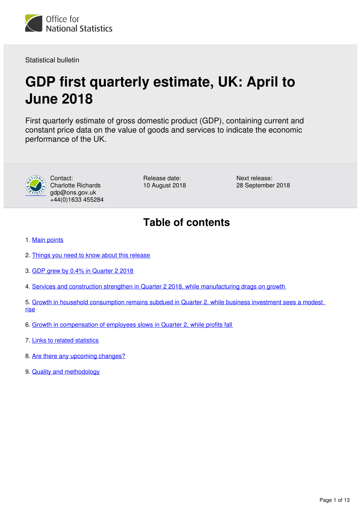

Statistical bulletin

# **GDP first quarterly estimate, UK: April to June 2018**

First quarterly estimate of gross domestic product (GDP), containing current and constant price data on the value of goods and services to indicate the economic performance of the UK.



Contact: Charlotte Richards gdp@ons.gov.uk +44(0)1633 455284 Release date: 10 August 2018 Next release: 28 September 2018

# **Table of contents**

- 1. [Main points](#page-1-0)
- 2. [Things you need to know about this release](#page-1-1)
- 3. [GDP grew by 0.4% in Quarter 2 2018](#page-1-2)
- 4. [Services and construction strengthen in Quarter 2 2018, while manufacturing drags on growth](#page-4-0)
- 5. Growth in household consumption remains subdued in Quarter 2, while business investment sees a modest [rise](#page-7-0)
- 6. [Growth in compensation of employees slows in Quarter 2, while profits fall](#page-9-0)
- 7. [Links to related statistics](#page-10-0)
- 8. [Are there any upcoming changes?](#page-11-0)
- 9. [Quality and methodology](#page-11-1)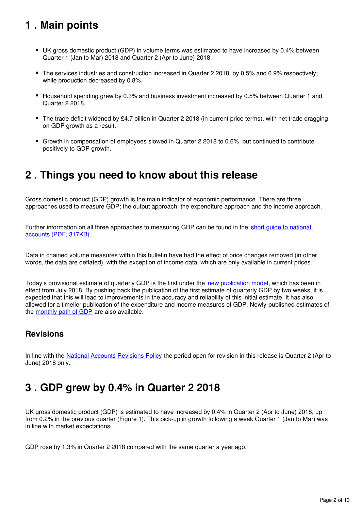# <span id="page-1-0"></span>**1 . Main points**

- UK gross domestic product (GDP) in volume terms was estimated to have increased by 0.4% between Quarter 1 (Jan to Mar) 2018 and Quarter 2 (Apr to June) 2018.
- The services industries and construction increased in Quarter 2 2018, by 0.5% and 0.9% respectively; while production decreased by 0.8%.
- Household spending grew by 0.3% and business investment increased by 0.5% between Quarter 1 and Quarter 2 2018.
- The trade deficit widened by £4.7 billion in Quarter 2 2018 (in current price terms), with net trade dragging on GDP growth as a result.
- Growth in compensation of employees slowed in Quarter 2 2018 to 0.6%, but continued to contribute positively to GDP growth.

# <span id="page-1-1"></span>**2 . Things you need to know about this release**

Gross domestic product (GDP) growth is the main indicator of economic performance. There are three approaches used to measure GDP; the output approach, the expenditure approach and the income approach.

Further information on all three approaches to measuring GDP can be found in the short quide to national [accounts \(PDF, 317KB\)](http://webarchive.nationalarchives.gov.uk/20160105160709/http:/www.ons.gov.uk/ons/guide-method/method-quality/specific/economy/national-accounts/articles/2011-present/a-short-guide-to-the-uk-national-accounts.pdf).

Data in chained volume measures within this bulletin have had the effect of price changes removed (in other words, the data are deflated), with the exception of income data, which are only available in current prices.

Today's provisional estimate of quarterly GDP is the first under the new publication model[,](https://www.ons.gov.uk/economy/grossdomesticproductgdp/articles/introducinganewpublicationmodelforgdp/2018-04-27) which has been in effect from July 2018. By pushing back the publication of the first estimate of quarterly GDP by two weeks, it is expected that this will lead to improvements in the accuracy and reliability of this initial estimate. It has also allowed for a timelier publication of the expenditure and income measures of GDP. Newly-published estimates of the monthly path of GDP are also available.

### **Revisions**

In line with the [National Accounts Revisions Policy](http://www.ons.gov.uk/methodology/methodologytopicsandstatisticalconcepts/revisions/revisionspoliciesforeconomicstatistics) the period open for revision in this release is Quarter 2 (Apr to June) 2018 only.

# <span id="page-1-2"></span>**3 . GDP grew by 0.4% in Quarter 2 2018**

UK gross domestic product (GDP) is estimated to have increased by 0.4% in Quarter 2 (Apr to June) 2018, up from 0.2% in the previous quarter (Figure 1). This pick-up in growth following a weak Quarter 1 (Jan to Mar) was in line with market expectations.

GDP rose by 1.3% in Quarter 2 2018 compared with the same quarter a year ago.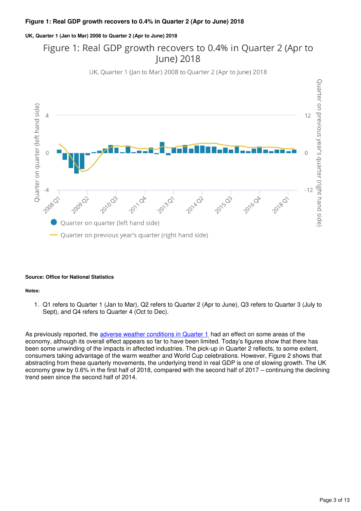#### **UK, Quarter 1 (Jan to Mar) 2008 to Quarter 2 (Apr to June) 2018**

# Figure 1: Real GDP growth recovers to 0.4% in Quarter 2 (Apr to **lune) 2018**



UK, Quarter 1 (Jan to Mar) 2008 to Quarter 2 (Apr to June) 2018

#### **Source: Office for National Statistics**

#### **Notes:**

1. Q1 refers to Quarter 1 (Jan to Mar), Q2 refers to Quarter 2 (Apr to June), Q3 refers to Quarter 3 (July to Sept), and Q4 refers to Quarter 4 (Oct to Dec).

As previously reported, the [adverse weather conditions in Quarter 1](https://www.ons.gov.uk/economy/nationalaccounts/uksectoraccounts/articles/monthlyeconomiccommentary/june2018#the-uk-economy-grew-by-02-in-quarter-1-2018-revised-up-from-the-second-estimate-of-01) had an effect on some areas of the economy, although its overall effect appears so far to have been limited. Today's figures show that there has been some unwinding of the impacts in affected industries. The pick-up in Quarter 2 reflects, to some extent, consumers taking advantage of the warm weather and World Cup celebrations. However, Figure 2 shows that abstracting from these quarterly movements, the underlying trend in real GDP is one of slowing growth. The UK economy grew by 0.6% in the first half of 2018, compared with the second half of 2017 – continuing the declining trend seen since the second half of 2014.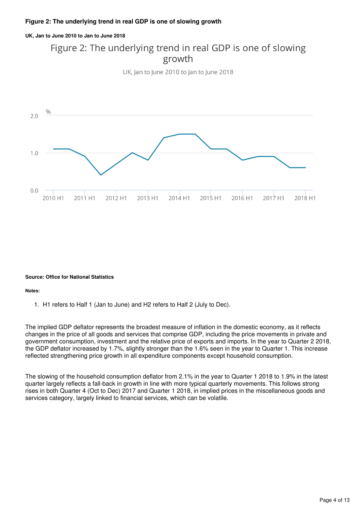#### **UK, Jan to June 2010 to Jan to June 2018**

# Figure 2: The underlying trend in real GDP is one of slowing growth

UK, Jan to June 2010 to Jan to June 2018



#### **Source: Office for National Statistics**

#### **Notes:**

1. H1 refers to Half 1 (Jan to June) and H2 refers to Half 2 (July to Dec).

The implied GDP deflator represents the broadest measure of inflation in the domestic economy, as it reflects changes in the price of all goods and services that comprise GDP, including the price movements in private and government consumption, investment and the relative price of exports and imports. In the year to Quarter 2 2018, the GDP deflator increased by 1.7%, slightly stronger than the 1.6% seen in the year to Quarter 1. This increase reflected strengthening price growth in all expenditure components except household consumption.

The slowing of the household consumption deflator from 2.1% in the year to Quarter 1 2018 to 1.9% in the latest quarter largely reflects a fall-back in growth in line with more typical quarterly movements. This follows strong rises in both Quarter 4 (Oct to Dec) 2017 and Quarter 1 2018, in implied prices in the miscellaneous goods and services category, largely linked to financial services, which can be volatile.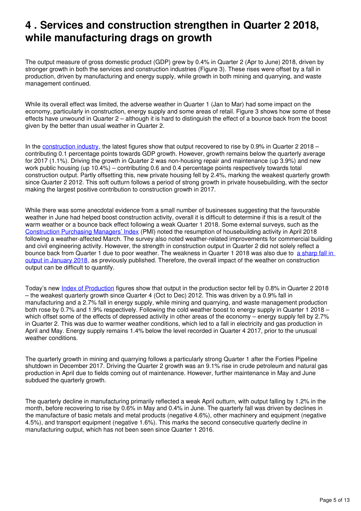# <span id="page-4-0"></span>**4 . Services and construction strengthen in Quarter 2 2018, while manufacturing drags on growth**

The output measure of gross domestic product (GDP) grew by 0.4% in Quarter 2 (Apr to June) 2018, driven by stronger growth in both the services and construction industries (Figure 3). These rises were offset by a fall in production, driven by manufacturing and energy supply, while growth in both mining and quarrying, and waste management continued.

While its overall effect was limited, the adverse weather in Quarter 1 (Jan to Mar) had some impact on the economy, particularly in construction, energy supply and some areas of retail. Figure 3 shows how some of these effects have unwound in Quarter 2 – although it is hard to distinguish the effect of a bounce back from the boost given by the better than usual weather in Quarter 2.

In the construction industry[,](https://www.ons.gov.uk/releases/constructionoutputingreatbritainjune2018andaprtojune2018) the latest figures show that output recovered to rise by 0.9% in Quarter 2 2018 – contributing 0.1 percentage points towards GDP growth. However, growth remains below the quarterly average for 2017 (1.1%). Driving the growth in Quarter 2 was non-housing repair and maintenance (up 3.9%) and new work public housing (up 10.4%) – contributing 0.6 and 0.4 percentage points respectively towards total construction output. Partly offsetting this, new private housing fell by 2.4%, marking the weakest quarterly growth since Quarter 2 2012. This soft outturn follows a period of strong growth in private housebuilding, with the sector making the largest positive contribution to construction growth in 2017.

While there was some anecdotal evidence from a small number of businesses suggesting that the favourable weather in June had helped boost construction activity, overall it is difficult to determine if this is a result of the warm weather or a bounce back effect following a weak Quarter 1 2018. Some external surveys, such as the [Construction Purchasing Managers' Index](https://www.cips.org/en/supply-management/news/2018/may/construction-rebounds-from-snow-disruption/) (PMI) noted the resumption of housebuilding activity in April 2018 following a weather-affected March. The survey also noted weather-related improvements for commercial building and civil engineering activity. However, the strength in construction output in Quarter 2 did not solely reflect a bounce back from Quarter 1 due to poor weather. The weakness in Quarter 1 2018 was also due to [a sharp fall in](https://www.ons.gov.uk/economy/nationalaccounts/uksectoraccounts/articles/monthlyeconomiccommentary/april2018)  [output in January 2018,](https://www.ons.gov.uk/economy/nationalaccounts/uksectoraccounts/articles/monthlyeconomiccommentary/april2018) as previously published. Therefore, the overall impact of the weather on construction output can be difficult to quantify.

Today's new *[Index of Production](https://www.ons.gov.uk/releases/ukindexofproductionjune2018)* figures show that output in the production sector fell by 0.8% in Quarter 2 2018 – the weakest quarterly growth since Quarter 4 (Oct to Dec) 2012. This was driven by a 0.9% fall in manufacturing and a 2.7% fall in energy supply, while mining and quarrying, and waste management production both rose by 0.7% and 1.9% respectively. Following the cold weather boost to energy supply in Quarter 1 2018 – which offset some of the effects of depressed activity in other areas of the economy – energy supply fell by 2.7% in Quarter 2. This was due to warmer weather conditions, which led to a fall in electricity and gas production in April and May. Energy supply remains 1.4% below the level recorded in Quarter 4 2017, prior to the unusual weather conditions.

The quarterly growth in mining and quarrying follows a particularly strong Quarter 1 after the Forties Pipeline shutdown in December 2017. Driving the Quarter 2 growth was an 9.1% rise in crude petroleum and natural gas production in April due to fields coming out of maintenance. However, further maintenance in May and June subdued the quarterly growth.

The quarterly decline in manufacturing primarily reflected a weak April outturn, with output falling by 1.2% in the month, before recovering to rise by 0.6% in May and 0.4% in June. The quarterly fall was driven by declines in the manufacture of basic metals and metal products (negative 4.6%), other machinery and equipment (negative 4.5%), and transport equipment (negative 1.6%). This marks the second consecutive quarterly decline in manufacturing output, which has not been seen since Quarter 1 2016.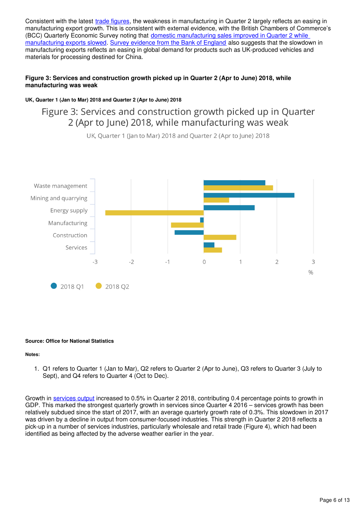Consistent with the latest *[trade figures](https://www.ons.gov.uk/releases/uktradejune2018)*[,](https://www.ons.gov.uk/releases/uktradejune2018) the weakness in manufacturing in Quarter 2 largely reflects an easing in manufacturing export growth. This is consistent with external evidence, with the British Chambers of Commerce's (BCC) Quarterly Economic Survey noting that domestic manufacturing sales improved in Quarter 2 while [manufacturing exports slowed.](https://www.britishchambers.org.uk/news/2018/07/bcc-quarterly-economic-survey-recruitment-difficulties-and-tougher-trading-conditions-face-firms-amid-sluggish-uk-growth) [Survey evidence from the Bank of England](https://www.bankofengland.co.uk/agents-summary/2018/2018-q2) also suggests that the slowdown in manufacturing exports reflects an easing in global demand for products such as UK-produced vehicles and materials for processing destined for China.

#### **Figure 3: Services and construction growth picked up in Quarter 2 (Apr to June) 2018, while manufacturing was weak**

#### **UK, Quarter 1 (Jan to Mar) 2018 and Quarter 2 (Apr to June) 2018**

# Figure 3: Services and construction growth picked up in Quarter 2 (Apr to June) 2018, while manufacturing was weak



UK, Quarter 1 (Jan to Mar) 2018 and Quarter 2 (Apr to June) 2018

#### **Source: Office for National Statistics**

#### **Notes:**

1. Q1 refers to Quarter 1 (Jan to Mar), Q2 refers to Quarter 2 (Apr to June), Q3 refers to Quarter 3 (July to Sept), and Q4 refers to Quarter 4 (Oct to Dec).

Growth in [services output](https://www.ons.gov.uk/releases/ukindexofservicesjun2018) increased to 0.5% in Quarter 2 2018, contributing 0.4 percentage points to growth in GDP. This marked the strongest quarterly growth in services since Quarter 4 2016 – services growth has been relatively subdued since the start of 2017, with an average quarterly growth rate of 0.3%. This slowdown in 2017 was driven by a decline in output from consumer-focused industries. This strength in Quarter 2 2018 reflects a pick-up in a number of services industries, particularly wholesale and retail trade (Figure 4), which had been identified as being affected by the adverse weather earlier in the year.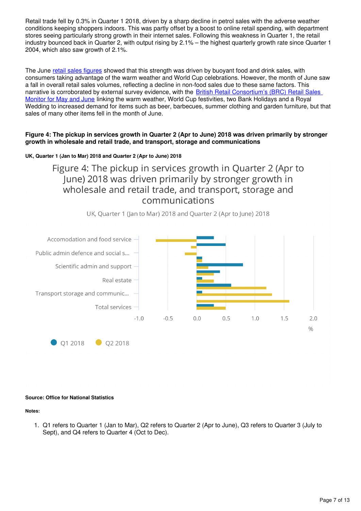Retail trade fell by 0.3% in Quarter 1 2018, driven by a sharp decline in petrol sales with the adverse weather conditions keeping shoppers indoors. This was partly offset by a boost to online retail spending, with department stores seeing particularly strong growth in their internet sales. Following this weakness in Quarter 1, the retail industry bounced back in Quarter 2, with output rising by 2.1% – the highest quarterly growth rate since Quarter 1 2004, which also saw growth of 2.1%.

The June [retail sales figures](https://www.ons.gov.uk/businessindustryandtrade/retailindustry/bulletins/retailsales/june2018) showed that this strength was driven by buoyant food and drink sales, with consumers taking advantage of the warm weather and World Cup celebrations. However, the month of June saw a fall in overall retail sales volumes, reflecting a decline in non-food sales due to these same factors. This narrative is corroborated by external survey evidence, with the [British Retail Consortium's \(BRC\) Retail Sales](https://brc.org.uk/retail-insight-analytics/retail-sales-reports/retail-sales-monitor)  [Monitor for May and June](https://brc.org.uk/retail-insight-analytics/retail-sales-reports/retail-sales-monitor) linking the warm weather, World Cup festivities, two Bank Holidays and a Royal Wedding to increased demand for items such as beer, barbecues, summer clothing and garden furniture, but that sales of many other items fell in the month of June.

#### **Figure 4: The pickup in services growth in Quarter 2 (Apr to June) 2018 was driven primarily by stronger growth in wholesale and retail trade, and transport, storage and communications**

#### **UK, Quarter 1 (Jan to Mar) 2018 and Quarter 2 (Apr to June) 2018**

Figure 4: The pickup in services growth in Quarter 2 (Apr to June) 2018 was driven primarily by stronger growth in wholesale and retail trade, and transport, storage and communications





#### **Source: Office for National Statistics**

#### **Notes:**

1. Q1 refers to Quarter 1 (Jan to Mar), Q2 refers to Quarter 2 (Apr to June), Q3 refers to Quarter 3 (July to Sept), and Q4 refers to Quarter 4 (Oct to Dec).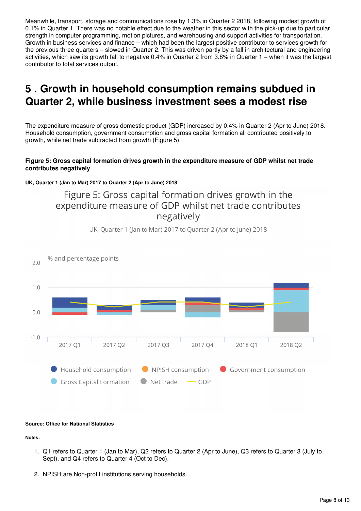Meanwhile, transport, storage and communications rose by 1.3% in Quarter 2 2018, following modest growth of 0.1% in Quarter 1. There was no notable effect due to the weather in this sector with the pick-up due to particular strength in computer programming, motion pictures, and warehousing and support activities for transportation. Growth in business services and finance – which had been the largest positive contributor to services growth for the previous three quarters – slowed in Quarter 2. This was driven partly by a fall in architectural and engineering activities, which saw its growth fall to negative 0.4% in Quarter 2 from 3.8% in Quarter 1 – when it was the largest contributor to total services output.

# <span id="page-7-0"></span>**5 . Growth in household consumption remains subdued in Quarter 2, while business investment sees a modest rise**

The expenditure measure of gross domestic product (GDP) increased by 0.4% in Quarter 2 (Apr to June) 2018. Household consumption, government consumption and gross capital formation all contributed positively to growth, while net trade subtracted from growth (Figure 5).

#### **Figure 5: Gross capital formation drives growth in the expenditure measure of GDP whilst net trade contributes negatively**

**UK, Quarter 1 (Jan to Mar) 2017 to Quarter 2 (Apr to June) 2018**

# Figure 5: Gross capital formation drives growth in the expenditure measure of GDP whilst net trade contributes negatively



UK, Quarter 1 (Jan to Mar) 2017 to Quarter 2 (Apr to June) 2018

#### **Source: Office for National Statistics**

**Notes:**

- 1. Q1 refers to Quarter 1 (Jan to Mar), Q2 refers to Quarter 2 (Apr to June), Q3 refers to Quarter 3 (July to Sept), and Q4 refers to Quarter 4 (Oct to Dec).
- 2. NPISH are Non-profit institutions serving households.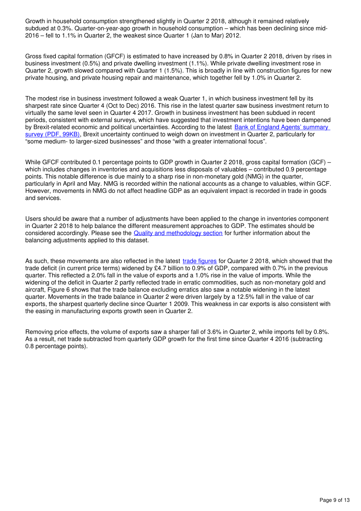Growth in household consumption strengthened slightly in Quarter 2 2018, although it remained relatively subdued at 0.3%. Quarter-on-year-ago growth in household consumption – which has been declining since mid-2016 – fell to 1.1% in Quarter 2, the weakest since Quarter 1 (Jan to Mar) 2012.

Gross fixed capital formation (GFCF) is estimated to have increased by 0.8% in Quarter 2 2018, driven by rises in business investment (0.5%) and private dwelling investment (1.1%). While private dwelling investment rose in Quarter 2, growth slowed compared with Quarter 1 (1.5%). This is broadly in line with construction figures for new private housing, and private housing repair and maintenance, which together fell by 1.0% in Quarter 2.

The modest rise in business investment followed a weak Quarter 1, in which business investment fell by its sharpest rate since Quarter 4 (Oct to Dec) 2016. This rise in the latest quarter saw business investment return to virtually the same level seen in Quarter 4 2017. Growth in business investment has been subdued in recent periods, consistent with external surveys, which have suggested that investment intentions have been dampened by Brexit-related economic and political uncertainties. According to the latest Bank of England Agents' summary [survey \(PDF, 99KB\),](https://www.bankofengland.co.uk/-/media/boe/files/agents-summary/2018/2018-q2.pdf?la=en&hash=9E628381B0D73A1C52DA3299249E8AE70941485A) Brexit uncertainty continued to weigh down on investment in Quarter 2, particularly for "some medium- to larger-sized businesses" and those "with a greater international focus".

While GFCF contributed 0.1 percentage points to GDP growth in Quarter 2 2018, gross capital formation (GCF) – which includes changes in inventories and acquisitions less disposals of valuables – contributed 0.9 percentage points. This notable difference is due mainly to a sharp rise in non-monetary gold (NMG) in the quarter, particularly in April and May. NMG is recorded within the national accounts as a change to valuables, within GCF. However, movements in NMG do not affect headline GDP as an equivalent impact is recorded in trade in goods and services.

Users should be aware that a number of adjustments have been applied to the change in inventories component in Quarter 2 2018 to help balance the different measurement approaches to GDP. The estimates should be considered accordingly. Please see the [Quality and methodology section](https://www.ons.gov.uk/economy/grossdomesticproductgdp/bulletins/quarterlynationalaccounts/januarytomarch2018#quality-and-methodology) for further information about the balancing adjustments applied to this dataset.

As such, these movements are also reflected in the latest [trade figures](https://www.ons.gov.uk/releases/uktradejune2018) for Quarter 2 2018, which showed that the trade deficit (in current price terms) widened by £4.7 billion to 0.9% of GDP, compared with 0.7% in the previous quarter. This reflected a 2.0% fall in the value of exports and a 1.0% rise in the value of imports. While the widening of the deficit in Quarter 2 partly reflected trade in erratic commodities, such as non-monetary gold and aircraft, Figure 6 shows that the trade balance excluding erratics also saw a notable widening in the latest quarter. Movements in the trade balance in Quarter 2 were driven largely by a 12.5% fall in the value of car exports, the sharpest quarterly decline since Quarter 1 2009. This weakness in car exports is also consistent with the easing in manufacturing exports growth seen in Quarter 2.

Removing price effects, the volume of exports saw a sharper fall of 3.6% in Quarter 2, while imports fell by 0.8%. As a result, net trade subtracted from quarterly GDP growth for the first time since Quarter 4 2016 (subtracting 0.8 percentage points).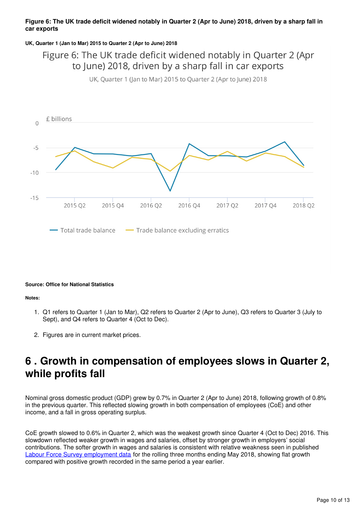#### **Figure 6: The UK trade deficit widened notably in Quarter 2 (Apr to June) 2018, driven by a sharp fall in car exports**

#### **UK, Quarter 1 (Jan to Mar) 2015 to Quarter 2 (Apr to June) 2018**

# Figure 6: The UK trade deficit widened notably in Quarter 2 (Apr to June) 2018, driven by a sharp fall in car exports

UK, Quarter 1 (Jan to Mar) 2015 to Quarter 2 (Apr to June) 2018



#### **Source: Office for National Statistics**

#### **Notes:**

- 1. Q1 refers to Quarter 1 (Jan to Mar), Q2 refers to Quarter 2 (Apr to June), Q3 refers to Quarter 3 (July to Sept), and Q4 refers to Quarter 4 (Oct to Dec).
- 2. Figures are in current market prices.

# <span id="page-9-0"></span>**6 . Growth in compensation of employees slows in Quarter 2, while profits fall**

Nominal gross domestic product (GDP) grew by 0.7% in Quarter 2 (Apr to June) 2018, following growth of 0.8% in the previous quarter. This reflected slowing growth in both compensation of employees (CoE) and other income, and a fall in gross operating surplus.

CoE growth slowed to 0.6% in Quarter 2, which was the weakest growth since Quarter 4 (Oct to Dec) 2016. This slowdown reflected weaker growth in wages and salaries, offset by stronger growth in employers' social contributions. The softer growth in wages and salaries is consistent with relative weakness seen in published [Labour Force Survey employment data](https://www.ons.gov.uk/employmentandlabourmarket/peopleinwork/employmentandemployeetypes/bulletins/uklabourmarket/july2018) for the rolling three months ending May 2018, showing flat growth compared with positive growth recorded in the same period a year earlier.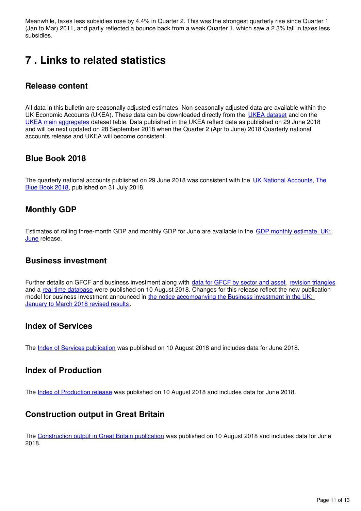Meanwhile, taxes less subsidies rose by 4.4% in Quarter 2. This was the strongest quarterly rise since Quarter 1 (Jan to Mar) 2011, and partly reflected a bounce back from a weak Quarter 1, which saw a 2.3% fall in taxes less subsidies.

# <span id="page-10-0"></span>**7 . Links to related statistics**

### **Release content**

All data in this bulletin are seasonally adjusted estimates. Non-seasonally adjusted data are available within the UK Economic Accounts (UKEA). These data can be downloaded directly from the [UKEA dataset](http://www.ons.gov.uk/economy/nationalaccounts/uksectoraccounts/datasets/unitedkingdomeconomicaccountsuktotaleconomy) and on the [UKEA main aggregates](http://www.ons.gov.uk/economy/nationalaccounts/uksectoraccounts/datasets/unitedkingdomeconomicaccountsmainaggregates) dataset table. Data published in the UKEA reflect data as published on 29 June 2018 and will be next updated on 28 September 2018 when the Quarter 2 (Apr to June) 2018 Quarterly national accounts release and UKEA will become consistent.

### **Blue Book 2018**

The quarterly national accounts published on 29 June 2018 was consistent with the UK National Accounts. The [Blue Book 2018](https://www.ons.gov.uk/economy/grossdomesticproductgdp/compendium/unitedkingdomnationalaccountsthebluebook/2018), published on 31 July 2018.

### **Monthly GDP**

Estimates of rolling three-month GDP and monthly GDP for June are available in the [GDP monthly estimate, UK:](https://www.ons.gov.uk/releases/gdpmonthlyestimateukjune2018)  [June](https://www.ons.gov.uk/releases/gdpmonthlyestimateukjune2018) release.

#### **Business investment**

Further details on GFCF and business investment along with data for GFCF by sector and asset[,](https://www.ons.gov.uk/economy/grossdomesticproductgdp/datasets/grossfixedcapitalformationbysectorandasset) [revision triangles](https://www.ons.gov.uk/economy/grossdomesticproductgdp/datasets/revisionstogrossfixedcapitalformationandbusinessinvestment) and a [real time database](https://www.ons.gov.uk/economy/grossdomesticproductgdp/datasets/businessinvestmentrealtimedatabase) were published on 10 August 2018. Changes for this release reflect the new publication model for business investment announced in [the notice accompanying the Business investment in the UK:](https://www.ons.gov.uk/economy/grossdomesticproductgdp/bulletins/businessinvestment/januarytomarch2018revisedresults)  [January to March 2018 revised results.](https://www.ons.gov.uk/economy/grossdomesticproductgdp/bulletins/businessinvestment/januarytomarch2018revisedresults)

#### **Index of Services**

The Index of Services publication was published on 10 August 2018 and includes data for June 2018.

#### **Index of Production**

The Index of Production release was published on 10 August 2018 and includes data for June 2018.

### **Construction output in Great Britain**

The [Construction output in Great Britain publication](https://www.ons.gov.uk/businessindustryandtrade/constructionindustry/bulletins/constructionoutputingreatbritain/previousReleases) was published on 10 August 2018 and includes data for June 2018.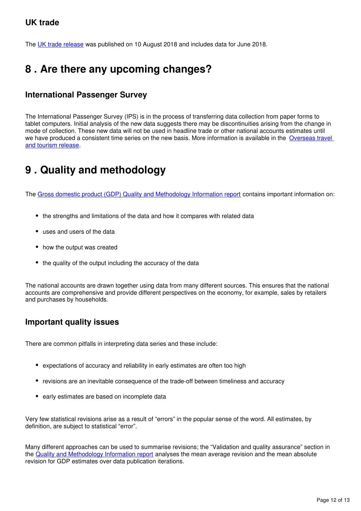### **UK trade**

The UK trade release was published on 10 August 2018 and includes data for June 2018.

# <span id="page-11-0"></span>**8 . Are there any upcoming changes?**

### **International Passenger Survey**

The International Passenger Survey (IPS) is in the process of transferring data collection from paper forms to tablet computers. Initial analysis of the new data suggests there may be discontinuities arising from the change in mode of collection. These new data will not be used in headline trade or other national accounts estimates until we have produced a consistent time series on the new basis. More information is available in the Overseas travel [and tourism release.](https://www.ons.gov.uk/peoplepopulationandcommunity/leisureandtourism/bulletins/overseastravelandtourism/novemberanddecember2017provisionalresults#things-you-need-to-know-about-this-release)

# <span id="page-11-1"></span>**9 . Quality and methodology**

The [Gross domestic product \(GDP\) Quality and Methodology Information report](https://www.ons.gov.uk/economy/grossdomesticproductgdp/qmis/grossdomesticproductgdpqmi) contains important information on:

- the strengths and limitations of the data and how it compares with related data
- uses and users of the data
- how the output was created
- the quality of the output including the accuracy of the data

The national accounts are drawn together using data from many different sources. This ensures that the national accounts are comprehensive and provide different perspectives on the economy, for example, sales by retailers and purchases by households.

#### **Important quality issues**

There are common pitfalls in interpreting data series and these include:

- expectations of accuracy and reliability in early estimates are often too high
- revisions are an inevitable consequence of the trade-off between timeliness and accuracy
- early estimates are based on incomplete data

Very few statistical revisions arise as a result of "errors" in the popular sense of the word. All estimates, by definition, are subject to statistical "error".

Many different approaches can be used to summarise revisions; the "Validation and quality assurance" section in the [Quality and Methodology Information report](http://www.ons.gov.uk/economy/grossdomesticproductgdp/qmis/grossdomesticproductgdpqmi) analyses the mean average revision and the mean absolute revision for GDP estimates over data publication iterations.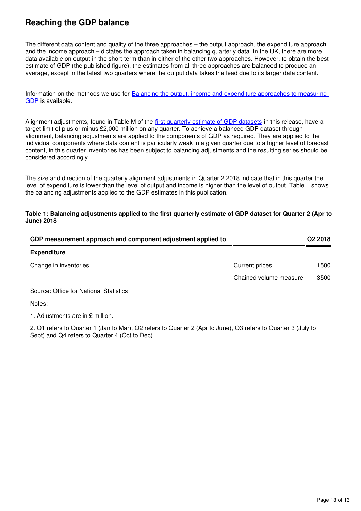# **Reaching the GDP balance**

The different data content and quality of the three approaches – the output approach, the expenditure approach and the income approach – dictates the approach taken in balancing quarterly data. In the UK, there are more data available on output in the short-term than in either of the other two approaches. However, to obtain the best estimate of GDP (the published figure), the estimates from all three approaches are balanced to produce an average, except in the latest two quarters where the output data takes the lead due to its larger data content.

Information on the methods we use for [Balancing the output, income and expenditure approaches to measuring](http://webarchive.nationalarchives.gov.uk/20160105160709/http:/www.ons.gov.uk/ons/rel/naa1-rd/united-kingdom-national-accounts/the-blue-book--2012-edition/art---balancing-the-three-approaches-to-measuring-gdp.html)  [GDP](http://webarchive.nationalarchives.gov.uk/20160105160709/http:/www.ons.gov.uk/ons/rel/naa1-rd/united-kingdom-national-accounts/the-blue-book--2012-edition/art---balancing-the-three-approaches-to-measuring-gdp.html) is available.

Alignment adjustments, found in Table M of the [first quarterly estimate of GDP datasets](https://www.ons.gov.uk/economy/grossdomesticproductgdp/datasets/uksecondestimateofgdpdatatables) in this release, have a target limit of plus or minus £2,000 million on any quarter. To achieve a balanced GDP dataset through alignment, balancing adjustments are applied to the components of GDP as required. They are applied to the individual components where data content is particularly weak in a given quarter due to a higher level of forecast content, in this quarter inventories has been subject to balancing adjustments and the resulting series should be considered accordingly.

The size and direction of the quarterly alignment adjustments in Quarter 2 2018 indicate that in this quarter the level of expenditure is lower than the level of output and income is higher than the level of output. Table 1 shows the balancing adjustments applied to the GDP estimates in this publication.

#### **Table 1: Balancing adjustments applied to the first quarterly estimate of GDP dataset for Quarter 2 (Apr to June) 2018**

|                        | Q2 2018 |
|------------------------|---------|
|                        |         |
| <b>Current prices</b>  | 1500    |
| Chained volume measure | 3500    |
|                        |         |

Source: Office for National Statistics

Notes:

1. Adjustments are in £ million.

2. Q1 refers to Quarter 1 (Jan to Mar), Q2 refers to Quarter 2 (Apr to June), Q3 refers to Quarter 3 (July to Sept) and Q4 refers to Quarter 4 (Oct to Dec).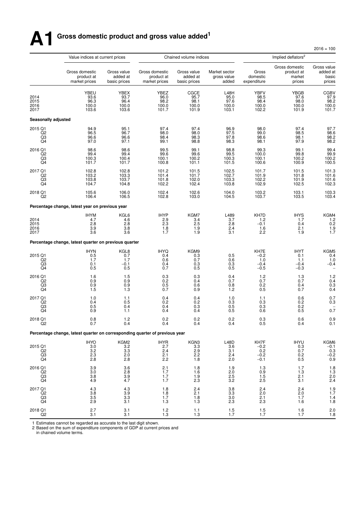# **A1 Gross domestic product and gross value added<sup>1</sup>**

 $2016 = 100$ 

|                                                                        | Value indices at current prices                                             |                                         |                                               | Chained volume indices                  |                                               | Implied deflators <sup>2</sup><br>Gross<br>domestic<br>expenditure<br><b>YBFV</b><br>98.5<br>98.4<br>100.0<br>102.2<br>98.0<br>99.0<br>98.6<br>98.1<br>99.3<br>100.0<br>100.1<br>100.6<br>101.7<br>101.9<br>102.2<br>102.9<br>103.2<br>103.7<br>KH7D<br>1.2<br>$-0.1$<br>1.6<br>2.2<br>KH7E<br>$-0.2$<br>1.0<br>$-0.4$<br>$-0.5$<br>1.2<br>0.7<br>0.2<br>0.5<br>1.1<br>0.3<br>0.3<br>0.6<br>0.3<br>0.5 |                                                  |                                                             |
|------------------------------------------------------------------------|-----------------------------------------------------------------------------|-----------------------------------------|-----------------------------------------------|-----------------------------------------|-----------------------------------------------|--------------------------------------------------------------------------------------------------------------------------------------------------------------------------------------------------------------------------------------------------------------------------------------------------------------------------------------------------------------------------------------------------------|--------------------------------------------------|-------------------------------------------------------------|
|                                                                        | Gross domestic<br>product at<br>market prices                               | Gross value<br>added at<br>basic prices | Gross domestic<br>product at<br>market prices | Gross value<br>added at<br>basic prices | Market sector<br>gross value<br>added         |                                                                                                                                                                                                                                                                                                                                                                                                        | Gross domestic<br>product at<br>market<br>prices | Gross value<br>added at<br>basic<br>prices                  |
| 2014<br>2015<br>2016<br>2017                                           | YBEU<br>93.6<br>96.3<br>100.0<br>103.6                                      | YBEX<br>93.7<br>96.4<br>100.0<br>103.6  | YBEZ<br>96.0<br>98.2<br>100.0<br>101.7        | CGCE<br>95.7<br>98.1<br>100.0<br>101.9  | <b>L48H</b><br>95.0<br>97.6<br>100.0<br>103.1 |                                                                                                                                                                                                                                                                                                                                                                                                        | <b>YBGB</b><br>97.6<br>98.0<br>100.0<br>101.9    | CGBV<br>97.9<br>98.2<br>100.0<br>101.7                      |
| <b>Seasonally adjusted</b>                                             |                                                                             |                                         |                                               |                                         |                                               |                                                                                                                                                                                                                                                                                                                                                                                                        |                                                  |                                                             |
| 2015 Q1<br>Q2<br>Q3<br>Q4                                              | 94.9<br>96.5<br>96.6<br>97.0                                                | 95.1<br>96.7<br>96.6<br>97.1            | 97.4<br>98.0<br>98.4<br>99.1                  | 97.4<br>98.0<br>98.3<br>98.8            | 96.9<br>97.5<br>97.8<br>98.3                  |                                                                                                                                                                                                                                                                                                                                                                                                        | 97.4<br>98.5<br>98.1<br>97.9                     | 97.7<br>98.6<br>98.2<br>98.2                                |
| 2016 Q1<br>Q2<br>Q3<br>Q <sub>4</sub>                                  | 98.6<br>99.4<br>100.3<br>101.7                                              | 98.6<br>99.4<br>100.4<br>101.7          | 99.5<br>99.6<br>100.1<br>100.8                | 99.1<br>99.6<br>100.2<br>101.1          | 98.8<br>99.5<br>100.3<br>101.5                |                                                                                                                                                                                                                                                                                                                                                                                                        | 99.1<br>99.8<br>100.2<br>100.9                   | 99.4<br>99.9<br>100.2<br>100.5                              |
| 2017 Q1<br>$^{Q2}_{Q3}$<br>Q <sub>4</sub>                              | 102.8<br>103.2<br>103.8<br>104.7                                            | 102.8<br>103.3<br>103.7<br>104.8        | 101.2<br>101.4<br>101.8<br>102.2              | 101.5<br>101.7<br>102.0<br>102.4        | 102.5<br>102.7<br>103.3<br>103.8              |                                                                                                                                                                                                                                                                                                                                                                                                        | 101.5<br>101.8<br>101.9<br>102.5                 | 101.3<br>101.6<br>101.6<br>102.3                            |
| 2018 Q1<br>Q2                                                          | 105.6<br>106.4                                                              | 106.0<br>106.5                          | 102.4<br>102.8                                | 102.6<br>103.0                          | 104.0<br>104.5                                |                                                                                                                                                                                                                                                                                                                                                                                                        | 103.1<br>103.5                                   | 103.3<br>103.4                                              |
|                                                                        | Percentage change, latest year on previous year                             |                                         |                                               |                                         |                                               |                                                                                                                                                                                                                                                                                                                                                                                                        |                                                  |                                                             |
| 2014<br>2015<br>2016<br>2017                                           | <b>IHYM</b><br>4.7<br>2.8<br>3.9<br>3.6                                     | KGL6<br>4.6<br>2.8<br>3.8<br>3.6        | <b>IHYP</b><br>2.9<br>2.3<br>1.8<br>1.7       | KGM7<br>3.4<br>2.5<br>1.9<br>1.9        | L489<br>3.7<br>2.8<br>2.4<br>3.1              |                                                                                                                                                                                                                                                                                                                                                                                                        | <b>IHYS</b><br>1.7<br>0.4<br>2.1<br>1.9          | KGM4<br>1.2<br>0.2<br>$\frac{1.9}{1.7}$                     |
|                                                                        | Percentage change, latest quarter on previous quarter                       |                                         |                                               |                                         |                                               |                                                                                                                                                                                                                                                                                                                                                                                                        |                                                  |                                                             |
| 2015 Q1<br>Q <sub>2</sub><br>Q3<br>Q4                                  | <b>IHYN</b><br>0.5<br>1.7<br>0.1<br>0.5                                     | KGL8<br>0.7<br>1.7<br>$-0.1$<br>0.5     | <b>IHYQ</b><br>0.4<br>0.6<br>0.4<br>0.7       | KGM9<br>0.3<br>0.7<br>0.3<br>0.5        | 0.5<br>0.6<br>0.3<br>0.5                      |                                                                                                                                                                                                                                                                                                                                                                                                        | <b>IHYT</b><br>0.1<br>1.1<br>$-0.4$<br>$-0.3$    | KGM5<br>0.4<br>1.0<br>$-0.4$                                |
| 2016 Q1<br>Q <sub>2</sub><br>Q3<br>Q <sub>4</sub>                      | 1.6<br>0.9<br>0.9<br>1.5                                                    | 1.5<br>0.9<br>0.9<br>1.3                | 0.3<br>0.2<br>0.5<br>0.7                      | 0.3<br>0.4<br>0.6<br>0.9                | 0.4<br>0.7<br>0.8<br>1.2                      |                                                                                                                                                                                                                                                                                                                                                                                                        | 1.3<br>0.7<br>0.4<br>0.7                         | $1.2$<br>0.4<br>$0.3$<br>$0.4$                              |
| 2017 Q1<br>Q2<br>Q <sub>3</sub><br>Q4                                  | 1.0<br>0.4<br>0.5<br>0.9                                                    | 1.1<br>0.5<br>0.4<br>1.1                | 0.4<br>0.2<br>0.4<br>0.4                      | 0.4<br>0.2<br>0.3<br>0.4                | 1.0<br>$0.\overline{3}$<br>0.5<br>0.5         |                                                                                                                                                                                                                                                                                                                                                                                                        | 0.6<br>0.2<br>0.2<br>0.5                         | 0.7<br>0.3<br>0.7                                           |
| 2018 Q1                                                                | 0.8<br>0.7                                                                  | 1.2<br>0.4                              | 0.2<br>0.4                                    | 0.2<br>0.4                              | 0.2<br>0.4                                    |                                                                                                                                                                                                                                                                                                                                                                                                        | 0.6<br>0.4                                       | 0.9<br>0.1                                                  |
|                                                                        | Percentage change, latest quarter on corresponding quarter of previous year |                                         |                                               |                                         |                                               |                                                                                                                                                                                                                                                                                                                                                                                                        |                                                  |                                                             |
| 2015 Q1<br>$^{02}_{03}$<br>Q <sub>4</sub>                              | <b>IHYO</b><br>$\begin{array}{c} 3.0 \\ 3.2 \\ 2.3 \end{array}$<br>2.8      | KGM2<br>3.2<br>$\frac{3.3}{2.0}$<br>2.8 | <b>IHYR</b><br>2.7<br>$^{2.4}_{2.1}$<br>2.2   | KGN3<br>3.3<br>$^{2.9}_{2.2}$<br>1.8    | L48D<br>3.6<br>3.1<br>2.4<br>2.0              | KH7F<br>$-0.2$<br>$^{0.2}_{-0.2}$<br>$-0.1$                                                                                                                                                                                                                                                                                                                                                            | <b>IHYU</b><br>0.3<br>0.7<br>0.2<br>0.5          | KGM6<br>$-0.1$<br>0.3<br>$-0.2$<br>0.9                      |
| 2016 Q1<br>Q2<br>Q3<br>Q4                                              | 3.9<br>3.0<br>3.8<br>4.9                                                    | 3.6<br>2.8<br>$3.9$<br>$4.7$            | 2.1<br>1.7<br>1.7<br>1.7                      | 1.8<br>1.6<br>1.9<br>$2.\overline{3}$   | 1.9<br>$2.0$<br>$2.5$<br>$3.2$                | 1.3<br>0.9<br>1.5<br>$2.\overline{5}$                                                                                                                                                                                                                                                                                                                                                                  | 1.7<br>1.3<br>2.1<br>3.1                         | $\begin{array}{c} 1.8 \\ 1.3 \\ 2.0 \\ 2.4 \end{array}$     |
| 2017 Q1<br>Q2<br>$\begin{array}{c} \text{Q3} \\ \text{Q4} \end{array}$ | 4.3<br>$3.\overline{8}$<br>3.5<br>2.9                                       | $\frac{4.3}{3.9}$<br>3.3<br>3.1         | 1.8<br>$1.\overline{8}$<br>1.7<br>1.3         | 2.4<br>2.1<br>1.8<br>1.3                | $\frac{3.8}{3.3}$<br>3.0<br>2.3               | 2.4<br>2.0<br>2.1<br>2.3                                                                                                                                                                                                                                                                                                                                                                               | 2.4<br>2.0<br>1.7<br>1.6                         | $1.9$<br>$1.7$<br>$\begin{array}{c} 1.4 \\ 1.8 \end{array}$ |
| 2018 Q1<br>Q <sub>2</sub>                                              | 2.7<br>3.1                                                                  | 3.1<br>3.1                              | 1.2<br>1.3                                    | 1.1<br>1.3                              | $\frac{1.5}{1.7}$                             | $\frac{1.5}{1.7}$                                                                                                                                                                                                                                                                                                                                                                                      | 1.6<br>1.7                                       | $^{2.0}_{1.8}$                                              |

1 Estimates cannot be regarded as accurate to the last digit shown.

2 Based on the sum of expenditure components of GDP at current prices and in chained volume terms.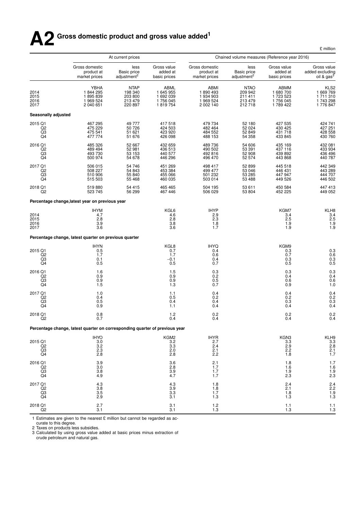# **A2 Gross domestic product and gross value added<sup>1</sup>**

|                                           |                                                                             | At current prices                                       |                                                                               | Chained volume measures (Reference year 2016)<br>Gross domestic<br>less<br>Gross value |                                                        |                                                            |                                                                  |  |  |
|-------------------------------------------|-----------------------------------------------------------------------------|---------------------------------------------------------|-------------------------------------------------------------------------------|----------------------------------------------------------------------------------------|--------------------------------------------------------|------------------------------------------------------------|------------------------------------------------------------------|--|--|
|                                           | Gross domestic<br>product at<br>market prices                               | less<br><b>Basic price</b><br>adjustment <sup>2</sup>   | Gross value<br>added at<br>basic prices                                       | product at<br>market prices                                                            | <b>Basic price</b><br>adjustment <sup>2</sup>          | added at<br>basic prices                                   | Gross value<br>added excluding<br>oil & gas <sup>3</sup>         |  |  |
| 2014<br>2015<br>2016<br>2017              | YBHA<br>1844295<br>1895839<br>1 969 524<br>2 040 651                        | <b>NTAP</b><br>198 340<br>203 800<br>213 479<br>220 897 | ABML<br>1 645 955<br>1 692 039<br>1756 045<br>1819754                         | ABMI<br>1890493<br>1 934 903<br>1 969 524<br>2 002 140                                 | <b>NTAO</b><br>209 942<br>211 411<br>213 479<br>212718 | ABMM<br>1680700<br>1723523<br>1756045<br>1789422           | KLS <sub>2</sub><br>1 669 769<br>1711310<br>1743298<br>1 776 847 |  |  |
| Seasonally adjusted                       |                                                                             |                                                         |                                                                               |                                                                                        |                                                        |                                                            |                                                                  |  |  |
| 2015 Q1<br>$_{\rm Q3}^{\rm Q2}$<br>Q4     | 467 295<br>475 229<br>475 541<br>477 774                                    | 49 777<br>50 726<br>51 621<br>51 676                    | 417518<br>424 503<br>423 920<br>426 098                                       | 479 734<br>482 464<br>484 552<br>488 153                                               | 52 180<br>52 024<br>52 849<br>54 358                   | 427 535<br>430 425<br>431 718<br>433 845                   | 424 741<br>427 251<br>428 558<br>430 760                         |  |  |
| 2016 Q1<br>$_{\rm Q2}$<br>$\frac{Q3}{Q4}$ | 485 326<br>489 494<br>493 730<br>500 974                                    | 52 667<br>52 981<br>53 153<br>54 678                    | 432 659<br>436 513<br>440 577<br>446 296                                      | 489 736<br>490 502<br>492 816<br>496 470                                               | 54 606<br>53 391<br>52 908<br>52 574                   | 435 169<br>437 116<br>439 892<br>443 868                   | 432 081<br>433 934<br>436 496<br>440 787                         |  |  |
| 2017 Q1<br>Q2<br>Q3<br>Q4                 | 506 015<br>508 227<br>510 906<br>515 503                                    | 54 746<br>54 843<br>55 840<br>55 468                    | 451 269<br>453 384<br>455 066<br>460 035                                      | 498 417<br>499 477<br>501 232<br>503 014                                               | 52 899<br>53 046<br>53 285<br>53 488                   | 445 518<br>446 431<br>447 947<br>449 526                   | 442 349<br>443 289<br>444 707<br>446 502                         |  |  |
| 2018 Q1<br>Q2                             | 519880<br>523 745                                                           | 54 415<br>56 299                                        | 465 465<br>467 446                                                            | 504 195<br>506 029                                                                     | 53 611<br>53 804                                       | 450 584<br>452 225                                         | 447 413<br>449 052                                               |  |  |
|                                           | Percentage change, latest year on previous year                             |                                                         |                                                                               |                                                                                        |                                                        |                                                            |                                                                  |  |  |
| 2014<br>2015<br>2016<br>2017              | <b>IHYM</b><br>4.7<br>2.8<br>$\overline{3.9}$<br>3.6                        |                                                         | KGL6<br>4.6<br>2.8<br>$3.\overline{8}$<br>3.6                                 | <b>IHYP</b><br>2.9<br>2.3<br>$1.\overline{8}$<br>1.7                                   |                                                        | KGM7<br>3.4<br>$^{2.5}_{1.9}$<br>1.9                       | KLH8<br>3.4<br>2.5<br>1.9<br>1.9                                 |  |  |
|                                           | Percentage change, latest quarter on previous quarter                       |                                                         |                                                                               |                                                                                        |                                                        |                                                            |                                                                  |  |  |
| 2015 Q1<br>Q2<br>$\frac{Q3}{Q4}$          | $^{IHYN}_{0.5}$<br>1.7<br>0.1<br>0.5                                        |                                                         | KGL8<br>0.7<br>1.7<br>$-0.1$<br>0.5                                           | <b>IHYQ</b><br>0.4<br>0.6<br>$0.4 \ 0.7$                                               |                                                        | KGM9<br>$0.\overline{3}$<br>0.7<br>$\substack{0.3 \\ 0.5}$ | 0.3<br>0.6<br>$0.3$<br>$0.5$                                     |  |  |
| 2016 Q1<br>Q <sub>2</sub><br>Q3<br>Q4     | 1.6<br>0.9<br>0.9<br>1.5                                                    |                                                         | $\!\!\!\!\begin{array}{c} 1.5 \\ 0.9 \end{array}\!\!\!\!\!\!\!$<br>0.9<br>1.3 | $0.3 \ 0.2$<br>0.5<br>0.7                                                              |                                                        | ${}^{0.3}_{0.4}$<br>0.6<br>0.9                             | $0.3$<br>$0.4$<br>0.6<br>1.0                                     |  |  |
| 2017 Q1<br>Q <sub>2</sub><br>Q3<br>Q4     | 1.0<br>0.4<br>0.5<br>0.9                                                    |                                                         | 1.1<br>0.5<br>0.4<br>1.1                                                      | 0.4<br>0.2<br>0.4<br>0.4                                                               |                                                        | 0.4<br>0.2<br>0.3<br>0.4                                   | 0.4<br>$0.2$<br>$0.3$<br>$0.4$                                   |  |  |
| 2018 Q1<br>Q2                             | $0.8 \ 0.7$                                                                 |                                                         | $1.2$<br>0.4                                                                  | 0.2<br>0.4                                                                             |                                                        | $0.2 \\ 0.4$                                               | $0.2$<br>$0.4$                                                   |  |  |
|                                           | Percentage change, latest quarter on corresponding quarter of previous year |                                                         |                                                                               |                                                                                        |                                                        |                                                            |                                                                  |  |  |
| 2015 Q1<br>Q2<br>Q3<br>Q4                 | <b>IHYO</b><br>$\frac{3.0}{3.2}$<br>2.3<br>2.8                              |                                                         | KGM2<br>3.2<br>3.3<br>2.0<br>2.8                                              | IHYR<br>2.7<br>2.4<br>2.1<br>2.2                                                       |                                                        | KGN3<br>$\frac{3.3}{2.9}$<br>2.2<br>1.8                    | KLH9<br>$3.\overline{3}$<br>2.8<br>2.1<br>1.7                    |  |  |
| 2016 Q1<br>Q2<br>Q3<br>Q4                 | $\frac{3.9}{3.0}$<br>3.8<br>4.9                                             |                                                         | $\frac{3.6}{2.8}$<br>3.9<br>4.7                                               | 2.1<br>1.7<br>1.7<br>1.7                                                               |                                                        | 1.8<br>1.6<br>1.9<br>2.3                                   | 1.7<br>1.6<br>1.9<br>2.3                                         |  |  |
| 2017 Q1<br>Q2<br>$^{Q3}_{Q4}$             | 4.3<br>3.8<br>$\overline{3.5}$<br>2.9                                       |                                                         | 4.3<br>3.9<br>3.3<br>3.1                                                      | 1.8<br>1.8<br>1.7<br>1.3                                                               |                                                        | 2.4<br>2.1<br>1.8<br>$1.\overline{3}$                      | 2.4<br>2.2<br>1.9<br>1.3                                         |  |  |
| 2018 Q1<br>Q2                             | 2.7<br>3.1                                                                  |                                                         | 3.1<br>3.1                                                                    | $\frac{1.2}{1.3}$                                                                      |                                                        | 1.1<br>1.3                                                 | 1.1<br>1.3                                                       |  |  |

£ million

1 Estimates are given to the nearest £ million but cannot be regarded as accurate to this degree.

2 Taxes on products less subsidies. 3 Calculated by using gross value added at basic prices minus extraction of cr ude petroleum and natural gas.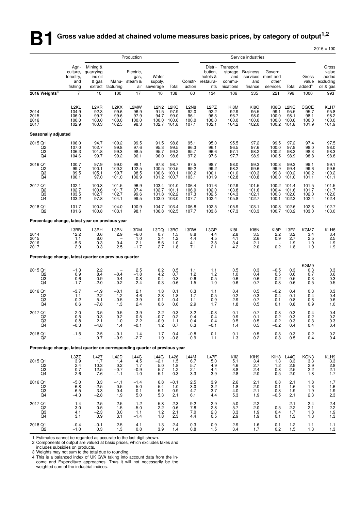# **B1** Gross value added at chained volume measures basic prices, by category of output<sup>1,2</sup>

|                                                                             |                                                      |                                                      |                                                       |                                        |                                            |                                             |                                                                 |                                                     |                                                    |                                               |                                                |                                                                 |                                        | $2016 = 100$                                      |
|-----------------------------------------------------------------------------|------------------------------------------------------|------------------------------------------------------|-------------------------------------------------------|----------------------------------------|--------------------------------------------|---------------------------------------------|-----------------------------------------------------------------|-----------------------------------------------------|----------------------------------------------------|-----------------------------------------------|------------------------------------------------|-----------------------------------------------------------------|----------------------------------------|---------------------------------------------------|
|                                                                             |                                                      |                                                      |                                                       | Production                             |                                            |                                             |                                                                 |                                                     |                                                    | Service industries                            |                                                |                                                                 |                                        |                                                   |
|                                                                             | Agri-<br>culture,<br>forestry,<br>and<br>fishing     | Mining &<br>quarrying<br>inc oil<br>& gas<br>extract | Manu-<br>facturing                                    | Electric,<br>gas,<br>steam &           | Water<br>supply,<br>air sewerage           | Total                                       | Constr-<br>uction                                               | Distri-<br>bution,<br>hotels &<br>restaura-<br>nts  | Transport<br>storage<br>and<br>commu-<br>nications | <b>Business</b><br>services<br>and<br>finance | Govern-<br>ment and<br>other<br>services       | Total                                                           | Gross<br>value<br>added <sup>4</sup>   | Gross<br>value<br>added<br>excluding<br>oil & gas |
| 2016 Weights <sup>3</sup>                                                   | $\overline{7}$                                       | 10                                                   | 100                                                   | 17                                     | 10                                         | 138                                         | 60                                                              | 134                                                 | 106                                                | 335                                           | 221                                            | 796                                                             | 1000                                   | 993                                               |
| 2014<br>2015<br>2016<br>2017                                                | L <sub>2KL</sub><br>104.9<br>106.0<br>100.0<br>102.9 | L <sub>2</sub> KR<br>92.3<br>99.7<br>100.0<br>100.3  | L <sub>2</sub> KX<br>99.6<br>99.6<br>100.0<br>102.5   | L2MW<br>96.9<br>97.9<br>100.0<br>98.3  | 91.5<br>94.7<br>100.0<br>102.7             | L2N2 L2KQ<br>97.9<br>99.0<br>100.0<br>101.8 | L <sub>2</sub> N <sub>8</sub><br>92.0<br>96.1<br>100.0<br>107.1 | L <sub>2</sub> PZ<br>92.2<br>96.3<br>100.0<br>102.1 | KI8M<br>92.9<br>96.7<br>100.0<br>104.2             | KI8O<br>95.5<br>98.0<br>100.0<br>102.0        | KI8Q<br>99.1<br>100.0<br>100.0<br>100.2        | L <sub>2</sub> N <sub>C</sub><br>95.5<br>98.1<br>100.0<br>101.8 | CGCE<br>95.7<br>98.1<br>100.0<br>101.9 | KLH7<br>95.8<br>98.2<br>100.0<br>101.9            |
| Seasonally adjusted                                                         |                                                      |                                                      |                                                       |                                        |                                            |                                             |                                                                 |                                                     |                                                    |                                               |                                                |                                                                 |                                        |                                                   |
| 2015 Q1<br>Q <sub>2</sub><br>Q3<br>Q4                                       | 106.0<br>107.0<br>106.3<br>104.6                     | 94.7<br>102.7<br>101.8<br>99.7                       | 100.2<br>99.8<br>99.3<br>99.2                         | 99.5<br>97.6<br>98.5<br>96.1           | 91.5<br>95.3<br>95.7<br>96.0               | 98.8<br>99.5<br>99.2<br>98.6                | 95.1<br>96.3<br>95.7<br>97.2                                    | 95.0<br>96.1<br>96.6<br>97.6                        | 95.5<br>96.5<br>97.1<br>97.7                       | 97.2<br>97.6<br>98.2<br>98.9                  | 99.5<br>100.0<br>100.2<br>100.5                | 97.2<br>97.9<br>98.3<br>98.9                                    | 97.4<br>98.0<br>98.3<br>98.8           | 97.5<br>98.0<br>98.3<br>98.8                      |
| 2016 Q1<br>Q <sub>2</sub><br>Q3<br>Q4                                       | 100.7<br>99.7<br>99.5<br>100.1                       | 97.9<br>100.1<br>105.1<br>97.0                       | 99.0<br>100.2<br>99.7<br>101.0                        | 98.1<br>102.5<br>98.5<br>100.9         | 97.8<br>100.5<br>100.6<br>101.2            | 98.7<br>100.5<br>100.1<br>100.7             | 97.5<br>99.2<br>100.2<br>103.1                                  | 98.7<br>99.2<br>100.1<br>101.9                      | 98.0<br>98.2<br>101.0<br>102.8                     | 99.3<br>99.6<br>100.3<br>100.8                | 100.3<br>99.9<br>99.8<br>100.0                 | 99.3<br>99.4<br>100.2<br>101.0                                  | 99.1<br>99.6<br>100.2<br>101.1         | 99.1<br>99.6<br>100.2<br>101.1                    |
| 2017 Q1<br>Q2<br>Q3<br>Q4                                                   | 102.1<br>102.7<br>103.5<br>103.2                     | 100.3<br>100.6<br>102.7<br>97.8                      | 101.5<br>101.7<br>102.7<br>104.1                      | 96.9<br>97.4<br>99.6<br>99.5           | 103.4<br>102.7<br>101.8<br>103.0           | 101.0<br>101.1<br>102.2<br>103.0            | 106.4<br>106.9<br>107.3<br>107.7                                | 101.6<br>102.0<br>102.5<br>102.4                    | 102.9<br>103.8<br>104.3<br>105.8                   | 101.5<br>101.6<br>102.1<br>102.7              | 100.2<br>100.4<br>100.3                        | 101.4<br>101.6<br>102.0<br>100.1 102.3                          | 101.5<br>101.7<br>102.0<br>102.4       | 101.5<br>101.7<br>102.0<br>102.4                  |
| 2018 Q1<br>Q2                                                               | 101.7<br>101.6                                       | 100.2<br>100.8                                       | 104.0<br>103.1                                        | 100.9<br>98.1                          | 106.8                                      | 104.7 103.4<br>102.5                        | 106.8<br>107.7                                                  | 102.5<br>103.6                                      | 105.9<br>107.3                                     | 103.1<br>103.3                                | 100.3<br>100.7                                 | 102.6<br>103.2                                                  | 102.6<br>103.0                         | 102.7<br>103.0                                    |
| Percentage change, latest year on previous year                             |                                                      |                                                      |                                                       |                                        |                                            |                                             |                                                                 |                                                     |                                                    |                                               |                                                |                                                                 |                                        |                                                   |
| 2014<br>2015<br>2016<br>2017                                                | L3BB<br>12.2<br>1.1<br>$-5.6$<br>2.9                 | L3BH<br>0.6<br>8.0<br>0.3<br>0.3                     | L3BN<br>2.9<br>$\overline{\phantom{a}}$<br>0.4<br>2.5 | L3DM<br>$-6.0$<br>1.0<br>2.1<br>$-1.7$ | L3DQ<br>0.7<br>3.4<br>5.6<br>2.7           | L3BG<br>1.5<br>1.2<br>1.0<br>1.8            | L3DW<br>8.8<br>4.4<br>4.1<br>7.1                                | L3GP<br>4.4<br>4.5<br>3.8<br>2.1                    | KI8L<br>2.8<br>4.1<br>3.4<br>4.2                   | KI8N<br>3.5<br>2.6<br>2.1<br>2.0              | KI8P<br>2.2<br>0.9<br>$\qquad \qquad -$<br>0.2 | L3E2<br>3.2<br>2.7<br>1.9<br>1.8                                | KGM7<br>3.4<br>2.5<br>1.9<br>1.9       | KLH8<br>3.4<br>2.5<br>$\frac{1.9}{1.9}$           |
| Percentage change, latest quarter on previous quarter                       |                                                      |                                                      |                                                       |                                        |                                            |                                             |                                                                 |                                                     |                                                    |                                               |                                                |                                                                 |                                        |                                                   |
| 2015 Q1<br>Q2<br>Q3<br>Q4                                                   | $-1.3$<br>0.9<br>$-0.6$<br>$-1.7$                    | 2.2<br>8.4<br>$-0.9$<br>$-2.0$                       | $-0.4$<br>$-0.4$<br>$-0.2$                            | 2.5<br>$-1.8$<br>0.8<br>$-2.4$         | 0.2<br>4.2<br>0.4<br>0.3                   | 0.5<br>0.7<br>$-0.3$<br>$-0.6$              | 1.1<br>1.2<br>$-0.6$<br>1.5                                     | 1.1<br>$1.2$<br>0.5<br>1.0                          | 0.5<br>1.0<br>0.6<br>0.6                           | 0.3<br>0.4<br>0.6<br>0.7                      | $-0.5$<br>0.5<br>0.2<br>0.3                    | 0.3<br>0.6<br>0.5<br>0.6                                        | KGM9<br>0.3<br>0.7<br>0.3<br>0.5       | $0.3$<br>$0.6$<br>0.3<br>0.5                      |
| 2016 Q1<br>Q2<br>$^{Q3}_{Q4}$                                               | $-3.7$<br>$-1.1$<br>$-0.2$<br>0.6                    | $-1.9$<br>2.2<br>5.1<br>$-7.8$                       | $-0.1$<br>1.2<br>$-0.5$<br>1.3                        | 2.1<br>4.6<br>$-3.9$<br>2.4            | 1.8<br>2.8<br>0.1<br>0.6                   | 0.1<br>1.8<br>$-0.4$<br>0.6                 | 0.3<br>1.7<br>1.1<br>2.9                                        | 1.1<br>0.5<br>$0.9$<br>1.7                          | 0.4<br>0.2<br>2.9<br>1.8                           | 0.5<br>0.3<br>0.7<br>0.5                      | $-0.2$<br>$-0.4$<br>$-0.1$<br>0.1              | 0.4<br>0.1<br>0.8<br>0.8                                        | 0.3<br>0.4<br>0.6<br>0.9               | 0.3<br>0.4<br>0.6<br>1.0                          |
| 2017 Q1<br>Q2<br>Q3<br>Q4                                                   | 2.0<br>0.5<br>0.8<br>$-0.3$                          | 3.5<br>0.3<br>2.1<br>$-4.8$                          | 0.5<br>0.2<br>1.0<br>1.4                              | $-3.9$<br>0.5<br>2.2<br>$-0.1$         | 2.2<br>-0.7<br>$-0.9$<br>1.2               | 0.3<br>0.2<br>1.1<br>0.7                    | 3.2<br>0.4<br>0.4<br>0.3                                        | $-0.3$<br>0.4<br>0.4<br>$-0.1$                      | 0.1<br>0.9<br>0.5<br>1.4                           | 0.7<br>0.1<br>0.5<br>0.5                      | 0.3<br>0.2<br>$-0.2$<br>$-0.2$                 | 0.3<br>0.3<br>0.3<br>0.4                                        | 0.4<br>0.2<br>0.3<br>0.4               | 0.4<br>0.2<br>0.3<br>0.4                          |
| 2018 Q1<br>Q <sub>2</sub>                                                   | $-1.5$<br>$\overline{\phantom{0}}$                   | 2.5<br>0.7                                           | $-0.1$<br>$-0.9$                                      | 1.4<br>$-2.7$                          | 1.7<br>1.9                                 | 0.4<br>$-0.8$                               | $-0.8$<br>0.9                                                   | 0.1<br>1.1                                          | 0.1<br>1.3                                         | 0.5<br>0.2                                    | 0.3<br>0.3                                     | 0.3<br>0.5                                                      | 0.2<br>0.4                             | 0.2<br>0.4                                        |
| Percentage change, latest quarter on corresponding quarter of previous year |                                                      |                                                      |                                                       |                                        |                                            |                                             |                                                                 |                                                     |                                                    |                                               |                                                |                                                                 |                                        |                                                   |
| 2015 Q1<br>$_{\rm Q3}^{\rm Q2}$<br>Q4                                       | L3ZZ<br>3.9<br>2.4<br>0.7<br>$-2.6$                  | L427<br>1.7<br>10.3<br>12.5<br>7.6                   | L42D<br>1.4<br>0.2<br>$-0.7$<br>$-1.1$                | L44C<br>4.5<br>1.7<br>$-0.9$<br>$-1.0$ | L44G<br>$-2.1$<br>$\frac{5.0}{5.7}$<br>5.1 | L426<br>1.5<br>1.8<br>1.2<br>0.3            | L44M<br>6.7<br>5.7<br>2.1<br>3.3                                | L47F<br>$5.0\,$<br>4.9<br>4.4<br>3.9                | KII <sub>2</sub><br>5.1<br>4.6<br>3.8<br>2.8       | KIH9<br>3.4<br>$^{2.7}_{2.4}$<br>2.0          | KIH8<br>1.3<br>1.2<br>0.8<br>0.5               | L44Q<br>3.3<br>2.9<br>$\overline{2.5}$<br>2.0                   | KGN3<br>3.3<br>2.9<br>2.2<br>1.8       | KLH9<br>3.3<br>2.8<br>2.1<br>1.7                  |
| 2016 Q1<br>Q2<br>$_{\rm Q4}^{\rm Q3}$                                       | $-5.0$<br>$-6.8$<br>$-6.5$<br>$-4.3$                 | 3.3<br>$-2.5$<br>3.3<br>$-2.8$                       | $-1.1$<br>0.5<br>0.4<br>1.9                           | $-1.4$<br>5.0<br>0.1<br>5.0            | 6.8<br>5.4<br>$\frac{5.1}{5.3}$            | $-0.1$<br>1.0<br>0.9<br>2.1                 | 2.5<br>3.0<br>4.7<br>6.1                                        | 3.9<br>$3.2\,$<br>3.7<br>4.4                        | 2.6<br>1.8<br>4.0<br>5.3                           | 2.1<br>2.0<br>$^{2.1}_{1.9}$                  | 0.8<br>$-0.1$<br>$-0.3$<br>$-0.5$              | 2.1<br>1.6<br>1.9<br>2.1                                        | 1.8<br>1.6<br>1.9<br>2.3               | 1.7<br>1.6<br>$\frac{1.9}{2.3}$                   |
| 2017 Q1<br>Q2<br>Q3<br>Q4                                                   | 1.4<br>3.0<br>4.1<br>3.1                             | 2.5<br>0.5<br>$-2.3$<br>0.9                          | $\frac{2.5}{1.5}$<br>$3.0\,$<br>3.1                   | $-1.2$<br>$-5.0$<br>1.1<br>$-1.4$      | $\frac{5.8}{2.2}$<br>1.2<br>1.8            | 2.3<br>0.6<br>2.1<br>2.3                    | $\frac{9.2}{7.8}$<br>7.0<br>4.4                                 | $^{2.9}_{2.8}$<br>2.3<br>0.5                        | $\frac{5.0}{5.7}$<br>3.3<br>2.9                    | 2.2<br>2.0<br>1.9<br>1.9                      | 0.5<br>0.4<br>0.1                              | $^{2.1}_{2.2}$<br>1.7<br>1.3                                    | 2.4<br>2.1<br>1.8<br>1.3               | $^{2.4}_{2.2}$<br>1.9<br>1.3                      |
| 2018 Q1<br>Q <sub>2</sub>                                                   | $-0.4$<br>$-1.0$                                     | $-0.1$<br>0.3                                        | 2.5<br>1.3                                            | 4.1<br>0.8                             | 1.3<br>3.9                                 | 2.4<br>1.4                                  | 0.3<br>0.8                                                      | 0.9<br>1.5                                          | 2.9<br>3.4                                         | 1.6<br>1.7                                    | 0.1<br>0.2                                     | $1.2$<br>1.5                                                    | 1.1<br>1.3                             | 1.1<br>1.3                                        |

1 Estimates cannot be regarded as accurate to the last digit shown.

2 Components of output are valued at basic prices, which excludes taxes and

includes subsidies on products.

3 Weights may not sum to the total due to rounding.

4 This is a balanced index of UK GVA taking into account data from the Income and Expenditure approaches. Thus it will not necessarily be the weighted sum of the industrial indices.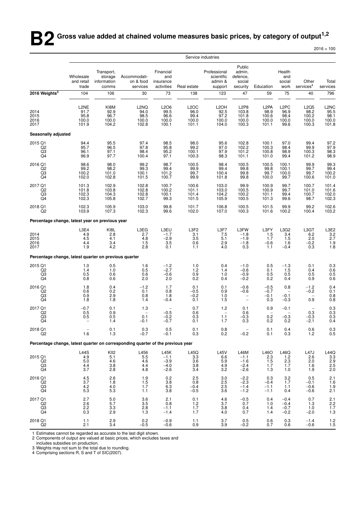**B2** Gross value added at chained volume measures basic prices, by category of output<sup>1,2</sup>

 $2016 = 100$ 

|                                                                                 |                                                                                          | Service industries<br>Public<br>Transport,<br>Financial<br>Professional<br>admin,<br>Health<br>Wholesale<br>storage<br>Accommodati-<br>and<br>scientific<br>defence,<br>and<br>Other<br>and retail<br>information<br>on & food<br>insurance<br>admin &<br>social<br>social<br>services <sup>4</sup><br>Real estate<br>Education<br>work<br>trade<br>comms<br>services<br>activities<br>support<br>security |                                                     |                                                         |                                                               |                                                         |                                                                   |                                                      |                                                     |                                                     |                                                                       |
|---------------------------------------------------------------------------------|------------------------------------------------------------------------------------------|------------------------------------------------------------------------------------------------------------------------------------------------------------------------------------------------------------------------------------------------------------------------------------------------------------------------------------------------------------------------------------------------------------|-----------------------------------------------------|---------------------------------------------------------|---------------------------------------------------------------|---------------------------------------------------------|-------------------------------------------------------------------|------------------------------------------------------|-----------------------------------------------------|-----------------------------------------------------|-----------------------------------------------------------------------|
|                                                                                 |                                                                                          |                                                                                                                                                                                                                                                                                                                                                                                                            |                                                     |                                                         |                                                               |                                                         |                                                                   |                                                      |                                                     |                                                     | Total<br>services                                                     |
| 2016 Weights <sup>3</sup>                                                       | 104                                                                                      | 106                                                                                                                                                                                                                                                                                                                                                                                                        | 30                                                  | 73                                                      | 138                                                           | 123                                                     | 47                                                                | 59                                                   | 75                                                  | 40                                                  | 796                                                                   |
| 2014<br>2015<br>2016<br>2017                                                    | L2NE<br>91.7<br>95.8<br>100.0<br>101.9                                                   | KI8M<br>92.9<br>96.7<br>100.0<br>104.2                                                                                                                                                                                                                                                                                                                                                                     | L <sub>2</sub> NQ<br>94.0<br>98.5<br>100.0<br>102.8 | L2O6<br>99.5<br>96.6<br>100.0<br>100.1                  | L <sub>2</sub> OC<br>96.0<br>99.4<br>100.0<br>101.1           | L <sub>2</sub> OH<br>92.5<br>97.2<br>100.0<br>104.0     | L <sub>2</sub> P <sub>8</sub><br>103.8<br>101.8<br>100.0<br>100.3 | L <sub>2</sub> PA<br>98.9<br>100.6<br>100.0<br>101.1 | L <sub>2</sub> PC<br>96.9<br>98.4<br>100.0<br>99.6  | L2Q5<br>98.2<br>100.2<br>100.0<br>100.3             | L2NC<br>95.5<br>98.1<br>100.0<br>101.8                                |
| Seasonally adjusted                                                             |                                                                                          |                                                                                                                                                                                                                                                                                                                                                                                                            |                                                     |                                                         |                                                               |                                                         |                                                                   |                                                      |                                                     |                                                     |                                                                       |
| 2015 Q1<br>Q <sub>2</sub><br>$\overline{Q}3$                                    | 94.4<br>95.7<br>96.1<br>96.9                                                             | 95.5<br>96.5<br>97.1<br>97.7                                                                                                                                                                                                                                                                                                                                                                               | 97.4<br>97.8<br>98.4<br>100.4                       | 98.5<br>95.8<br>95.2<br>97.1                            | 98.0<br>99.2<br>100.1<br>100.3                                | 95.6<br>97.0<br>97.9<br>98.3                            | 102.8<br>102.2<br>101.2<br>101.1                                  | 100.1<br>100.3<br>100.8<br>101.0                     | 97.0<br>98.4<br>98.9<br>99.4                        | 99.4<br>99.9<br>100.3<br>101.2                      | 97.2<br>97.9<br>98.3<br>98.9                                          |
| 2016 Q1<br>Q2<br>Q3<br>Q4                                                       | 98.6<br>99.2<br>100.2<br>102.0                                                           | 98.0<br>98.2<br>101.0<br>102.8                                                                                                                                                                                                                                                                                                                                                                             | 99.2<br>99.3<br>100.1<br>101.5                      | 98.7<br>99.4<br>101.2<br>100.7                          | 100.5<br>99.9<br>99.7<br>99.9                                 | 98.4<br>99.4<br>100.4<br>101.8                          | 100.5<br>99.8<br>99.8<br>99.8                                     | 100.5<br>99.8<br>99.7<br>100.0                       | 100.1<br>100.1<br>100.0<br>99.7                     | 99.9<br>99.7<br>99.7<br>100.6                       | 99.3<br>99.4<br>100.2<br>101.0                                        |
| 2017 Q1<br>$^{Q2}_{Q3}$<br>Q4                                                   | 101.3<br>101.8<br>102.3<br>102.3                                                         | 102.9<br>103.8<br>104.3<br>105.8                                                                                                                                                                                                                                                                                                                                                                           | 102.8<br>102.8<br>102.8<br>102.7                    | 100.7<br>100.2<br>100.1<br>99.3                         | 100.6<br>101.1<br>101.4<br>101.5                              | 103.0<br>103.0<br>104.2<br>105.9                        | 99.9<br>100.5<br>100.2<br>100.5                                   | 100.9<br>100.9<br>101.1<br>101.3                     | 99.7<br>99.7<br>99.4<br>99.6                        | 100.7<br>101.0<br>100.7<br>98.7                     | 101.4<br>101.6<br>102.0<br>102.3                                      |
| 2018 Q1<br>Q <sub>2</sub>                                                       | 102.3<br>103.9                                                                           | 105.9<br>107.3                                                                                                                                                                                                                                                                                                                                                                                             | 103.0<br>102.3                                      | 99.8<br>99.6                                            | 101.7<br>102.0                                                | 106.8<br>107.0                                          | 100.5<br>100.3                                                    | 101.5<br>101.6                                       | 99.9<br>100.2                                       | 99.2<br>100.4                                       | 102.6<br>103.2                                                        |
| Percentage change, latest year on previous year                                 |                                                                                          |                                                                                                                                                                                                                                                                                                                                                                                                            |                                                     |                                                         |                                                               |                                                         |                                                                   |                                                      |                                                     |                                                     |                                                                       |
| 2014<br>2015<br>2016<br>2017                                                    | L3E4<br>4.9<br>4.5<br>4.4<br>1.9                                                         | KI8L<br>2.8<br>4.1<br>3.4<br>4.2                                                                                                                                                                                                                                                                                                                                                                           | L3EG<br>2.7<br>4.8<br>1.5<br>2.8                    | L3EU<br>$-1.7$<br>$-2.9$<br>3.5<br>0.1                  | L3F2<br>3.1<br>3.5<br>0.6<br>1.1                              | L3F7<br>7.5<br>5.1<br>2.9<br>4.0                        | L3FW<br>$-1.8$<br>$-1.9$<br>$-1.8$<br>0.3                         | L3FY<br>1.5<br>$1.\overline{7}$<br>$-0.6$<br>1.1     | L3G2<br>3.4<br>1.5<br>1.6<br>$-0.4$                 | L3GT<br>6.2<br>2.0<br>$-0.2$<br>0.3                 | $L3E2$<br>$3.2$<br>$2.7$<br>$\begin{array}{c} 1.9 \\ 1.8 \end{array}$ |
| Percentage change, latest quarter on previous quarter                           |                                                                                          |                                                                                                                                                                                                                                                                                                                                                                                                            |                                                     |                                                         |                                                               |                                                         |                                                                   |                                                      |                                                     |                                                     |                                                                       |
| 2015 Q1<br>$\overline{Q}$ <sub>2</sub><br>Q4                                    | 1.0<br>$^{1.4}_{0.5}$<br>0.8                                                             | 0.5<br>1.0<br>0.6<br>0.6                                                                                                                                                                                                                                                                                                                                                                                   | 1.6<br>0.5<br>0.6<br>2.0                            | $-1.2$<br>$-2.7$<br>$-0.6$<br>2.0                       | 1.0<br>1.2<br>0.9<br>0.2                                      | 0.4<br>1.4<br>1.0<br>0.4                                | $-1.0$<br>$-0.6$<br>$-0.9$<br>$-0.2$                              | 0.5<br>0.1<br>0.5<br>0.2                             | $-1.3$<br>$\frac{1.5}{0.5}$<br>0.4                  | 0.1<br>0.4<br>0.5<br>0.9                            | $\begin{array}{c} 0.3 \\ 0.6 \\ 0.5 \\ 0.6 \end{array}$               |
| 2016 Q1<br>Q2<br>Q3<br>Q4                                                       | $\!\!\!\begin{array}{c} 1.8 \\ 0.6 \end{array}\!\!\!\!$<br>0.9<br>1.8                    | $0.4 \ 0.2$<br>2.9<br>1.8                                                                                                                                                                                                                                                                                                                                                                                  | $-1.2$<br>0.1<br>0.8<br>1.4                         | 1.7<br>0.8<br>1.8<br>$-0.4$                             | 0.1<br>$-0.5$<br>$-0.2$<br>0.1                                | 0.1<br>0.9<br>1.0<br>1.5                                | $-0.6$<br>$-0.6$<br>$\overline{\phantom{0}}$<br>$\frac{1}{2}$     | $-0.5$<br>$-0.7$<br>$-0.1$<br>0.3                    | 0.8<br>$\overline{\phantom{a}}$<br>$-0.1$<br>$-0.3$ | $-1.2$<br>$-0.2$<br>$\overline{\phantom{0}}$<br>0.9 | $0.4$<br>$0.1$<br>0.8<br>0.8                                          |
| 2017 Q1<br>$^{Q2}_{Q3}$<br>Q4                                                   | $-0.7$<br>$\begin{array}{c} 0.5 \\ 0.5 \end{array}$                                      | 0.1<br>$0.9$<br>$0.5$<br>1.4                                                                                                                                                                                                                                                                                                                                                                               | 1.3<br>0.1<br>$-0.1$                                | $-0.5$<br>$-0.2$<br>$-0.7$                              | 0.7<br>0.6<br>0.3<br>0.1                                      | 1.2<br>$1.\overline{1}$<br>1.7                          | 0.1<br>0.6<br>$-0.3$<br>0.3                                       | 0.9<br>$\qquad \qquad -$<br>0.2<br>0.2               | $-0.1$<br>$-0.3$<br>0.2                             | 0.3<br>$-0.3$<br>$-2.1$                             | $\begin{array}{c} 0.3 \\ 0.3 \\ 0.3 \end{array}$<br>0.4               |
| 2018 Q1<br>Q <sub>2</sub>                                                       | $\qquad \qquad -$<br>1.6                                                                 | $\begin{array}{c} 0.1 \\ 1.3 \end{array}$                                                                                                                                                                                                                                                                                                                                                                  | $0.3 - 0.7$                                         | 0.5<br>$-0.1$                                           | 0.1<br>0.3                                                    | $\begin{array}{c} 0.8 \\ 0.2 \end{array}$               | $\qquad \qquad -$<br>$-0.2$                                       | 0.1<br>0.1                                           | 0.4<br>0.3                                          | 0.6<br>1.2                                          | $\begin{array}{c} 0.3 \\ 0.5 \end{array}$                             |
| Percentage change, latest quarter on corresponding quarter of the previous year |                                                                                          |                                                                                                                                                                                                                                                                                                                                                                                                            |                                                     |                                                         |                                                               |                                                         |                                                                   |                                                      |                                                     |                                                     |                                                                       |
| 2015 Q1<br>Q2<br>$^{Q3}_{Q4}$                                                   | $\begin{array}{c} \text{L44S} \\ \text{4.9} \end{array}$<br>$5.0\,$<br>$\frac{4.4}{3.7}$ | KII2<br>5.1<br>4.6<br>$\frac{3.8}{2.8}$                                                                                                                                                                                                                                                                                                                                                                    | L456<br>5.5<br>4.6<br>4.4<br>4.8                    | L45K<br>$-1.1$<br>$-3.9$<br>$-4.0$<br>$-2.6$            | $L45Q$<br>$3.3$<br>3.6<br>$\frac{3.8}{3.4}$                   | L45V<br>6.6<br>5.9<br>$\frac{4.9}{3.2}$                 | $L46M - 1.1$<br>$-1.6$<br>$-2.4$<br>$-2.6$                        | $L460$<br>2.3<br>1.5<br>1.7<br>1.3                   | $L46Q$<br>1.2<br>2.3<br>1.7<br>1.0                  | $L47J$<br>2.6<br>2.0<br>1.6<br>1.9                  | L44Q<br>3.3<br>2.9<br>2.5<br>2.0                                      |
| 2016 Q1<br>Q2<br>Q3<br>Q4                                                       | $\frac{4.5}{3.7}$<br>4.2<br>5.3                                                          | $^{2.6}_{1.8}$<br>4.0<br>5.3                                                                                                                                                                                                                                                                                                                                                                               | $\frac{1.9}{1.5}$<br>1.7<br>1.1                     | $\begin{array}{c} 0.2 \\ 3.8 \end{array}$<br>6.3<br>3.8 | $\begin{array}{c} 2.5 \\ 0.8 \end{array}$<br>$-0.4$<br>$-0.5$ | $\frac{3.0}{2.5}$<br>2.5<br>3.6                         | $^{-2.2}_{-2.3}$<br>$-1.4$<br>$-1.2$                              | 0.3<br>$-0.4$<br>$-1.1$<br>$-1.1$                    | $3.2$<br>$1.7$<br>1.1<br>0.4                        | $0.5 - 0.1$<br>$-0.6$<br>$-0.6$                     | $2.1$<br>$1.6$<br>$1.9$<br>2.1                                        |
| 2017 Q1<br>$^{Q2}_{Q3}$<br>Q4                                                   | 2.7<br>$^{2.6}_{2.2}$<br>0.3                                                             | 5.0<br>$\frac{5.7}{3.3}$<br>2.9                                                                                                                                                                                                                                                                                                                                                                            | 3.6<br>$\frac{3.5}{2.8}$<br>1.3                     | 2.1<br>0.8<br>$-1.1$<br>$-1.4$                          | 0.1<br>$1.2$<br>1.7<br>1.7                                    | 4.6<br>$\begin{array}{c} 3.7 \\ 3.8 \end{array}$<br>4.0 | $-0.5$<br>0.7<br>0.4<br>0.7                                       | 0.4<br>1.0<br>1.4<br>1.4                             | $-0.4$<br>$-0.4$<br>$-0.7$<br>$-0.2$                | 0.7<br>1.3<br>1.0<br>$-2.0$                         | $2.1$<br>$2.2$<br>$1.7$<br>$1.3$                                      |
| 2018 Q1<br>Q <sub>2</sub>                                                       | 1.1<br>2.1                                                                               | 2.9<br>3.4                                                                                                                                                                                                                                                                                                                                                                                                 | 0.2<br>$-0.5$                                       | $-0.9$<br>$-0.6$                                        | 1.1<br>0.9                                                    | 3.7<br>3.9                                              | 0.5<br>$-0.2$                                                     | 0.6<br>0.7                                           | 0.3<br>0.6                                          | $-1.4$<br>$-0.6$                                    | $\frac{1.2}{1.5}$                                                     |

1 Estimates cannot be regarded as accurate to the last digit shown.

2 Components of output are valued at basic prices, which excludes taxes and includes subsidies on production.

3 Weights may not sum to the total due to rounding. 4 Comprising sections R, S and T of SIC(2007).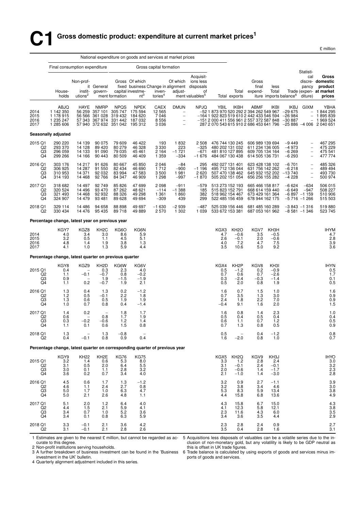£ million

|                                              |                                                                             |                                                   |                                                            |                                              |                                                                                |                                               | National expenditure on goods and services at market prices                                                                 |                                                                                                             |                                                                                                                                         |                                                                          |                                                                          |                                           |                                           |                                                                                                       |                                                                                                                |
|----------------------------------------------|-----------------------------------------------------------------------------|---------------------------------------------------|------------------------------------------------------------|----------------------------------------------|--------------------------------------------------------------------------------|-----------------------------------------------|-----------------------------------------------------------------------------------------------------------------------------|-------------------------------------------------------------------------------------------------------------|-----------------------------------------------------------------------------------------------------------------------------------------|--------------------------------------------------------------------------|--------------------------------------------------------------------------|-------------------------------------------|-------------------------------------------|-------------------------------------------------------------------------------------------------------|----------------------------------------------------------------------------------------------------------------|
|                                              | Final consumption expenditure                                               |                                                   |                                                            |                                              |                                                                                | Gross capital formation                       |                                                                                                                             |                                                                                                             |                                                                                                                                         |                                                                          |                                                                          |                                           |                                           | Statisti-                                                                                             |                                                                                                                |
|                                              | House-<br>holds                                                             | Non-prof-<br>instit-<br>utions <sup>2</sup>       | it General<br>govern-                                      | ment formation                               | Gross Of which<br>capital investme-<br>$nt^3$                                  | inven-<br>tories <sup>4</sup>                 | Of which<br>adjust-                                                                                                         | Acquisit-<br>ions less<br>fixed business Change in alignment disposals<br>of<br>ment valuables <sup>5</sup> |                                                                                                                                         | Total<br>Total exports                                                   | Gross<br>final<br>expend-                                                | less<br>Total                             | iture imports balance <sup>6</sup>        | cal<br>pancy<br>diture)                                                                               | Gross<br>discre- domestic<br>product<br>Trade (expen- at market<br>prices                                      |
| 2014<br>2015<br>2016<br>2017                 | ABJQ<br>1 142 350<br>1 178 915<br>1 235 247<br>1 285 606                    | HAYE<br>56 259                                    | <b>NMRP</b><br>357 101<br>56 566 361 028<br>57 343 367 974 | <b>NPQS</b><br>305 747<br>319 432<br>331 442 | <b>NPEK</b><br>175 594<br>184 620<br>187 032<br>57 940 372 632 351 042 195 312 | CAEX<br>12 5 65<br>7046<br>8 5 5 6<br>3 0 3 6 | <b>DMUN</b><br>$\overline{\phantom{a}}$<br>$\overline{\phantom{a}}$<br>$\overline{\phantom{a}}$<br>$\overline{\phantom{a}}$ | <b>NPJQ</b>                                                                                                 | YBIL<br>-52 1 873 970 520 292 2 394 262 549 967<br>-164 1 922 823 519 610 2 442 433 546 594<br>-151 2 000 411 556 961 2 557 372 587 848 | <b>IKBH</b>                                                              | ABMF                                                                     | <b>IKBI</b>                               | IKBJ<br>$-29675$<br>$-26984$<br>$-30887$  | <b>GIXM</b><br>$-$<br>$\qquad \qquad -$                                                               | YBHA<br>$-1844295$<br>1895839<br>1 969 524<br>287 2 070 543 615 910 2 686 453 641 796 -25 886 -4 006 2 040 651 |
|                                              | Seasonally adjusted                                                         |                                                   |                                                            |                                              |                                                                                |                                               |                                                                                                                             |                                                                                                             |                                                                                                                                         |                                                                          |                                                                          |                                           |                                           |                                                                                                       |                                                                                                                |
| 2015 Q1<br>Q2<br>Q3<br>Q4                    | 290 220<br>293 370<br>296 059<br>299 266                                    | 14 139<br>14 128<br>14 133<br>14 166              | 90 075<br>89 4 20<br>91 090<br>90 443                      | 79 609<br>80 279<br>79 035<br>80 509         | 46 422<br>46 328<br>45 461<br>46 409                                           | 193<br>3 3 3 0<br>2 1 6 4<br>1 3 5 9          | 1832<br>223<br>$-1721$<br>$-334$                                                                                            | 2 5 0 8<br>$-325$<br>$-671$<br>$-1676$                                                                      |                                                                                                                                         | 476 744 130 245<br>480 202 131 032<br>481 810 127 895<br>484 067 130 438 | 606 989 139 694<br>611 234 136 005<br>609 705 134 164<br>614 505 136 731 |                                           | $-9449$<br>$-4973$<br>$-6269$<br>$-6293$  | $\overline{\phantom{0}}$<br>$\overline{\phantom{a}}$<br>$\overline{\phantom{a}}$                      | 467 295<br>475 229<br>475 541<br>477 774                                                                       |
| 2016 Q1<br>Q2<br>Q3<br>Q4                    | 303 176<br>306 925<br>310 953<br>314 193                                    | 14 217<br>14 287<br>14 371<br>14 4 68             | 91 626<br>91 550<br>92 032<br>92 766                       | 80 667<br>82 434<br>83 994<br>84 347         | 45 850<br>46 690<br>47 583<br>46 909                                           | 2 0 4 6<br>1712<br>3500<br>1 2 9 8            | $-84$<br>$-900$<br>1981<br>$-997$                                                                                           | 295<br>$-1196$<br>2 6 2 0<br>$-1870$                                                                        |                                                                                                                                         | 492 027 131 401<br>495 712 136 044<br>507 470 138 462<br>505 202 151 054 | 623 428 138 102<br>631 756 142 262<br>645 932 152 202<br>656 256 155 282 |                                           | $-6701$<br>$-6218$<br>$-13740$<br>$-4228$ | $\overline{\phantom{a}}$<br>$\qquad \qquad -$<br>$\overline{\phantom{0}}$<br>$\overline{\phantom{0}}$ | 485 326<br>489 494<br>493 730<br>500 974                                                                       |
| 2017 Q1<br>Q2<br>Q3<br>Q4                    | 318 682<br>320 524<br>321 493<br>324 907                                    | 14 497<br>14 4 96<br>14 4 68<br>14 479            | 92 749<br>93 470<br>92 932<br>93 481                       | 85 826<br>87 262<br>88 326<br>89 628         | 47 699<br>48 621<br>49 298<br>49 694                                           | 2 0 9 8<br>$-114$<br>1 3 6 1<br>$-309$        | $-911$<br>$-1.388$<br>1860<br>439                                                                                           | $-579$<br>185<br>382<br>299                                                                                 | 515 823 152 791                                                                                                                         | 513 273 152 193<br>518 962 154 467<br>522 485 156 459                    | 665 466 158 817<br>668 614 159 440<br>673 429 161 364<br>678 944 162 175 |                                           | $-6624$<br>$-6649$<br>$-5716 - 1266$      | $-634$<br>$-947$<br>$-6897 -1159$                                                                     | 506 015<br>508 227<br>510 906<br>515 503                                                                       |
| 2018 Q1<br>Q2                                | 329 114<br>330 434                                                          | 14 4 8 6<br>14 476                                | 94 658<br>95 435                                           | 88 898<br>89 718                             | 49 697<br>49 889                                                               | $-1630$<br>2 5 7 0                            | $-2939$<br>1 302                                                                                                            | $-487$<br>1 0 3 9                                                                                           |                                                                                                                                         | 525 039 156 446<br>533 672 153 381                                       | 681 485 160 289<br>687 053 161 962                                       |                                           | $-8581 - 1346$                            | $-3843 - 1316$                                                                                        | 519 880<br>523 745                                                                                             |
|                                              | Percentage change, latest year on previous year                             |                                                   |                                                            |                                              |                                                                                |                                               |                                                                                                                             |                                                                                                             |                                                                                                                                         |                                                                          |                                                                          |                                           |                                           |                                                                                                       |                                                                                                                |
| 2014<br>2015<br>2016<br>2017                 | KGY7<br>4.0<br>3.2<br>4.8<br>4.1                                            | KGZ8<br>3.4<br>0.5<br>1.4<br>1.0                  | KH <sub>2</sub> C<br>3.0<br>1.1<br>1.9<br>1.3              | KG6O<br>8.6<br>4.5<br>3.8<br>5.9             | KG6N<br>5.9<br>5.1<br>1.3<br>4.4                                               |                                               |                                                                                                                             |                                                                                                             | KGX3<br>4.7<br>2.6<br>4.0<br>3.5                                                                                                        | KH <sub>2</sub> O<br>$-0.6$<br>$-0.1$<br>7.2<br>10.6                     | KGV7<br>3.5<br>2.0<br>4.7<br>5.0                                         | KH3H<br>$-0.5$<br>$-0.6$<br>7.5<br>9.2    |                                           |                                                                                                       | <b>IHYM</b><br>4.7<br>2.8<br>3.9<br>3.6                                                                        |
|                                              | Percentage change, latest quarter on previous quarter                       |                                                   |                                                            |                                              |                                                                                |                                               |                                                                                                                             |                                                                                                             |                                                                                                                                         |                                                                          |                                                                          |                                           |                                           |                                                                                                       |                                                                                                                |
| 2015 Q1<br>Q2<br>Q3<br>Q4                    | KGY8<br>0.4<br>1.1<br>0.9<br>1.1                                            | KGZ9<br>$\overline{\phantom{0}}$<br>$-0.1$<br>0.2 | KH <sub>2</sub> D<br>0.3<br>$-0.7$<br>1.9<br>$-0.7$        | KG6W<br>2.3<br>0.8<br>$-1.5$<br>1.9          | KG6V<br>4.0<br>$-0.2$<br>$-1.9$<br>2.1                                         |                                               |                                                                                                                             |                                                                                                             | KGX4<br>0.5<br>0.7<br>0.3<br>0.5                                                                                                        | KH <sub>2</sub> P<br>$-1.2$<br>0.6<br>$-2.4$<br>2.0                      | KGV8<br>0.2<br>0.7<br>$-0.3$<br>0.8                                      | KH3I<br>$-0.9$<br>$-2.6$<br>$-1.4$<br>1.9 |                                           |                                                                                                       | <b>IHYN</b><br>$0.5$<br>1.7<br>0.1<br>0.5                                                                      |
| 2016 Q1<br>Q2<br>Q3<br>Q4                    | 1.3<br>1.2<br>1.3<br>1.0                                                    | 0.4<br>0.5<br>0.6<br>0.7                          | 1.3<br>$-0.1$<br>0.5<br>0.8                                | 0.2<br>2.2<br>1.9<br>0.4                     | $-1.2$<br>1.8<br>1.9<br>$-1.4$                                                 |                                               |                                                                                                                             |                                                                                                             | 1.6<br>0.7<br>2.4<br>$-0.4$                                                                                                             | 0.7<br>3.5<br>1.8<br>9.1                                                 | 1.5<br>1.3<br>2.2<br>1.6                                                 | 1.0<br>3.0<br>7.0<br>2.0                  |                                           |                                                                                                       | 1.6<br>0.9<br>$0.9$<br>1.5                                                                                     |
| 2017 Q1<br>Q <sub>2</sub><br>Q3<br>Q4        | 1.4<br>0.6<br>0.3<br>1.1                                                    | 0.2<br>$\overline{\phantom{a}}$<br>$-0.2$<br>0.1  | 0.8<br>$-0.6$<br>0.6                                       | 1.8<br>1.7<br>1.2<br>1.5                     | 1.7<br>1.9<br>1.4<br>0.8                                                       |                                               |                                                                                                                             |                                                                                                             | 1.6<br>0.5<br>0.6<br>0.7                                                                                                                | 0.8<br>0.4<br>1.1<br>1.3                                                 | 1.4<br>0.5<br>0.7<br>0.8                                                 | 2.3<br>0.4<br>1.2<br>0.5                  |                                           |                                                                                                       | 1.0<br>0.4<br>0.5<br>0.9                                                                                       |
| 2018 Q1<br>Q2                                | $\begin{array}{c} 1.3 \\ 0.4 \end{array}$                                   | $-0.1$                                            | 1.3<br>0.8                                                 | $-0.8$<br>0.9                                | 0.4                                                                            |                                               |                                                                                                                             |                                                                                                             | $\begin{array}{c} 0.5 \\ 1.6 \end{array}$                                                                                               | $-2.0$                                                                   | 0.4<br>0.8                                                               | $-1.2$<br>1.0                             |                                           |                                                                                                       | $0.8$<br>$0.7$                                                                                                 |
|                                              | Percentage change, latest quarter on corresponding quarter of previous year |                                                   |                                                            |                                              |                                                                                |                                               |                                                                                                                             |                                                                                                             |                                                                                                                                         |                                                                          |                                                                          |                                           |                                           |                                                                                                       |                                                                                                                |
| 2015 Q1<br>Q2<br>Q3<br>Q4                    | KGY9<br>3.2<br>3.1<br>3.0<br>3.6                                            | <b>KH22</b><br>1.4<br>0.5<br>0.1<br>0.2           | KH <sub>2</sub> E<br>0.6<br>2.0<br>1.1<br>0.7              | KG76<br>5.3<br>6.4<br>2.8<br>3.4             | KG75<br>8.0<br>$\frac{5.5}{3.2}$<br>4.0                                        |                                               |                                                                                                                             |                                                                                                             | KGX5<br>3.3<br>3.1<br>2.0<br>2.1                                                                                                        | KH <sub>2</sub> Q<br>1.2<br>$-0.1$<br>$-0.6$<br>$-1.0$                   | KGV9<br>2.8<br>2.4<br>1.4<br>1.4                                         | KH3J<br>2.4<br>$-0.1$<br>$-1.7$<br>$-3.0$ |                                           |                                                                                                       | IHYO<br>3.0<br>3.2<br>2.3<br>2.8                                                                               |
| 2016 Q1<br>Q <sub>2</sub><br>$\frac{Q3}{Q4}$ | 4.5<br>4.6<br>5.0<br>5.0                                                    | 0.6<br>1.1<br>1.7<br>2.1                          | 1.7<br>2.4<br>1.0<br>2.6                                   | $\frac{1.3}{2.7}$<br>6.3<br>4.8              | $-1.2$<br>0.8<br>4.7<br>1.1                                                    |                                               |                                                                                                                             |                                                                                                             | $\frac{3.2}{3.2}$<br>5.3<br>4.4                                                                                                         | 0.9<br>3.8<br>8.3<br>15.8                                                | 2.7<br>3.4<br>5.9<br>6.8                                                 | $-1.1$<br>4.6<br>13.4<br>13.6             |                                           |                                                                                                       | $3.9$<br>$3.0$<br>$3.8$<br>$4.9$                                                                               |
| 2017 Q1<br>Q2<br>Q3<br>Q4                    | 5.1<br>4.4<br>3.4<br>3.4                                                    | 2.0<br>1.5<br>0.7<br>0.1                          | 1.2<br>2.1<br>1.0<br>0.8                                   | 6.4<br>5.9<br>5.2<br>6.3                     | 4.0<br>4.1<br>3.6<br>5.9                                                       |                                               |                                                                                                                             |                                                                                                             | $^{4.3}_{4.1}$<br>2.3<br>3.4                                                                                                            | 15.8<br>12.3<br>11.6<br>3.6                                              | 6.7<br>5.8<br>4.3<br>3.5                                                 | 15.0<br>12.1<br>6.0<br>4.4                |                                           |                                                                                                       | $4.3$<br>$3.8$<br>$3.5$<br>$2.9$                                                                               |
| 2018 Q1<br>Q2                                | 3.3<br>3.1                                                                  | $-0.1$<br>$-0.1$                                  | 2.1<br>2.1                                                 | 3.6<br>2.8                                   | 4.2<br>2.6                                                                     |                                               |                                                                                                                             |                                                                                                             | 2.3<br>3.5                                                                                                                              | 2.8<br>0.4                                                               | 2.4<br>2.8                                                               | 0.9<br>1.6                                |                                           |                                                                                                       | $\frac{2.7}{3.1}$                                                                                              |

curate to this degree.

1 Estimates are given to the nearest £ million, but cannot be regarded as ac- 5 Acquisitions less disposals of valuables can be a volatile series due to the inclusion of non-monetary gold, but any volatility is likely to be GDP neutral as this is offset in UK trade figures.

2 Non-profit institutions serving households. 3 A further breakdown of business investment can be found in the 'Business

investment in the UK' bulletin. 4 Quarterly alignment adjustment included in this series. 6 Trade balance is calculated by using exports of goods and services minus imports of goods and services.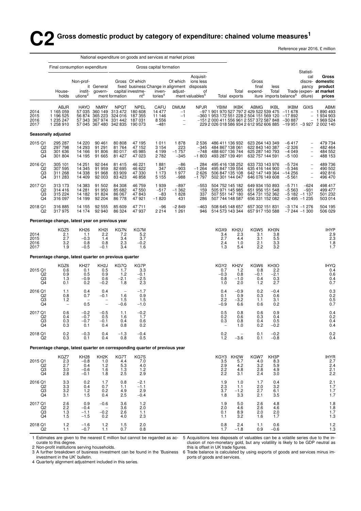# **C**2 Gross domestic product by category of expenditure: chained volume measures<sup>1</sup>

Reference year 2016, £ million

|                                       |                                                                             |                                                  |                                                            |                                                                        |                                                         |                                               | National expenditure on goods and services at market prices                         |                                                                                                             |                                                                                                                                           |                                                                          |                                                                          |                                                  |                                                      |                                                                                                |                                                                                                                   |
|---------------------------------------|-----------------------------------------------------------------------------|--------------------------------------------------|------------------------------------------------------------|------------------------------------------------------------------------|---------------------------------------------------------|-----------------------------------------------|-------------------------------------------------------------------------------------|-------------------------------------------------------------------------------------------------------------|-------------------------------------------------------------------------------------------------------------------------------------------|--------------------------------------------------------------------------|--------------------------------------------------------------------------|--------------------------------------------------|------------------------------------------------------|------------------------------------------------------------------------------------------------|-------------------------------------------------------------------------------------------------------------------|
|                                       | Final consumption expenditure                                               |                                                  |                                                            |                                                                        |                                                         | Gross capital formation                       |                                                                                     |                                                                                                             |                                                                                                                                           |                                                                          |                                                                          |                                                  |                                                      |                                                                                                |                                                                                                                   |
|                                       | House-<br>holds                                                             | Non-prof-<br>instit-<br>utions <sup>2</sup>      | it General<br>govern-                                      | ment formation                                                         | Gross Of which<br>capital investme-<br>$nt^3$           | inven-<br>tories <sup>4</sup>                 | Of which<br>adjust-                                                                 | Acquisit-<br>ions less<br>fixed business Change in alignment disposals<br>of<br>ment valuables <sup>5</sup> |                                                                                                                                           | Total<br>Total exports                                                   | Gross<br>final<br>expend-                                                | less<br>Total                                    | iture imports balance <sup>6</sup>                   | Statisti-<br>cal<br>pancy<br>diture)                                                           | Gross<br>discre- domestic<br>product<br>Trade (expen- at market<br>prices                                         |
| 2014<br>2015<br>2016<br>2017          | ABJR<br>1 165 059<br>1 196 525<br>1 235 247<br>1 258 910                    | <b>HAYO</b><br>57 035                            | <b>NMRY</b><br>360 149<br>56 874 365 223<br>57 343 367 974 | <b>NPQT</b><br>313 472<br>324 016<br>331 442<br>57 045 367 480 342 835 | <b>NPEL</b><br>180 608<br>187 355<br>187 031<br>190 073 | CAFU<br>14 477<br>11 146<br>8 5 5 6<br>$-481$ | <b>DMUM</b><br>$-1$<br>$-1$<br>$\overline{\phantom{a}}$<br>$\overline{\phantom{a}}$ | <b>NPJR</b>                                                                                                 | YBIM<br>-97 1 901 970 527 797 2 429 522 539 475<br>$-360$ 1 953 172 551 228 2 504 151 569 120<br>-151 2 000 411 556 961 2 557 372 587 848 | <b>IKBK</b>                                                              | ABMG                                                                     | <b>IKBL</b>                                      | IKBM<br>$-11678$<br>$-17892$<br>$-30887$             | <b>GIXS</b><br>$\overline{\phantom{a}}$                                                        | ABMI<br>$-1890493$<br>$-1934903$<br>1 969 524<br>229 2 026 018 586 934 2 612 952 606 885 -19 951 -3 927 2 002 140 |
|                                       | Seasonally adjusted                                                         |                                                  |                                                            |                                                                        |                                                         |                                               |                                                                                     |                                                                                                             |                                                                                                                                           |                                                                          |                                                                          |                                                  |                                                      |                                                                                                |                                                                                                                   |
| 2015 Q1<br>Q2<br>Q3<br>Q4             | 295 287<br>297 798<br>301 636<br>301 804                                    | 14 2 20<br>14 293<br>14 166<br>14 195            | 90 461<br>91 291<br>91 806<br>91 665                       | 80 80 8<br>81 764<br>80 017<br>81 427                                  | 47 195<br>47 152<br>45 985<br>47 023                    | 1011<br>3 1 5 4<br>4 1 9 9<br>2782            | 1878<br>223<br>$-1757$<br>$-345$                                                    | 2 5 3 6<br>$-345$<br>$-748$<br>$-1803$                                                                      |                                                                                                                                           | 486 411 136 932<br>484 867 138 061<br>488 607 136 744<br>493 287 139 491 | 623 264 143 349<br>622 843 140 387<br>625 287 140 793<br>632 757 144 591 |                                                  | $-6417$<br>$-2326$<br>$-4049$<br>$-5100$             | $\overline{\phantom{0}}$<br>$\overline{\phantom{a}}$<br>$\overline{\phantom{a}}$               | 479 734<br>482 464<br>484 552<br>488 153                                                                          |
| 2016 Q1<br>Q2<br>Q3<br>Q4             | 305 101<br>307 595<br>311 268<br>311 283                                    | 14 251<br>14 345<br>14 3 38<br>14 409            | 92 044<br>91 959<br>91 968<br>92 003                       | 81 415<br>82 695<br>83 909<br>83 4 23                                  | 46 221<br>46 622<br>47 330<br>46 858                    | 1881<br>347<br>1 1 7 3<br>5 1 5 5             | $-86$<br>$-903$<br>1977<br>$-988$                                                   | 284<br>$-1264$<br>2626<br>$-1797$                                                                           |                                                                                                                                           | 495 416 138 252<br>495 847 139 554<br>506 847 135 108<br>502 301 144 047 | 633 733 143 976<br>635 416 144 900<br>642 147 149 364<br>646 076 149 608 |                                                  | $-5724$<br>$-5346$<br>$-14256$<br>$-5561$            | $\qquad \qquad -$<br>$\qquad \qquad -$<br>$\overline{\phantom{0}}$<br>$\overline{\phantom{0}}$ | 489 736<br>490 502<br>492 816<br>496 470                                                                          |
| 2017 Q1<br>Q2<br>Q3<br>Q4             | 313 173<br>314 416<br>315 224<br>316 097                                    | 14 383<br>14 281<br>14 182<br>14 199             | 91 502<br>91 950<br>91 824<br>92 204                       | 84 308<br>85 682<br>86 067<br>86 778                                   | 46 759<br>47 550<br>47 843<br>47 921                    | 1939<br>$-517$<br>-83<br>$-1820$              | $-897$<br>$-1.362$<br>1828<br>431                                                   | $-553$<br>159<br>337<br>286                                                                                 |                                                                                                                                           | 504 752 145 182<br>505 971 145 985<br>507 551 147 180<br>507 744 148 587 | 649 934 150 893<br>651 956 151 548<br>654 731 152 362<br>656 331 152 082 |                                                  | $-5711$<br>$-5563$<br>$-5182 -1137$<br>$-3495 -1235$ | $-624$<br>$-931$                                                                               | 498 417<br>499 477<br>501 232<br>503 014                                                                          |
| 2018 Q1<br>Q2                         | 316 885<br>317975                                                           | 14 155<br>14 174                                 | 92 555<br>92 940                                           | 85 609<br>86 324                                                       | 47 711<br>47 937                                        | $-96$<br>2 2 1 4                              | $-2849$<br>1 2 6 1                                                                  | -463<br>946                                                                                                 |                                                                                                                                           | 508 645 148 657<br>514 573 143 344                                       | 657 302 151 831<br>657 917 150 588                                       |                                                  | $-3174 - 1276$<br>$-7244 - 1300$                     |                                                                                                | 504 195<br>506 029                                                                                                |
|                                       | Percentage change, latest year on previous year                             |                                                  |                                                            |                                                                        |                                                         |                                               |                                                                                     |                                                                                                             |                                                                                                                                           |                                                                          |                                                                          |                                                  |                                                      |                                                                                                |                                                                                                                   |
| 2014<br>2015<br>2016<br>2017          | KGZ <sub>5</sub><br>2.1<br>2.7<br>3.2<br>1.9                                | <b>KH26</b><br>1.1<br>$-0.3$<br>0.8<br>$-0.5$    | KH <sub>2</sub><br>2.2<br>1.4<br>0.8<br>$-0.1$             | KG7N<br>7.2<br>3.4<br>2.3<br>3.4                                       | KG7M<br>5.2<br>3.7<br>$-0.2$<br>1.6                     |                                               |                                                                                     |                                                                                                             | KGX9<br>3.4<br>2.7<br>2.4<br>1.3                                                                                                          | KH <sub>2U</sub><br>2.3<br>4.4<br>1.0<br>5.4                             | KGW5<br>3.1<br>3.1<br>2.1<br>2.2                                         | KH3N<br>3.8<br>5.5<br>3.3<br>3.2                 |                                                      |                                                                                                | <b>IHYP</b><br>2.9<br>2.3<br>1.8<br>1.7                                                                           |
|                                       | Percentage change, latest quarter on previous quarter                       |                                                  |                                                            |                                                                        |                                                         |                                               |                                                                                     |                                                                                                             |                                                                                                                                           |                                                                          |                                                                          |                                                  |                                                      |                                                                                                |                                                                                                                   |
| 2015 Q1<br>Q2<br>Q3<br>Q4             | KGZ6<br>0.6<br>0.9<br>1.3<br>0.1                                            | <b>KH27</b><br>0.1<br>0.5<br>$-0.9$<br>0.2       | KH <sub>2</sub> J<br>0.5<br>0.9<br>0.6<br>$-0.2$           | KG7Q<br>1.7<br>1.2<br>$-2.1$<br>1.8                                    | KG7P<br>3.3<br>$-0.1$<br>$-2.5$<br>2.3                  |                                               |                                                                                     |                                                                                                             | KGY2<br>0.7<br>$-0.3$<br>0.8<br>1.0                                                                                                       | KH <sub>2</sub> V<br>1.2<br>0.8<br>$-1.0$<br>2.0                         | KGW6<br>0.8<br>$-0.1$<br>0.4<br>1.2                                      | KH <sub>3</sub> O<br>2.2<br>$-2.1$<br>0.3<br>2.7 |                                                      |                                                                                                | <b>IHYQ</b><br>0.4<br>0.6<br>0.4<br>0.7                                                                           |
| 2016 Q1<br>Q2<br>Q3<br>Q4             | 1.1<br>0.8<br>1.2<br>$\overline{\phantom{a}}$                               | 0.4<br>0.7<br>0.5                                | 0.4<br>$-0.1$<br>$\overline{\phantom{0}}$<br>$\bar{a}$     | $\overline{\phantom{0}}$<br>1.6<br>1.5<br>$-0.6$                       | $-1.7$<br>0.9<br>1.5<br>$-1.0$                          |                                               |                                                                                     |                                                                                                             | 0.4<br>0.1<br>2.2<br>$-0.9$                                                                                                               | $-0.9$<br>0.9<br>$-3.2$<br>6.6                                           | 0.2<br>0.3<br>1.1<br>0.6                                                 | $-0.4$<br>0.6<br>3.1<br>0.2                      |                                                      |                                                                                                | $\!\!\!\begin{array}{c} 0.3 \\ 0.2 \end{array}$<br>$0.5 \\ 0.7$                                                   |
| 2017 Q1<br>Q <sub>2</sub><br>Q3<br>Q4 | 0.6<br>0.4<br>0.3<br>0.3                                                    | $-0.2$<br>$-0.7$<br>$-0.7$<br>0.1                | $-0.5$<br>0.5<br>$-0.1$<br>0.4                             | 1.1<br>1.6<br>0.4<br>0.8                                               | $-0.2$<br>1.7<br>0.6<br>0.2                             |                                               |                                                                                     |                                                                                                             | 0.5<br>0.2<br>0.3                                                                                                                         | 0.8<br>0.6<br>0.8<br>1.0                                                 | 0.6<br>0.3<br>0.4<br>0.2                                                 | 0.9<br>0.4<br>0.5<br>$-0.2$                      |                                                      |                                                                                                | 0.4<br>0.2<br>0.4<br>0.4                                                                                          |
| 2018 Q1<br>Q2                         | 0.2<br>0.3                                                                  | $-0.3$<br>0.1                                    | 0.4<br>0.4                                                 | $-1.3$<br>0.8                                                          | $-0.4$<br>0.5                                           |                                               |                                                                                     |                                                                                                             | $^{0.2}_{1.2}$                                                                                                                            | $-3.6$                                                                   | 0.1<br>0.1                                                               | $-0.2$<br>$-0.8$                                 |                                                      |                                                                                                | $0.2$<br>$0.4$                                                                                                    |
|                                       | Percentage change, latest quarter on corresponding quarter of previous year |                                                  |                                                            |                                                                        |                                                         |                                               |                                                                                     |                                                                                                             |                                                                                                                                           |                                                                          |                                                                          |                                                  |                                                      |                                                                                                |                                                                                                                   |
| 2015 Q1<br>Q2<br>Q3<br>Q4             | KGZ7<br>2.3<br>2.7<br>3.0<br>2.8                                            | <b>KH28</b><br>$-0.8$<br>0.4<br>$-0.6$<br>$-0.1$ | KH <sub>2</sub> K<br>1.0<br>1.2<br>1.6<br>1.8              | KG7T<br>4.4<br>5.3<br>1.3<br>2.5                                       | KG7S<br>$7.0$<br>$4.0$<br>1.2<br>2.9                    |                                               |                                                                                     |                                                                                                             | KGY3<br>3.5<br>$2.9$<br>$2.2$<br>2.2                                                                                                      | KH2W<br>5.7<br>4.2<br>4.8<br>3.1                                         | KGW7<br>4.0<br>3.2<br>2.8<br>2.4                                         | KH3P<br>8.3<br>5.9<br>4.9<br>3.0                 |                                                      |                                                                                                | IHYR<br>2.7<br>2.4<br>2.1<br>2.2                                                                                  |
| 2016 Q1<br>Q2<br>$\overline{Q}3$      | $\begin{array}{c} 3.3 \\ 3.3 \end{array}$<br>3.2<br>3.1                     | 0.2<br>0.4<br>$1.2$<br>1.5                       | 1.7<br>0.7<br>0.2<br>0.4                                   | 0.8<br>1.1<br>4.9<br>2.5                                               | $-2.1$<br>$-1.1$<br>2.9<br>$-0.4$                       |                                               |                                                                                     |                                                                                                             | $\frac{1.9}{2.3}$<br>3.7<br>1.8                                                                                                           | 1.0<br>1.1<br>$-1.2$<br>3.3                                              | 1.7<br>2.0<br>2.7<br>2.1                                                 | 0.4<br>3.2<br>6.1<br>3.5                         |                                                      |                                                                                                | $2.1$<br>1.7<br>$\frac{1}{1}$ .7                                                                                  |
| 2017 Q1<br>Q2<br>Q3<br>Q4             | $2.6$<br>$2.2$<br>1.3<br>1.5                                                | 0.9<br>$-0.4$<br>$-1.1$<br>$-1.5$                | $-0.6$<br>$-0.2$<br>0.2                                    | 3.6<br>3.6<br>2.6<br>4.0                                               | $1.2$<br>2.0<br>1.1<br>2.3                              |                                               |                                                                                     |                                                                                                             | 1.9<br>2.0<br>0.1<br>1.1                                                                                                                  | 5.0<br>4.6<br>8.9<br>3.2                                                 | 2.6<br>2.6<br>2.0<br>1.6                                                 | 4.8<br>4.6<br>2.0<br>1.7                         |                                                      |                                                                                                | $\begin{array}{c} 1.8 \\ 1.8 \\ 1.7 \\ 1.3 \end{array}$                                                           |
| 2018 Q1<br>Q2                         | 1.2<br>1.1                                                                  | $-1.6$<br>$-0.7$                                 | 1.2<br>1.1                                                 | 1.5<br>0.7                                                             | 2.0<br>0.8                                              |                                               |                                                                                     |                                                                                                             | 0.8<br>1.7                                                                                                                                | 2.4<br>$-1.8$                                                            | 1.1<br>0.9                                                               | 0.6<br>$-0.6$                                    |                                                      |                                                                                                | $\frac{1.2}{1.3}$                                                                                                 |

curate to this degree.

1 Estimates are given to the nearest £ million but cannot be regarded as ac- 5 Acquisitions less disposals of valuables can be a volatile series due to the inclusion of non-monetary gold, but any volatility is likely to be GDP neutral as this is offset in UK trade figures.

2 Non-profit institutions serving households. 3 A further breakdown of business investment can be found in the 'Business

investment in the UK' bulletin. 4 Quarterly alignment adjustment included in this series. 6 Trade balance is calculated by using exports of goods and services minus imports of goods and services.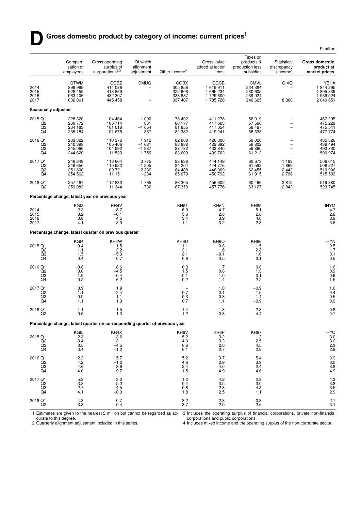# Gross domestic product by category of income: current prices<sup>1</sup>

|                                                   |                                                           |                                                                             |                                                                     |                                                         |                                                              |                                                         |                                                                    | £ million                                             |
|---------------------------------------------------|-----------------------------------------------------------|-----------------------------------------------------------------------------|---------------------------------------------------------------------|---------------------------------------------------------|--------------------------------------------------------------|---------------------------------------------------------|--------------------------------------------------------------------|-------------------------------------------------------|
|                                                   | Compen-<br>sation of<br>employees                         | Gross operating<br>surplus of<br>corporations $^{2,3}$                      | Of which<br>alignment<br>adjustment                                 | Other income <sup>4</sup>                               | Gross value<br>added at factor<br>cost                       | Taxes on<br>products &<br>production less<br>subsidies  | Statistical<br>discrepancy<br>(income)                             | <b>Gross domestic</b><br>product at<br>market prices  |
| 2014<br>2015<br>2016<br>2017                      | <b>DTWM</b><br>899 969<br>928 459<br>963 406<br>1 002 861 | CGBZ<br>414 086<br>413 869<br>432 307<br>445 458                            | <b>DMUQ</b><br>$\overline{\phantom{0}}$<br>$\overline{\phantom{0}}$ | <b>CGBX</b><br>305 856<br>322 906<br>333 887<br>337 407 | <b>CGCB</b><br>1 619 911<br>1 665 234<br>1729 600<br>1785726 | <b>CMVL</b><br>224 384<br>230 605<br>239 924<br>246 625 | <b>GIXQ</b><br>$\overline{\phantom{0}}$<br>8 3 0 0                 | YBHA<br>1844 295<br>1895 839<br>1969 524<br>2 040 651 |
| Seasonally adjusted                               |                                                           |                                                                             |                                                                     |                                                         |                                                              |                                                         |                                                                    |                                                       |
| 2015 Q1<br>Q2<br>Q3<br>Q4                         | 228 320<br>230 772<br>234 183<br>235 184                  | 104 464<br>106 714<br>101 016<br>101 675                                    | 1 0 9 0<br>831<br>$-1054$<br>-867                                   | 78 492<br>80 177<br>81 855<br>82 3 82                   | 411 276<br>417 663<br>417 054<br>419 241                     | 56 019<br>57 566<br>58 487<br>58 533                    | $\qquad \qquad -$<br>$\qquad \qquad -$<br>$\overline{\phantom{0}}$ | 467 295<br>475 229<br>475 541<br>477 774              |
| 2016 Q1<br>Q2<br>Q <sub>3</sub><br>Q4             | 233 322<br>240 398<br>245 066<br>244 620                  | 110 376<br>105 406<br>104 992<br>111 533                                    | 1912<br>$-1681$<br>$-1987$<br>1756                                  | 82 608<br>83 888<br>83782<br>83 609                     | 426 306<br>429 692<br>433 840<br>439 762                     | 59 0 20<br>59 802<br>59 890<br>61 212                   | $\overline{\phantom{a}}$<br>$\overline{\phantom{0}}$<br>÷          | 485 326<br>489 494<br>493 730<br>500 974              |
| 2017 Q1<br>Q2<br>$^{Q3}_{Q4}$                     | 246 849<br>249 650<br>251 800<br>254 562                  | 113 664<br>110 922<br>109 721<br>111 151                                    | 3775<br>$-1205$<br>$-2336$<br>$-234$                                | 83 636<br>84 204<br>84 4 88<br>85 0 79                  | 444 149<br>444 776<br>446 009<br>450 792                     | 60 673<br>61 582<br>62 455<br>61 915                    | 1 1 9 3<br>1869<br>2 4 4 2<br>2796                                 | 506 015<br>508 227<br>510 906<br>515 503              |
| 2018 Q1<br>Q2                                     | 257 467<br>259 082                                        | 112 830<br>111 344                                                          | 1765<br>$-732$                                                      | 86 305<br>87 350                                        | 456 602<br>457 776                                           | 60 466<br>63 127                                        | 2812<br>2842                                                       | 519880<br>523 745                                     |
|                                                   |                                                           | Percentage change, latest year on previous year                             |                                                                     |                                                         |                                                              |                                                         |                                                                    |                                                       |
| 2014<br>2015<br>2016<br>2017                      | KG <sub>I3</sub><br>$^{2.2}_{3.2}$<br>3.8<br>4.1          | KH4V<br>8.7<br>$-0.1$<br>4.5<br>3.0                                         |                                                                     | KH6T<br>6.9<br>5.6<br>3.4<br>1.1                        | KH6N<br>4.7<br>2.8<br>3.9<br>3.2                             | <b>KH65</b><br>5.1<br>2.8<br>4.0<br>2.8                 |                                                                    | <b>IHYM</b><br>4.7<br>2.8<br>3.9<br>3.6               |
|                                                   |                                                           | Percentage change, latest quarter on previous quarter                       |                                                                     |                                                         |                                                              |                                                         |                                                                    |                                                       |
| 2015 Q1<br>Q <sub>2</sub><br>Q <sub>3</sub><br>Q4 | KGI4<br>0.4<br>1.1<br>1.5<br>0.4                          | KH4W<br>1.5<br>$2.\overline{2}$<br>$-5.3$<br>0.7                            |                                                                     | KH6U<br>1.1<br>2.1<br>2.1<br>0.6                        | KH <sub>6</sub> O<br>0.8<br>1.6<br>$-0.1$<br>0.5             | <b>KH66</b><br>$-1.5$<br>2.8<br>1.6<br>0.1              |                                                                    | <b>IHYN</b><br>0.5<br>1.7<br>0.1<br>0.5               |
| 2016 Q1<br>Q <sub>2</sub><br>Q3<br>Q4             | $-0.8$<br>3.0<br>1.9<br>$-0.2$                            | 8.6<br>$-4.5$<br>$-0.4$<br>6.2                                              |                                                                     | 0.3<br>1.5<br>$-0.1$<br>$-0.2$                          | 1.7<br>0.8<br>1.0<br>1.4                                     | 0.8<br>1.3<br>0.1<br>2.2                                |                                                                    | 1.6<br>0.9 0.9<br>1.5                                 |
| 2017 Q1<br>Q <sub>2</sub><br>Q <sub>3</sub><br>Q4 | 0.9<br>1.1<br>0.9<br>1.1                                  | 1.9<br>$-2.4$<br>$-1.1$<br>1.3                                              |                                                                     | $\overline{\phantom{a}}$<br>0.7<br>0.3<br>0.7           | 1.0<br>0.1<br>0.3<br>1.1                                     | $-0.9$<br>1.5<br>1.4<br>$-0.9$                          |                                                                    | 1.0<br>0.4<br>0.5<br>0.9                              |
| 2018 Q1<br>Q <sub>2</sub>                         | 1.1<br>0.6                                                | 1.5<br>$-1.3$                                                               |                                                                     | 1.4<br>1.2                                              | 1.3<br>0.3                                                   | $-2.3$<br>4.4                                           |                                                                    | 0.8<br>0.7                                            |
|                                                   |                                                           | Percentage change, latest quarter on corresponding quarter of previous year |                                                                     |                                                         |                                                              |                                                         |                                                                    |                                                       |
| 2015 Q1<br>Q <sub>2</sub><br>Q3<br>Q <sub>4</sub> | KGI5<br>2.3<br>3.4<br>3.5<br>3.4                          | KH4X<br>3.6<br>2.1<br>$-4.5$<br>$-1.2$                                      |                                                                     | KH <sub>6</sub> V<br>5.2<br>4.3<br>6.6<br>6.1           | KH6P<br>3.2<br>3.2<br>2.0<br>2.7                             | <b>KH67</b><br>$\frac{1.2}{2.5}$<br>4.5<br>2.9          |                                                                    | <b>IHYO</b><br>$\frac{3.0}{3.2}$<br>2.3<br>2.8        |
| 2016 Q1<br>Q2<br>Q3<br>Q <sub>4</sub>             | 2.2<br>4.2<br>4.6<br>4.0                                  | 5.7<br>$-1.2$<br>3.9<br>9.7                                                 |                                                                     | 5.2<br>4.6<br>2.4<br>1.5                                | 3.7<br>2.9<br>4.0<br>4.9                                     | 5.4<br>3.9<br>2.4<br>4.6                                |                                                                    | 3.9<br>3.0<br>3.8<br>4.9                              |
| 2017 Q1<br>Q2<br>$\overline{Q}3$<br>Q4            | 5.8<br>$\frac{3.8}{2.7}$<br>4.1                           | 3.0<br>5.2<br>4.5<br>$-0.3$                                                 |                                                                     | 1.2<br>0.4<br>0.8<br>1.8                                | 4.2<br>$3.\overline{5}$<br>$2.8\,$<br>2.5                    | 2.8<br>3.0<br>4.3<br>1.1                                |                                                                    | 4.3<br>3.8<br>3.5<br>2.9                              |
| 2018 Q1<br>Q <sub>2</sub>                         | $\frac{4.3}{3.8}$                                         | $-0.7$<br>0.4                                                               |                                                                     | $\frac{3.2}{3.7}$                                       | $^{2.8}_{2.9}$                                               | $-0.3$<br>2.5                                           |                                                                    | 2.7<br>3.1                                            |

1 Estimates are given to the nearest  $\pounds$  million but cannot be regarded as ac-3 Includes the operating surplus of financial corporations, private non-financial

curate to this degree. 2 Quarterly alignment adjustment included in this series.

corporations and public corporations. 4 Includes mixed income and the operating surplus of the non-corporate sector.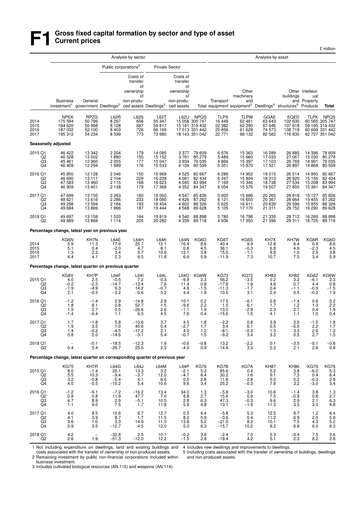# **F1 Gross fixed capital formation by sector and type of asset Current prices**

|                                                   |                                                                              |                                              |                                               | Analysis by sector                                                                               |                                       |                                                                           |                                                 |                                                 |                                                                                                                             | Analysis by asset                                       |                                                                    |                                           |                                                         |
|---------------------------------------------------|------------------------------------------------------------------------------|----------------------------------------------|-----------------------------------------------|--------------------------------------------------------------------------------------------------|---------------------------------------|---------------------------------------------------------------------------|-------------------------------------------------|-------------------------------------------------|-----------------------------------------------------------------------------------------------------------------------------|---------------------------------------------------------|--------------------------------------------------------------------|-------------------------------------------|---------------------------------------------------------|
|                                                   |                                                                              |                                              | Public corporations <sup>2</sup>              |                                                                                                  |                                       | <b>Private Sector</b>                                                     |                                                 |                                                 |                                                                                                                             |                                                         |                                                                    |                                           |                                                         |
|                                                   | <b>Business</b><br>investment <sup>1</sup> government Dwellings <sup>3</sup> | General                                      |                                               | Costs of<br>transfer<br>οf<br>ownership<br>οf<br>non-produ-<br>ced assets Dwellings <sup>3</sup> |                                       | Costs of<br>transfer<br>οf<br>ownership<br>οf<br>non-produ-<br>ced assets |                                                 | Transport                                       | Other<br>machinery<br>and<br>Total equipment equipment <sup>3</sup> Dwellings <sup>4</sup> structures <sup>5</sup> Products |                                                         | buildings<br>and                                                   | Other Intellect-<br>ual<br>Property       | Total                                                   |
| 2014<br>2015                                      | NPEK<br>175 594<br>184 620                                                   | RPZG<br>50 796<br>50 998                     | L62R<br>8 297<br>8 1 2 8                      | L62S<br>656<br>687                                                                               | L62T<br>55 347<br>59817               | L62U                                                                      | <b>NPQS</b><br>15 058 305 747<br>15 181 319 432 | <b>TLPX</b><br>16 449<br>22 3 8 2               | <b>TLPW</b><br>62 461<br>62 290                                                                                             | GGAE<br>63 643<br>67946                                 | EQED<br>102 630<br>107 618                                         | <b>TLPK</b>                               | <b>NPQS</b><br>60 565 305 747<br>59 195 319 432         |
| 2016<br>2017                                      | 187 032<br>195 312                                                           | 52 100<br>54 234                             | 8 4 0 3<br>8599                               | 726<br>773                                                                                       | 66 169<br>73 980                      |                                                                           | 17 013 331 442<br>18 143 351 042                | 25 856<br>22 771                                | 61 628<br>66 132                                                                                                            | 74 573<br>82 582                                        | 108 718<br>116 830                                                 |                                           | 60 669 331 442<br>62 727 351 042                        |
|                                                   | Seasonally adjusted                                                          |                                              |                                               |                                                                                                  |                                       |                                                                           |                                                 |                                                 |                                                                                                                             |                                                         |                                                                    |                                           |                                                         |
| 2015 Q1<br>Q2<br>$\overline{Q}3$<br>Q4            | 46 422<br>46 328<br>45 461<br>46 409                                         | 13 342<br>13 002<br>12 360<br>12 294         | 2 2 0 4<br>1880<br>2 0 5 5<br>1989            | 179<br>155<br>177<br>176                                                                         | 14 085<br>15 152<br>15 047<br>15 5 33 | 3 3 7 7<br>3761<br>3 9 3 4<br>4 109                                       | 79 609<br>80 279<br>79 035<br>80 509            | 6676<br>5 4 8 9<br>4 8 6 6<br>5 3 5 1           | 15 363<br>15 660<br>15 397<br>15870                                                                                         | 16 289<br>17 033<br>17 103<br>17 521                    | 26 885<br>27 067<br>26 769<br>26 897                               | 14 396<br>15 030<br>14 901<br>14 8 68     | 79 609<br>80 279<br>79 035<br>80 509                    |
| 2016 Q1<br>Q2<br>$\overline{Q}3$                  | 45 850<br>46 690<br>47 583<br>46 909                                         | 12 128<br>13 111<br>13 4 60<br>13 4 01       | 2 0 4 6<br>2 104<br>2 1 1 5<br>2 1 3 8        | 150<br>229<br>168<br>179                                                                         | 15 969<br>16 209<br>16 623<br>17 368  | 4 5 2 5<br>4 0 9 1<br>4 0 4 5<br>4 3 5 2                                  | 80 667<br>82 434<br>83 994<br>84 347            | 6 2 8 6<br>6 3 4 7<br>7 1 6 9<br>6 0 5 4        | 14 902<br>15 804<br>15 346<br>15 576                                                                                        | 18 015<br>18 313<br>18 738<br>19 507                    | 26 514<br>26 820<br>27 534<br>27 850                               | 14 950<br>15 150<br>15 208<br>15 361      | 80 667<br>82 434<br>83 994<br>84 347                    |
| 2017 Q1<br>Q <sub>2</sub><br>Q3<br>Q <sub>4</sub> | 47 699<br>48 621<br>49 298<br>49 694                                         | 13 155<br>13 616<br>13 594<br>13869          | 2 2 6 3<br>2 2 8 6<br>2 1 8 4<br>1866         | 160<br>233<br>193<br>187                                                                         | 18 002<br>18 080<br>18 4 54<br>19444  | 4547<br>4 4 2 6<br>4 602<br>4568                                          | 85 826<br>87 262<br>88 326<br>89 628            | 5920<br>6 1 2 1<br>5 6 2 5<br>5 1 0 5           | 15 696<br>16 655<br>16 611<br>17 170                                                                                        | 20 265<br>20 367<br>20 639<br>21 311                    | 28 818<br>28 664<br>29 5 96<br>29 752                              | 15 127<br>15 4 55<br>15 855<br>16 290     | 85 826<br>87 262<br>88 326<br>89 628                    |
| 2018 Q1<br>Q2                                     | 49 697<br>49 889                                                             | 13 158<br>13869                              | 1 5 2 0<br>1 1 1 4                            | 164<br>205                                                                                       | 19819<br>20 282                       | 4 5 4 0<br>4 3 5 9                                                        | 88 898<br>89 718                                | 5780<br>4936                                    | 16798<br>17 350                                                                                                             | 21 339<br>21 396                                        | 28 712<br>29 311                                                   | 16 269<br>16 725                          | 88 898<br>89718                                         |
|                                                   | Percentage change, latest year on previous year                              |                                              |                                               |                                                                                                  |                                       |                                                                           |                                                 |                                                 |                                                                                                                             |                                                         |                                                                    |                                           |                                                         |
| 2014<br>2015<br>2016<br>2017                      | KG6N<br>5.9<br>5.1<br>1.3<br>4.4                                             | KH7N<br>11.3<br>0.4<br>2.2<br>4.1            | L64E<br>17.9<br>$-2.0$<br>3.4<br>2.3          | L64H<br>25.7<br>4.7<br>5.7<br>6.5                                                                | L64K<br>12.1<br>8.1<br>10.6<br>11.8   | L64N<br>16.4<br>0.8<br>12.1<br>6.6                                        | KG6O<br>8.6<br>4.5<br>3.8<br>5.9                | KG6T<br>40.4<br>36.1<br>15.5<br>$-11.9$         | KG6S<br>9.9<br>$-0.3$<br>$-1.1$<br>7.3                                                                                      | KH7X<br>12.8<br>6.8<br>9.8<br>10.7                      | KH7W<br>6.4<br>4.9<br>1.0<br>7.5                                   | KG6R<br>0.9<br>$\frac{-2.3}{2.5}$<br>3.4  | KG6O<br>8.6<br>4.5<br>3.8<br>5.9                        |
|                                                   | Percentage change, latest quarter on previous quarter                        |                                              |                                               |                                                                                                  |                                       |                                                                           |                                                 |                                                 |                                                                                                                             |                                                         |                                                                    |                                           |                                                         |
| 2015 Q1<br>Q2<br>Q3<br>Q <sub>4</sub>             | KG6V<br>4.0<br>$-0.2$<br>$-1.9$<br>2.1                                       | KH7P<br>$^{2.5}_{-2.5}$<br>$-4.9$<br>$-0.5$  | L64F<br>$-0.5$<br>$-14.7$<br>9.3<br>$-3.2$    | L64I<br>7.2<br>$-13.4$<br>14.2<br>$-0.6$                                                         | L64L<br>0.3<br>7.6<br>$-0.7$<br>3.2   | L64O<br>$-9.9$<br>11.4<br>4.6<br>4.4                                      | KG6W<br>2.3<br>0.8<br>$-1.5$<br>1.9             | <b>KG73</b><br>$56.2 - 17.8$<br>$-11.3$<br>10.0 | <b>KG72</b><br>$-3.5$<br>1.9<br>$-1.7$<br>3.1                                                                               | <b>KH83</b><br>0.2<br>4.6<br>0.4<br>2.4                 | KH82<br>$\begin{array}{c} 3.2 \\ 0.7 \end{array}$<br>$-1.1$<br>0.5 | KG6Z<br>$-6.1$<br>4.4<br>$-0.9$<br>$-0.2$ | $KG6W$<br>2.3<br>0.8<br>0.8<br>-1.5<br>1.9              |
| 2016 Q1<br>Q2<br>Q3<br>Q4                         | $-1.2$<br>1.8<br>1.9<br>$-1.4$                                               | $-1.4$<br>8.1<br>2.7<br>$-0.4$               | 2.9<br>$2.8\,$<br>0.5<br>1.1                  | $-14.8$<br>52.7<br>$-26.6$<br>6.5                                                                | 2.8<br>1.5<br>2.6<br>4.5              | 10.1<br>$-9.6$<br>$-1.1$<br>7.6                                           | 0.2<br>2.2<br>1.9<br>0.4                        | 17.5<br>1.0<br>13.0<br>$-15.6$                  | $-6.1$<br>6.1<br>$-2.9$<br>1.5                                                                                              | $^{2.8}_{1.7}$<br>2.3<br>4.1                            | $-1.4$<br>$1.2$<br>2.7<br>1.1                                      | 0.6<br>1.3<br>0.4<br>1.0                  | $\begin{array}{c} 0.2 \\ 2.2 \\ 1.9 \end{array}$<br>0.4 |
| 2017 Q1<br>Q2<br>Q3<br>Q4                         | 1.7<br>1.9<br>1.4<br>0.8                                                     | $-1.8$<br>3.5<br>$-0.2$<br>2.0               | 5.8<br>1.0<br>$-4.5$<br>$-14.6$               | $-10.6$<br>45.6<br>$-17.2$<br>$-3.1$                                                             | 3.7<br>0.4<br>2.1<br>5.4              | 4.5<br>-2.7<br>4.0<br>$-0.7$                                              | 1.8<br>1.7<br>$\frac{1.2}{1.5}$                 | $-2.2$<br>3.4<br>$-8.1$<br>$-9.2$               | 0.8<br>$6.1$<br>$-0.3$<br>3.4                                                                                               | 3.9<br>0.5<br>$\frac{1.3}{3.3}$                         | 3.5<br>$-0.5$<br>3.3<br>0.5                                        | $-1.5$<br>2.2<br>$^{2.6}_{2.7}$           | 1.8<br>1.7<br>$\frac{1.2}{1.5}$                         |
| 2018 Q1<br>Q <sub>2</sub>                         | 0.4                                                                          | $-5.1$<br>5.4                                | $-18.5$<br>$-26.7$                            | $-12.3$<br>25.0                                                                                  | $\frac{1.9}{2.3}$                     | $-0.6$<br>$-4.0$                                                          | $-0.8$<br>0.9                                   | 13.2<br>-14.6                                   | $-2.2$<br>3.3                                                                                                               | $\!\!\!\begin{array}{c} 0.1 \\ 0.3 \end{array}\!\!\!\!$ | $-3.5$<br>2.1                                                      | $-0.1$<br>2.8                             | $^{-0.8}_{0.9}$                                         |
|                                                   | Percentage change, latest quarter on corresponding quarter of previous year  |                                              |                                               |                                                                                                  |                                       |                                                                           |                                                 |                                                 |                                                                                                                             |                                                         |                                                                    |                                           |                                                         |
| 2015 Q1<br>Q2<br>Q <sub>3</sub><br>Q4             | <b>KG75</b><br>$8.0$<br>5.5<br>3.2<br>4.0                                    | KH7R<br>$^{-1.4}_{10.3}$<br>$-0.8$<br>$-5.5$ | L64G<br>$^{20.1}_{-9.4}$<br>$-5.4$<br>$-10.2$ | L64J<br>$13.3 - 3.7$<br>4.1<br>5.4                                                               | L64M<br>$3.2$<br>12.0<br>6.6<br>10.6  | L64P<br>$-2.1$<br>$-4.7$<br>0.5<br>9.6                                    | KG76<br>5.3<br>6.4<br>2.8<br>3.4                | KG7B<br>85.6<br>30.2<br>11.6<br>25.2            | KG7A<br>0.4<br>1.6<br>$-2.8$<br>$-0.3$                                                                                      | <b>KH87</b><br>5.2<br>9.1<br>5.0<br>7.8                 | <b>KH86</b><br>$\frac{3.8}{7.3}$<br>5.2<br>3.2                     | KG79<br>$-6.0$<br>0.4<br>$-0.3$<br>$-3.0$ | KG76<br>5.3<br>6.4<br>2.8<br>3.4                        |
| 2016 Q1<br>Q <sub>2</sub><br>Q3<br>Q4             | $-1.2$<br>$0.8$<br>4.7<br>1.1                                                | $-9.1$<br>0.8<br>8.9<br>9.0                  | $-7.2$<br>11.9<br>$\frac{2.9}{7.5}$           | $-16.2$<br>47.7<br>$-5.1$<br>1.7                                                                 | 13.4<br>7.0<br>10.5<br>11.8           | 34.0<br>8.8<br>2.8<br>5.9                                                 | 1.3<br>2.7<br>6.3<br>4.8                        | $-5.8$<br>15.6<br>47.3<br>13.1                  | $-3.0$<br>0.9<br>$-0.3$<br>$-1.9$                                                                                           | 10.6<br>7.5<br>9.6<br>11.3                              | $-1.4$<br>$-0.9$<br>2.9<br>3.5                                     | 3.8<br>0.8<br>2.1<br>3.3                  | $\begin{array}{c} 1.3 \\ 2.7 \\ 6.3 \\ 4.8 \end{array}$ |
| 2017 Q1<br>Q2<br>Q3<br>Q <sub>4</sub>             | 4.0<br>4.1<br>$\frac{3.6}{5.9}$                                              | 8.5<br>3.9<br>1.0<br>3.5                     | 10.6<br>8.7<br>3.3<br>$-12.7$                 | 6.7<br>1.7<br>14.9<br>4.5                                                                        | 12.7<br>11.5<br>11.0<br>12.0          | 0.5<br>8.2<br>13.8<br>5.0                                                 | 6.4<br>5.9<br>5.2<br>6.3                        | $-5.8$<br>$-3.6$<br>$-21.5$<br>$-15.7$          | 5.3<br>5.4<br>8.2<br>10.2                                                                                                   | 12.5<br>11.2<br>10.1<br>9.2                             | 8.7<br>6.9<br>7.5<br>6.8                                           | 1.2<br>2.0<br>4.3<br>6.0                  | 6.4<br>5.9<br>5.2<br>6.3                                |
| 2018 Q1<br>Q <sub>2</sub>                         | $^{4.2}_{2.6}$                                                               | 1.9                                          | $-32.8$<br>$-51.3$                            | 2.5<br>$-12.0$                                                                                   | 10.1<br>12.2                          | $-0.2$<br>$-1.5$                                                          | $\frac{3.6}{2.8}$                               | $-2.4$<br>$-19.4$                               | 7.0<br>4.2                                                                                                                  | 5.3<br>5.1                                              | $-0.4$<br>2.3                                                      | $7.5$<br>8.2                              | $\frac{3.6}{2.8}$                                       |

1 Not including expenditure on dwellings, land and existing buildings and costs associated with the transfer of ownership of non-produced assets.

4 Includes new dwellings and improvements to dwellings.

2 Remaining investment by public non-financial corporations included within From the constant of which the transfer of ownership of non-produced assets.<br>
2 Remaining investment by public non-financial corporations included within<br>
business investment.

5 Including costs associated with the transfer of ownership of buildings, dwellings

and non-produced assets.

3 Includes cultivated biological resources (AN.115) and weapons (AN.114).

£ million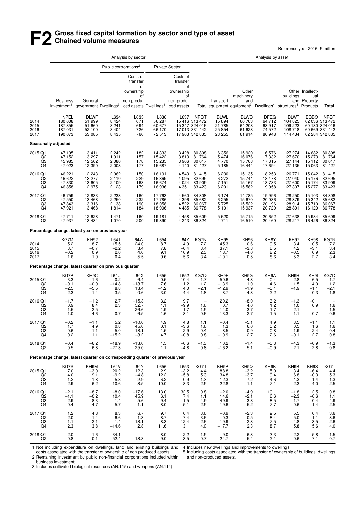## **F2 Gross fixed capital formation by sector and type of asset Chained volume measures**

Reference year 2016, £ million

|                                                   |                                                                              |                                                        |                                               | Analysis by sector                                          |                                             |                                                                           |                                                                                 |                                                      |                                                                                                                             | Analysis by asset                             |                                                  |                                              |                                                                                   |
|---------------------------------------------------|------------------------------------------------------------------------------|--------------------------------------------------------|-----------------------------------------------|-------------------------------------------------------------|---------------------------------------------|---------------------------------------------------------------------------|---------------------------------------------------------------------------------|------------------------------------------------------|-----------------------------------------------------------------------------------------------------------------------------|-----------------------------------------------|--------------------------------------------------|----------------------------------------------|-----------------------------------------------------------------------------------|
|                                                   |                                                                              |                                                        |                                               | Public corporations <sup>2</sup>                            |                                             | <b>Private Sector</b>                                                     |                                                                                 |                                                      |                                                                                                                             |                                               |                                                  |                                              |                                                                                   |
|                                                   | <b>Business</b><br>investment <sup>1</sup> government Dwellings <sup>3</sup> | General                                                |                                               | Costs of<br>transfer<br>οf<br>ownership<br>οf<br>non-produ- | ced assets Dwellings <sup>3</sup>           | Costs of<br>transfer<br>οf<br>ownership<br>οf<br>non-produ-<br>ced assets |                                                                                 | Transport                                            | Other<br>machinery<br>and<br>Total equipment equipment <sup>3</sup> Dwellings <sup>4</sup> structures <sup>5</sup> Products |                                               | buildings                                        | Other Intellect-<br>ual<br>and Property      | Total                                                                             |
| 2014<br>2015<br>2016<br>2017                      | NPEL<br>180 608<br>187 355<br>187 031<br>190 073                             | DLWF<br>51 999<br>51 660<br>52 100<br>53 085           | L634<br>8424<br>8 2 4 1<br>8 4 0 4<br>8 4 3 5 | L635<br>671<br>694<br>726<br>766                            | L636<br>56 287<br>60 677<br>66 170<br>72513 |                                                                           | L637 NPQT<br>15416 313472<br>15 347 324 016<br>17 013 331 442<br>17 963 342 835 | <b>DLWL</b><br>15 8 94<br>21 785<br>25 854<br>23 255 | <b>DLWO</b><br>66 763<br>64 208<br>61 628<br>61914                                                                          | DFEG<br>64 712<br>68 917<br>74 572<br>80 948  | DLWT<br>104 825<br>109 223<br>108 718<br>114 434 |                                              | EQDO NPQT<br>62 036 313 472<br>60 130 324 016<br>60 669 331 442<br>62 284 342 835 |
|                                                   | Seasonally adjusted                                                          |                                                        |                                               |                                                             |                                             |                                                                           |                                                                                 |                                                      |                                                                                                                             |                                               |                                                  |                                              |                                                                                   |
| 2015 Q1<br>$_{\rm Q3}^{\rm Q2}$<br>Q <sub>4</sub> | 47 195<br>47 152<br>45 985<br>47 023                                         | 13 411<br>13 297<br>12 562<br>12 3 9 0                 | 2 2 4 2<br>1911<br>2 080<br>2 0 0 8           | 182<br>157<br>178<br>177                                    | 14 3 33<br>15 422<br>15 235<br>15 687       | 3428<br>3813<br>3966<br>4 140                                             | 80 80 8<br>81 764<br>80 017<br>81 427                                           | 6 3 5 6<br>5474<br>4770<br>5 1 8 5                   | 15 920<br>16 076<br>15 768<br>16 444                                                                                        | 16 576<br>17 332<br>17 315<br>17 694          | 27 274<br>27 670<br>27 144<br>27 135             | 14 682<br>15 273<br>15 112<br>15 063         | 80 808<br>81 764<br>80 017<br>81 427                                              |
| 2016 Q1<br>Q2<br>$^{Q3}_{Q4}$                     | 46 221<br>46 622<br>47 330<br>46 858                                         | 12 243<br>13 277<br>13 605<br>12 975                   | 2 0 6 2<br>2 1 1 0<br>2 1 0 9<br>2 1 2 3      | 150<br>229<br>168<br>179                                    | 16 191<br>16 369<br>16674<br>16936          | 4 5 4 3<br>4 0 9 5<br>4 0 24<br>4 3 5 1                                   | 81 415<br>82 695<br>83 909<br>83 4 23                                           | 6 2 3 0<br>6 27 2<br>7 1 5 1<br>6 201                | 15 135<br>15 744<br>15 167<br>15 582                                                                                        | 18 253<br>18 478<br>18783<br>19 058           | 26 771<br>27 040<br>27 600<br>27 307             | 15 042<br>15 176<br>15 174<br>15 277         | 81 415<br>82 695<br>83 909<br>83 423                                              |
| 2017 Q1<br>Q2<br>Q3<br>Q <sub>4</sub>             | 46 759<br>47 550<br>47843<br>47 921                                          | 12 833<br>13 468<br>13 316<br>13 4 68                  | 2 233<br>2 250<br>2 1 3 8<br>1814             | 160<br>232<br>190<br>184                                    | 17 763<br>17 786<br>18 058<br>18 906        | 4 5 6 0<br>4 3 9 6<br>4 5 22<br>4 4 8 5                                   | 84 308<br>85 682<br>86 067<br>86 778                                            | 6 174<br>6 255<br>5725<br>5 1 0 1                    | 14 785<br>15 670<br>15 522<br>15 937                                                                                        | 19 996<br>20 036<br>20 196<br>20 720          | 28 250<br>28 379<br>28 914<br>28 891             | 15 103<br>15 342<br>15710<br>16 129          | 84 308<br>85 682<br>86 067<br>86 778                                              |
| 2018 Q1<br>Q <sub>2</sub>                         | 47 711<br>47 937                                                             | 12 628<br>13 4 84                                      | 1 471<br>1 0 7 0                              | 160<br>200                                                  | 19 181<br>19 390                            | 4 4 5 8<br>4 2 4 3                                                        | 85 609<br>86 324                                                                | 5620<br>4711                                         | 15715<br>16 510                                                                                                             | 20 652<br>20 460                              | 27 638<br>28 217                                 | 15 984<br>16 4 26                            | 85 609<br>86 324                                                                  |
|                                                   | Percentage change, latest year on previous year                              |                                                        |                                               |                                                             |                                             |                                                                           |                                                                                 |                                                      |                                                                                                                             |                                               |                                                  |                                              |                                                                                   |
| 2014<br>2015<br>2016<br>2017                      | KG7M<br>5.2<br>3.7<br>$-0.2$<br>1.6                                          | KH92<br>8.7<br>$-0.7$<br>0.9<br>1.9                    | L64T<br>15.5<br>$^{-2.2}_{2.0}$<br>0.4        | L64W<br>24.0<br>3.4<br>4.6<br>5.5                           | L654<br>8.7<br>7.8<br>9.1<br>9.6            | L64Z<br>14.9<br>$-0.4$<br>10.9<br>5.6                                     | KG7N<br>7.2<br>3.4<br>2.3<br>3.4                                                | <b>KH95</b><br>45.3<br>37.1<br>18.7<br>$-10.1$       | KH <sub>96</sub><br>10.6<br>$-3.8$<br>$-4.0$<br>0.5                                                                         | KH8Y<br>9.5<br>$6.5 \\ 8.2$<br>8.6            | KH97<br>3.4<br>4.2<br>$-0.5$<br>5.3              | <b>KH98</b><br>0.5<br>$-3.1$<br>0.9<br>2.7   | KG7N<br>$7.2$<br>$3.4$<br>$2.3$<br>3.4                                            |
|                                                   | Percentage change, latest quarter on previous quarter                        |                                                        |                                               |                                                             |                                             |                                                                           |                                                                                 |                                                      |                                                                                                                             |                                               |                                                  |                                              |                                                                                   |
| 2015 Q1<br>Q2<br>Q3<br>Q <sub>4</sub>             | KG7P<br>3.3<br>$-0.1$<br>$-2.5$<br>2.3                                       | KH <sub>9</sub> C<br>1.6<br>$-0.9$<br>$-5.5$<br>$-1.4$ | $L64U - 0.2$<br>$-14.8$<br>8.8<br>$-3.5$      | L64X<br>6.4<br>$-13.7$<br>13.4<br>$-0.6$                    | $L655$<br>$0.5$<br>7.6<br>$-1.2$<br>3.0     | L652<br>$-10.4$<br>11.2<br>4.0<br>4.4                                     | KG7Q<br>1.7<br>1.2<br>$-2.1$<br>1.8                                             | KH9F<br>50.6<br>$-13.9$<br>$-12.9$<br>8.7            | KH9G<br>$-4.3$<br>1.0<br>$-1.9$<br>4.3                                                                                      | KH9A<br>0.4<br>4.6<br>$-0.1$<br>2.2           | KH <sub>9</sub> H<br>2.8<br>1.5<br>$-1.9$        | $KH9I - 6.5$<br>4.0<br>$-1.1$<br>$-0.3$      | KG7Q<br>1.7<br>1.2<br>$-2.1$<br>1.8                                               |
| 2016 Q1<br>Q <sub>2</sub><br>Q <sub>3</sub><br>Q4 | $-1.7$<br>0.9<br>1.5<br>$-1.0$                                               | $-1.2$<br>8.4<br>2.5<br>$-4.6$                         | 2.7<br>2.3<br>$\overline{\phantom{a}}$<br>0.7 | $-15.3$<br>52.7<br>$-26.6$<br>6.5                           | 3.2<br>1.1<br>1.9<br>1.6                    | 9.7<br>$-9.9$<br>$-1.7$<br>8.1                                            | $\qquad \qquad -$<br>1.6<br>1.5<br>$-0.6$                                       | $^{20.2}_{0.7}$<br>14.0<br>$-13.3$                   | $-8.0$<br>4.0<br>$-3.7$<br>2.7                                                                                              | $3.2$<br>$1.2$<br>$1.7$<br>1.5                | $-1.3$<br>1.0<br>2.1<br>$-1.1$                   | $-0.1$<br>0.9<br>0.7                         | $1.6$<br>$1.5$<br>$-0.6$                                                          |
| 2017 Q1<br>Q <sub>2</sub><br>$^{Q3}_{Q4}$         | $-0.2$<br>1.7<br>0.6<br>0.2                                                  | $-1.1$<br>4.9<br>$-1.1$<br>1.1                         | 5.2<br>0.8<br>$-5.0$<br>$-15.2$               | $-10.6$<br>45.0<br>$-18.1$<br>$-3.2$                        | 4.9<br>0.1<br>$1.5$<br>$4.7$                | 4.8<br>$-3.6$<br>2.9<br>$-0.8$                                            | 1.1<br>1.6<br>0.4<br>0.8                                                        | $-0.4$<br>1.3<br>$-8.5$<br>$-10.9$                   | $-5.1$<br>6.0<br>$-0.9$<br>2.7                                                                                              | 4.9<br>0.2<br>0.8<br>2.6                      | 3.5<br>0.5<br>1.9<br>$-0.1$                      | $-1.1$<br>1.6<br>2.4<br>2.7                  | 1.1<br>1.6<br>$\begin{array}{c} 0.4 \\ 0.8 \end{array}$                           |
| 2018 Q1<br>Q2                                     | $-0.4$<br>0.5                                                                | $-6.2$<br>6.8                                          | $-18.9$<br>$-27.3$                            | $-13.0$<br>25.0                                             | 1.5<br>1.1                                  | $-0.6$<br>$-4.8$                                                          | $-1.3$<br>0.8                                                                   | 10.2<br>$-16.2$                                      | $-1.4$<br>5.1                                                                                                               | $-0.3$<br>$-0.9$                              | $-4.3$<br>2.1                                    | $-0.9$<br>2.8                                | $^{-1.3}_{0.8}$                                                                   |
|                                                   | Percentage change, latest quarter on corresponding quarter of previous year  |                                                        |                                               |                                                             |                                             |                                                                           |                                                                                 |                                                      |                                                                                                                             |                                               |                                                  |                                              |                                                                                   |
| 2015 Q1<br>$\overline{Q}2$<br>$\frac{Q3}{Q4}$     | KG7S<br>7.0<br>4.0<br>1.2<br>2.9                                             | KH9M<br>-3.0<br>9.1<br>$-1.8$<br>$-6.2$                | L64V<br>20.2<br>$-9.2$<br>$-5.8$<br>$-10.6$   | L64Y<br>12.3<br>$-4.\overline{8}$<br>2.9<br>3.5             | L656<br>2.9<br>12.2<br>6.2<br>10.0          | L653<br>$-3.2$<br>$-5.8$<br>$-0.9$<br>8.3                                 | KG7T<br>4.4<br>5.3<br>1.3<br>2.5                                                | KH <sub>9</sub> P<br>88.8<br>34.8<br>12.3<br>22.8    | $KH9Q$<br>$-3.2$<br>$-3.7$<br>$-7.2$<br>$-1.1$                                                                              | KH <sub>9</sub> K<br>5.0<br>9.4<br>4.6<br>7.1 | KH9R<br>3.4<br>6.8<br>4.3<br>2.3                 | KH9S<br>$-6.4$<br>$-0.3$<br>$-1.4$<br>$-4.0$ | KG7T<br>4.4<br>5.3<br>1.3<br>2.5                                                  |
| 2016 Q1<br>Q <sub>2</sub><br>Q3<br>Q <sub>4</sub> | $-2.1 - 1.1$<br>2.9<br>$-0.4$                                                | $-8.7$<br>$-0.2$<br>8.3<br>4.7                         | $-8.0$<br>10.4<br>1.4<br>5.7                  | $-17.6$<br>45.9<br>$-5.6$<br>1.1                            | 13.0<br>6.1<br>9.4<br>8.0                   | $\frac{32.5}{7.4}$<br>1.5<br>5.1                                          | 0.8<br>1.1<br>4.9<br>2.5                                                        | $-2.0$<br>14.6<br>49.9<br>19.6                       | $-4.9$<br>$-2.1$<br>$-3.8$<br>$-5.2$                                                                                        | 10.1<br>6.6<br>8.5<br>7.7                     | $-1.8$<br>$-2.3$<br>1.7<br>0.6                   | 2.5<br>$-0.6$<br>0.4<br>1.4                  | $0.8$<br>$1.1$<br>$4.9$<br>$2.5$                                                  |
| 2017 Q1<br>Q <sub>2</sub><br>$^{Q3}_{Q4}$         | 1.2<br>2.0<br>1.1<br>2.3                                                     | 4.8<br>1.4<br>$-2.1$<br>3.8                            | 8.3<br>6.6<br>1.4<br>$-14.6$                  | 6.7<br>1.3<br>13.1<br>2.8                                   | 9.7<br>8.7<br>8.3<br>11.6                   | 0.4<br>7.4<br>12.4<br>3.1                                                 | 3.6<br>3.6<br>2.6<br>4.0                                                        | $-0.9$<br>$-0.3$<br>$-19.9$<br>$-17.7$               | $-2.3$<br>$-0.5$<br>2.3<br>$2.\overline{3}$                                                                                 | 9.5<br>8.4<br>$7.5$<br>8.7                    | 5.5<br>5.0<br>4.8<br>5.8                         | 0.4<br>1.1<br>3.5<br>5.6                     | $3.6$<br>$3.6$<br>$2.6$<br>$4.0$                                                  |
| 2018 Q1<br>Q2                                     | 2.0<br>0.8                                                                   | $-1.6$<br>0.1                                          | $-34.1$<br>$-52.4$                            | $-13.8$                                                     | 8.0<br>9.0                                  | $-2.2$<br>$-3.5$                                                          | $\frac{1.5}{0.7}$                                                               | $-9.0$<br>$-24.7$                                    | $6.3$<br>$5.4$                                                                                                              | $\frac{3.3}{2.1}$                             | $-2.2$<br>$-0.6$                                 | 5.8<br>7.1                                   | $1.5$<br>$0.7$                                                                    |

1 Not including expenditure on dwellings, land and existing buildings and costs associated with the transfer of ownership of non-produced assets.

4 Includes new dwellings and improvements to dwellings.

2 Remaining investment by public non-financial corporations included within

5 Including costs associated with the transfer of ownership of buildings, dwellings

business investment.

3 Includes cultivated biological resources (AN.115) and weapons (AN.114)

and non-produced assets.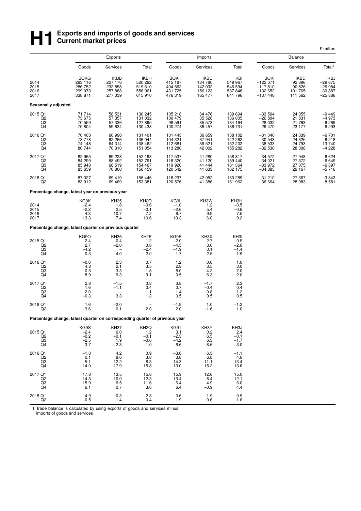# **H**<br>**H Exports and imports of goods and services**<br> **H Exports and imports of goods and services Current market prices**

|                                                   |                                                                             |                                                         |                                                        |                                                         |                                                  |                                                                       |                                                                 |                                                       | £ million                                           |
|---------------------------------------------------|-----------------------------------------------------------------------------|---------------------------------------------------------|--------------------------------------------------------|---------------------------------------------------------|--------------------------------------------------|-----------------------------------------------------------------------|-----------------------------------------------------------------|-------------------------------------------------------|-----------------------------------------------------|
|                                                   |                                                                             | <b>Exports</b><br>Goods<br><b>Services</b>              |                                                        |                                                         | Imports                                          |                                                                       |                                                                 | <b>Balance</b>                                        |                                                     |
|                                                   |                                                                             |                                                         | Total                                                  | Goods                                                   | Services                                         | Total                                                                 | Goods                                                           | Services                                              | Total <sup>1</sup>                                  |
| 2014<br>2015<br>2016<br>2017                      | <b>BOKG</b><br>293 116<br>286 752<br>299 073<br>338 871                     | <b>IKBB</b><br>227 176<br>232 858<br>257 888<br>277 039 | IKBH<br>520 292<br>519 610<br>556 961<br>615910        | <b>BOKH</b><br>415 187<br>404 562<br>431 725<br>476 319 | IKBC<br>134 780<br>142 032<br>156 123<br>165 477 | <b>IKBI</b><br>549 967<br>546 594<br>587 848<br>641 796               | <b>BOKI</b><br>$-122071$<br>$-117810$<br>$-132652$<br>$-137448$ | <b>IKBD</b><br>92 396<br>90 826<br>101 765<br>111 562 | IKBJ<br>-29 675<br>-26 984<br>$-30.887$<br>$-25886$ |
| Seasonally adjusted                               |                                                                             |                                                         |                                                        |                                                         |                                                  |                                                                       |                                                                 |                                                       |                                                     |
| 2015 Q1<br>Q <sub>2</sub><br>$_{\rm Q4}^{\rm Q3}$ | 71 714<br>73 675<br>70 559<br>70 804                                        | 58 531<br>57 357<br>57 336<br>59 634                    | 130 245<br>131 032<br>127895<br>130 438                | 105 218<br>100 479<br>98 591<br>100 274                 | 34 476<br>35 5 26<br>35 573<br>36 457            | 139 694<br>136 005<br>134 164<br>136 731                              | $-33504$<br>$-26804$<br>-28 032<br>$-29470$                     | 24 055<br>21 831<br>21 763<br>23 177                  | $-9449$<br>$-4973$<br>$-6269$<br>$-6293$            |
| 2016 Q1<br>Q2<br>Q3<br>Q4                         | 70 403<br>73 778<br>74 148<br>80 744                                        | 60 998<br>62 266<br>64 314<br>70 310                    | 131 401<br>136 044<br>138 462<br>151 054               | 101 443<br>104 321<br>112 681<br>113 280                | 36 659<br>37941<br>39 5 21<br>42 002             | 138 102<br>142 262<br>152 202<br>155 282                              | $-31040$<br>-30 543<br>$-38533$<br>$-32536$                     | 24 339<br>24 3 25<br>24 793<br>28 308                 | $-6701$<br>$-6218$<br>$-13740$<br>$-4228$           |
| 2017 Q1<br>Q2<br>Q3<br>Q4                         | 82 965<br>84 299<br>85 948<br>85 659                                        | 69 228<br>68 492<br>68 519<br>70 800                    | 152 193<br>152 791<br>154 467<br>156 459               | 117 537<br>118 320<br>119 920<br>120 542                | 41 280<br>41 120<br>41 444<br>41 633             | 158 817<br>159 440<br>161 364<br>162 175                              | $-34572$<br>$-34021$<br>-33 972<br>$-34883$                     | 27948<br>27 372<br>27 075<br>29 167                   | $-6624$<br>$-6649$<br>$-6.897$<br>$-5.716$          |
| 2018 Q1<br>Q2                                     | 87 027<br>83 912                                                            | 69 419<br>69 4 69                                       | 156 446<br>153 381                                     | 118 237<br>120 576                                      | 42 052<br>41 386                                 | 160 289<br>161 962                                                    | $-31210$<br>-36 664                                             | 27 367<br>28 083                                      | $-3843$<br>$-8581$                                  |
|                                                   | Percentage change, latest year on previous year                             |                                                         |                                                        |                                                         |                                                  |                                                                       |                                                                 |                                                       |                                                     |
| 2014<br>2015<br>2016<br>2017                      | KG9K<br>$-2.4$<br>$-2.2$<br>4.3<br>13.3                                     | <b>KH35</b><br>1.8<br>2.5<br>10.7<br>7.4                | KH <sub>2</sub> O<br>$-0.6$<br>$-0.1$<br>7.2<br>10.6   | KG9L<br>$-1.0$<br>$-2.6$<br>6.7<br>10.3                 | KH3W<br>1.2<br>5.4<br>9.9<br>6.0                 | KH3H<br>$-0.5$<br>$-0.6$<br>$\begin{array}{c} 7.5 \\ 9.2 \end{array}$ |                                                                 |                                                       |                                                     |
|                                                   | Percentage change, latest quarter on previous quarter                       |                                                         |                                                        |                                                         |                                                  |                                                                       |                                                                 |                                                       |                                                     |
| 2015 Q1<br>Q <sub>2</sub><br>Q3<br>Q4             | KG9O<br>$-2.4$<br>2.7<br>$-4.2$<br>0.3                                      | <b>KH36</b><br>0.4<br>$-2.0$<br>4.0                     | KH <sub>2</sub> P<br>$-1.2$<br>0.6<br>$-2.4$<br>2.0    | KG9P<br>$-2.0$<br>$-4.5$<br>$-1.9$<br>1.7               | KH3X<br>2.7<br>3.0<br>0.1<br>2.5                 | KH3I<br>$-0.9$<br>$-2.6$<br>$-1.4$<br>1.9                             |                                                                 |                                                       |                                                     |
| 2016 Q1<br>$\overline{Q}2$<br>Q3<br>Q4            | $-0.6$<br>4.8<br>0.5<br>8.9                                                 | 2.3<br>2.1<br>3.3<br>9.3                                | 0.7<br>3.5<br>1.8<br>9.1                               | 1.2<br>2.8<br>8.0<br>0.5                                | 0.6<br>$\frac{3.5}{4.2}$<br>6.3                  | 1.0<br>3.0<br>7.0<br>2.0                                              |                                                                 |                                                       |                                                     |
| 2017 Q1<br>Q2<br>Q3<br>Q4                         | $^{2.8}_{1.6}$<br>2.0<br>$-0.3$                                             | $-1.5$<br>$-1.1$<br>3.3                                 | $0.8 \\ 0.4$<br>1.1<br>1.3                             | $\begin{array}{c} 3.8 \\ 0.7 \end{array}$<br>1.4<br>0.5 | $-1.7$<br>$-0.4$<br>0.8<br>0.5                   | $^{2.3}_{0.4}$<br>1.2<br>0.5                                          |                                                                 |                                                       |                                                     |
| 2018 Q1<br>Q <sub>2</sub>                         | 1.6<br>$-3.6$                                                               | $-2.0$<br>0.1                                           | $-2.0$                                                 | $-1.9$<br>2.0                                           | 1.0<br>$-1.6$                                    | $-1.2$<br>1.0                                                         |                                                                 |                                                       |                                                     |
|                                                   | Percentage change, latest quarter on corresponding quarter of previous year |                                                         |                                                        |                                                         |                                                  |                                                                       |                                                                 |                                                       |                                                     |
| 2015 Q1<br>$^{Q2}_{Q3}$<br>Q <sub>4</sub>         | KG9S<br>$-2.4$<br>$-0.2$<br>$-2.5$<br>$-3.7$                                | <b>KH37</b><br>6.0<br>$-0.1$<br>1.9<br>2.3              | KH <sub>2</sub> Q<br>1.2<br>$-0.1$<br>$-0.6$<br>$-1.0$ | KG9T<br>3.1<br>$-2.3$<br>$-4.2$<br>$-6.6$               | KH3Y<br>0.2<br>$6.5$<br>$6.3$<br>8.6             | KH3J<br>2.4<br>$-0.1$<br>$-1.7$<br>$-3.0$                             |                                                                 |                                                       |                                                     |
| 2016 Q1<br>Q2<br>$_{\rm Q4}^{\rm Q3}$             | $-1.8$<br>0.1<br>5.1<br>14.0                                                | $4.2\,$<br>8.6<br>12.2<br>17.9                          | 0.9<br>3.8<br>$8.3$<br>15.8                            | $-3.6$<br>3.8<br>14.3<br>13.0                           | $6.3\,$<br>6.8<br>$11.1$<br>15.2                 | $-1.1$<br>4.6<br>13.4<br>13.6                                         |                                                                 |                                                       |                                                     |
| 2017 Q1<br>Q2<br>Q3<br>Q4                         | 17.8<br>14.3<br>15.9<br>6.1                                                 | $13.5$<br>$10.0$<br>6.5<br>0.7                          | 15.8<br>12.3<br>11.6<br>3.6                            | 15.9<br>13.4<br>6.4<br>6.4                              | 12.6<br>8.4<br>4.9<br>$-0.9$                     | 15.0<br>12.1<br>6.0<br>4.4                                            |                                                                 |                                                       |                                                     |
| 2018 Q1<br>Q <sub>2</sub>                         | 4.9<br>$-0.5$                                                               | 0.3<br>1.4                                              | 2.8<br>0.4                                             | 0.6<br>1.9                                              | 1.9<br>0.6                                       | 0.9<br>1.6                                                            |                                                                 |                                                       |                                                     |

1 Trade balance is calculated by using exports of goods and services minus imports of goods and services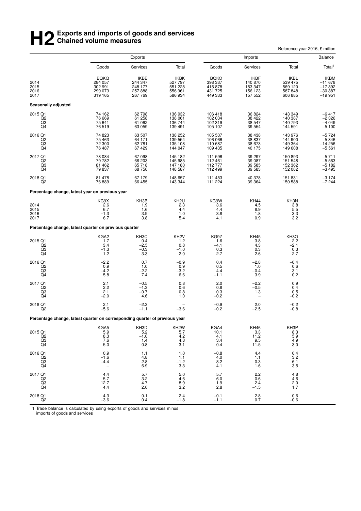# **H2** Exports and imports of goods and services<br> **H2** Chained volume measures **Chained volume measures**

|                                                   |                                                                             |                                                  |                                                  |                                                         |                                                         | Reference year 2016, £ million                   |                                                         |
|---------------------------------------------------|-----------------------------------------------------------------------------|--------------------------------------------------|--------------------------------------------------|---------------------------------------------------------|---------------------------------------------------------|--------------------------------------------------|---------------------------------------------------------|
|                                                   |                                                                             | <b>Exports</b>                                   |                                                  |                                                         | Imports                                                 |                                                  | Balance                                                 |
|                                                   | Goods                                                                       | Services                                         | Total                                            | Goods                                                   | Services                                                | Total                                            | Total <sup>1</sup>                                      |
| 2014<br>2015<br>2016<br>2017                      | <b>BQKQ</b><br>284 057<br>302 991<br>299 073<br>319 165                     | IKBE<br>244 347<br>248 177<br>257 888<br>267 769 | IKBK<br>527 797<br>551 228<br>556 961<br>586 934 | <b>BOKO</b><br>398 337<br>415 878<br>431 725<br>449 333 | <b>IKBF</b><br>140 870<br>153 347<br>156 123<br>157 552 | IKBL<br>539 475<br>569 120<br>587 848<br>606 885 | <b>IKBM</b><br>$-11678$<br>$-17892$<br>$-30887 - 19951$ |
| Seasonally adjusted                               |                                                                             |                                                  |                                                  |                                                         |                                                         |                                                  |                                                         |
| 2015 Q1<br>Q2<br>$^{Q3}_{Q4}$                     | 74 162<br>76 669<br>75 641<br>76 519                                        | 62798<br>61 258<br>61 062<br>63 059              | 136 932<br>138 061<br>136 744<br>139 491         | 106 418<br>102 034<br>102 319<br>105 107                | 36 824<br>38 4 22<br>38 547<br>39 554                   | 143 349<br>140 387<br>140 793<br>144 591         | $-6417$<br>$-2,326$<br>$-4,049$<br>$-5,100$             |
| 2016 Q1<br>Q <sub>2</sub><br>$\frac{Q3}{Q4}$      | 74 823<br>75 463<br>72 300<br>76 487                                        | 63 507<br>64 171<br>62 781<br>67 429             | 138 252<br>139 554<br>135 108<br>144 047         | 105 537<br>106 066<br>110 687<br>109 435                | 38 4 38<br>38 837<br>38 673<br>40 175                   | 143 976<br>144 900<br>149 364<br>149 608         | $-5724$<br>$-5346$<br>$-14256$<br>$-5561$               |
| 2017 Q1<br>$_{\rm Q3}^{\rm Q2}$<br>Q <sub>4</sub> | 78 084<br>79 782<br>81 462<br>79 837                                        | 67 098<br>66 203<br>65 718<br>68 750             | 145 182<br>145 985<br>147 180<br>148 587         | 111 596<br>112 461<br>112777<br>112 499                 | 39 297<br>39 087<br>39 585<br>39 583                    | 150 893<br>151 548<br>152 362<br>152 082         | $-5711$<br>$-5563$<br>$-5182$<br>$-3495$                |
| 2018 Q1<br>Q <sub>2</sub>                         | 81 478<br>76 889                                                            | 67 179<br>66 455                                 | 148 657<br>143 344                               | 111 453<br>111 224                                      | 40 378<br>39 364                                        | 151 831<br>150 588                               | $-3174$<br>$-7244$                                      |
|                                                   | Percentage change, latest year on previous year                             |                                                  |                                                  |                                                         |                                                         |                                                  |                                                         |
| 2014<br>2015<br>2016<br>2017                      | KG9X<br>2.6<br>6.7<br>$-1.3$<br>6.7                                         | KH3B<br>1.9<br>1.6<br>3.9<br>3.8                 | KH <sub>2U</sub><br>2.3<br>4.4<br>1.0<br>5.4     | KG9W<br>3.6<br>4.4<br>3.8<br>4.1                        | <b>KH44</b><br>4.5<br>8.9<br>1.8<br>0.9                 | KH3N<br>3.8<br>5.5<br>$\frac{3.3}{3.2}$          |                                                         |
|                                                   | Percentage change, latest quarter on previous quarter                       |                                                  |                                                  |                                                         |                                                         |                                                  |                                                         |
| 2015 Q1<br>Q2<br>$^{Q3}_{Q4}$                     | KGA <sub>2</sub><br>1.7<br>3.4<br>$-1.3$<br>1.2                             | KH3C<br>0.4<br>$-2.5$<br>$-0.3$<br>3.3           | KH <sub>2</sub> V<br>1.2<br>0.8<br>$-1.0$<br>2.0 | KG9Z<br>1.6<br>$-4.1$<br>$\frac{0.3}{2.7}$              | KH45<br>3.8<br>4.3<br>0.3<br>2.6                        | KH <sub>3</sub> O<br>2.2<br>$-2.1$<br>0.3<br>2.7 |                                                         |
| 2016 Q1<br>Q2<br>Q <sub>3</sub><br>Q4             | $-2.2$<br>0.9<br>$-4.2$<br>5.8                                              | 0.7<br>1.0<br>$-2.2$<br>7.4                      | $-0.9$<br>0.9<br>$-3.2$<br>6.6                   | 0.4<br>0.5<br>4.4<br>$-1.1$                             | $-2.8$<br>1.0<br>$-0.4$<br>3.9                          | $-0.4$<br>0.6<br>3.1<br>0.2                      |                                                         |
| 2017 Q1<br>Q <sub>2</sub><br>Q3<br>Q <sub>4</sub> | 2.1<br>2.2<br>2.1<br>$-2.0$                                                 | $-0.5$<br>$-1.3$<br>$-0.7$<br>4.6                | 0.8<br>0.6<br>0.8<br>1.0                         | 2.0<br>0.8<br>0.3<br>$-0.2$                             | $^{-2.2}_{-0.5}$<br>1.3                                 | 0.9<br>0.4<br>0.5<br>$-0.2$                      |                                                         |
| 2018 Q1<br>Q2                                     | 2.1<br>$-5.6$                                                               | $-2.3$<br>$-1.1$                                 | $-3.6$                                           | $-0.9$<br>$-0.2$                                        | 2.0<br>$-2.5$                                           | $-0.2$<br>$-0.8$                                 |                                                         |
|                                                   | Percentage change, latest quarter on corresponding quarter of previous year |                                                  |                                                  |                                                         |                                                         |                                                  |                                                         |
| 2015 Q1<br>Q2<br>Q3<br>Q4                         | KGA5<br>5.9<br>8.3<br>7.6<br>5.0                                            | KH3D<br>5.2<br>$-1.0$<br>1.4<br>0.8              | KH <sub>2</sub> W<br>5.7<br>4.2<br>4.8<br>3.1    | KGA4<br>10.1<br>4.1<br>3.4<br>0.4                       | <b>KH46</b><br>3.3<br>11.2<br>9.5<br>11.5               | KH3P<br>8.3<br>5.9<br>4.9<br>3.0                 |                                                         |
| 2016 Q1<br>Q <sub>2</sub><br>Q3<br>Q <sub>4</sub> | 0.9<br>$-1.6$<br>$-4.4$                                                     | 1.1<br>4.8<br>2.8<br>6.9                         | 1.0<br>1.1<br>$-1.2$<br>3.3                      | $-0.8$<br>4.0<br>8.2<br>4.1                             | 4.4<br>1.1<br>0.3<br>1.6                                | 0.4<br>3.2<br>6.1<br>3.5                         |                                                         |
| 2017 Q1<br>Q <sub>2</sub><br>Q3<br>Q4             | 4.4<br>5.7<br>12.7<br>4.4                                                   | 5.7<br>$\frac{3.2}{4.7}$<br>2.0                  | 5.0<br>4.6<br>8.9<br>3.2                         | 5.7<br>6.0<br>1.9<br>2.8                                | 2.2<br>0.6<br>2.4<br>$-1.5$                             | 4.8<br>4.6<br>2.0<br>1.7                         |                                                         |
| 2018 Q1<br>Q2                                     | 4.3<br>$-3.6$                                                               | 0.1<br>0.4                                       | 2.4<br>$-1.8$                                    | $-0.1$<br>$-1.1$                                        | 2.8<br>0.7                                              | 0.6<br>$-0.6$                                    |                                                         |

1 Trade balance is calculated by using exports of goods and services minus imports of goods and services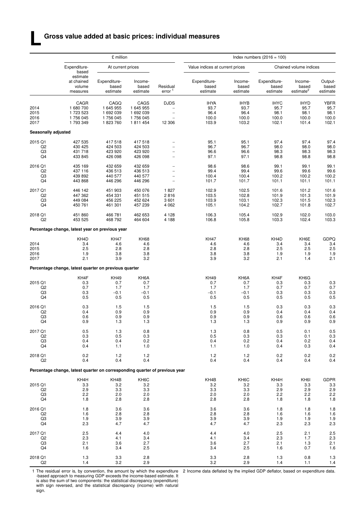#### **Gross value added at basic prices: individual measures**

**L**

|                                       |                                                                             | £ million                                            |                                                      |                                                                               | Index numbers $(2016 = 100)$                  |                                               |                                               |                                               |                                               |
|---------------------------------------|-----------------------------------------------------------------------------|------------------------------------------------------|------------------------------------------------------|-------------------------------------------------------------------------------|-----------------------------------------------|-----------------------------------------------|-----------------------------------------------|-----------------------------------------------|-----------------------------------------------|
|                                       | Expenditure-<br>based                                                       | At current prices                                    |                                                      |                                                                               | Value indices at current prices               |                                               |                                               | Chained volume indices                        |                                               |
|                                       | estimate<br>at chained<br>volume<br>measures                                | Expenditure-<br>based<br>estimate                    | Income-<br>based<br>estimate                         | Residual<br>error                                                             | Expenditure-<br>based<br>estimate             | Income-<br>based<br>estimate                  | Expenditure-<br>based<br>estimate             | Income-<br>based<br>estimate <sup>2</sup>     | Output-<br>based<br>estimate                  |
| 2014<br>2015<br>2016<br>2017          | CAGR<br>1680700<br>1723523<br>1756045<br>1793349                            | CAGQ<br>1 645 955<br>1 692 039<br>1756045<br>1823760 | CAGS<br>1 645 955<br>1 692 039<br>1756045<br>1811454 | <b>DJDS</b><br>$\overline{\phantom{0}}$<br>$\overline{\phantom{0}}$<br>12 306 | <b>IHYA</b><br>93.7<br>96.4<br>100.0<br>103.9 | <b>IHYB</b><br>93.7<br>96.4<br>100.0<br>103.2 | <b>IHYC</b><br>95.7<br>98.1<br>100.0<br>102.1 | <b>IHYD</b><br>95.7<br>98.1<br>100.0<br>101.4 | <b>YBFR</b><br>95.7<br>98.1<br>100.0<br>102.1 |
| Seasonally adjusted                   |                                                                             |                                                      |                                                      |                                                                               |                                               |                                               |                                               |                                               |                                               |
| 2015 Q1<br>Q2<br>Q3<br>Q4             | 427 535<br>430 425<br>431718<br>433 845                                     | 417518<br>424 503<br>423 920<br>426 098              | 417518<br>424 503<br>423 920<br>426 098              | $\overline{a}$<br>$\overline{a}$                                              | 95.1<br>96.7<br>96.6<br>97.1                  | 95.1<br>96.7<br>96.6<br>97.1                  | 97.4<br>98.0<br>98.3<br>98.8                  | 97.4<br>98.0<br>98.3<br>98.8                  | 97.4<br>98.0<br>98.3<br>98.8                  |
| 2016 Q1<br>Q <sub>2</sub><br>Q3<br>Q4 | 435 169<br>437 116<br>439 892<br>443 868                                    | 432 659<br>436 513<br>440 577<br>446 296             | 432 659<br>436 513<br>440 577<br>446 296             | $\overline{a}$<br>$\overline{\phantom{0}}$<br>$\overline{\phantom{0}}$        | 98.6<br>99.4<br>100.4<br>101.7                | 98.6<br>99.4<br>100.4<br>101.7                | 99.1<br>99.6<br>100.2<br>101.1                | 99.1<br>99.6<br>100.2<br>101.1                | 99.1<br>99.6<br>100.2<br>101.1                |
| 2017 Q1<br>Q <sub>2</sub><br>Q3<br>Q4 | 446 142<br>447 362<br>449 084<br>450 761                                    | 451 903<br>454 331<br>456 225<br>461 301             | 450 076<br>451 515<br>452 624<br>457 239             | 1827<br>2816<br>3601<br>4 0 6 2                                               | 102.9<br>103.5<br>103.9<br>105.1              | 102.5<br>102.8<br>103.1<br>104.2              | 101.6<br>101.9<br>102.3<br>102.7              | 101.2<br>101.3<br>101.5<br>101.8              | 101.6<br>101.9<br>102.3<br>102.7              |
| 2018 Q1<br>Q2                         | 451 860<br>453 525                                                          | 466 781<br>468 792                                   | 462 653<br>464 604                                   | 4 1 2 8<br>4 1 8 8                                                            | 106.3<br>106.8                                | 105.4<br>105.8                                | 102.9<br>103.3                                | 102.0<br>102.4                                | 103.0<br>103.3                                |
|                                       | Percentage change, latest year on previous year                             |                                                      |                                                      |                                                                               |                                               |                                               |                                               |                                               |                                               |
| 2014<br>2015<br>2016<br>2017          | KH4D<br>3.4<br>2.5<br>1.9<br>2.1                                            | <b>KH47</b><br>4.6<br>2.8<br>3.8<br>3.9              | <b>KH68</b><br>4.6<br>2.8<br>3.8<br>3.2              |                                                                               | <b>KH47</b><br>4.6<br>2.8<br>3.8<br>3.9       | <b>KH68</b><br>4.6<br>2.8<br>3.8<br>3.2       | KH4D<br>3.4<br>2.5<br>1.9<br>2.1              | KH6E<br>3.4<br>2.5<br>1.9<br>1.4              | GDPQ<br>3.4<br>2.5<br>1.9<br>2.1              |
|                                       | Percentage change, latest quarter on previous quarter                       |                                                      |                                                      |                                                                               |                                               |                                               |                                               |                                               |                                               |
| 2015 Q1<br>Q2<br>Q3<br>Q4             | KH4F<br>0.3<br>0.7<br>0.3<br>0.5                                            | <b>KH49</b><br>0.7<br>1.7<br>$-0.1$<br>0.5           | KH6A<br>0.7<br>1.7<br>$-0.1$<br>0.5                  |                                                                               | <b>KH49</b><br>0.7<br>1.7<br>$-0.1$<br>0.5    | KH6A<br>0.7<br>1.7<br>$-0.1$<br>0.5           | KH4F<br>0.3<br>0.7<br>0.3<br>0.5              | KH6G<br>0.3<br>0.7<br>0.3<br>0.5              | 0.3<br>0.7<br>0.3<br>0.5                      |
| 2016 Q1<br>Q2<br>Q3<br>Q4             | 0.3<br>0.4<br>0.6<br>0.9                                                    | 1.5<br>0.9<br>0.9<br>$1.3$                           | 1.5<br>0.9<br>0.9<br>1.3                             |                                                                               | 1.5<br>0.9<br>0.9<br>$1.3$                    | 1.5<br>0.9<br>0.9<br>1.3                      | 0.3<br>0.4<br>0.6<br>0.9                      | 0.3<br>0.4<br>0.6<br>0.9                      | 0.3<br>0.4<br>0.6<br>0.9                      |
| 2017 Q1<br>Q2<br>Q3<br>Q4             | 0.5<br>0.3<br>0.4<br>0.4                                                    | 1.3<br>0.5<br>0.4<br>1.1                             | 0.8<br>0.3<br>0.2<br>1.0                             |                                                                               | 1.3<br>0.5<br>0.4<br>1.1                      | 0.8<br>0.3<br>0.2<br>1.0                      | 0.5<br>0.3<br>0.4<br>0.4                      | 0.1<br>0.1<br>0.2<br>0.3                      | 0.5<br>0.3<br>0.4<br>0.4                      |
| 2018 Q1<br>Q2                         | 0.2<br>0.4                                                                  | 1.2<br>0.4                                           | 1.2<br>0.4                                           |                                                                               | 1.2<br>0.4                                    | 1.2<br>0.4                                    | 0.2<br>0.4                                    | 0.2<br>0.4                                    | 0.2<br>0.4                                    |
|                                       | Percentage change, latest quarter on corresponding quarter of previous year |                                                      |                                                      |                                                                               |                                               |                                               |                                               |                                               |                                               |
| 2015 Q1<br>Q2<br>Q3<br>Q4             | KH4H<br>3.3<br>2.9<br>2.2<br>1.8                                            | KH4B<br>3.2<br>3.3<br>2.0<br>2.8                     | KH6C<br>3.2<br>3.3<br>2.0<br>2.8                     |                                                                               | KH4B<br>3.2<br>3.3<br>2.0<br>2.8              | KH6C<br>3.2<br>3.3<br>2.0<br>2.8              | KH4H<br>3.3<br>2.9<br>2.2<br>1.8              | KH <sub>6</sub><br>3.3<br>2.9<br>2.2<br>1.8   | <b>GDPR</b><br>3.3<br>2.9<br>2.2<br>1.8       |
| 2016 Q1<br>Q2<br>Q3<br>Q4             | 1.8<br>1.6<br>1.9<br>2.3                                                    | 3.6<br>2.8<br>3.9<br>4.7                             | 3.6<br>2.8<br>3.9<br>4.7                             |                                                                               | 3.6<br>2.8<br>3.9<br>4.7                      | 3.6<br>2.8<br>3.9<br>4.7                      | 1.8<br>1.6<br>1.9<br>2.3                      | 1.8<br>1.6<br>1.9<br>2.3                      | 1.8<br>1.6<br>1.9<br>2.3                      |
| 2017 Q1<br>Q2<br>Q3<br>Q4             | 2.5<br>2.3<br>2.1<br>1.6                                                    | 4.4<br>4.1<br>3.6<br>3.4                             | 4.0<br>3.4<br>2.7<br>2.5                             |                                                                               | 4.4<br>4.1<br>3.6<br>3.4                      | 4.0<br>3.4<br>2.7<br>2.5                      | 2.5<br>2.3<br>2.1<br>1.6                      | 2.1<br>1.7<br>1.3<br>0.7                      | 2.5<br>2.3<br>2.1<br>1.6                      |
| 2018 Q1<br>Q2                         | 1.3<br>1.4                                                                  | 3.3<br>3.2                                           | 2.8<br>2.9                                           |                                                                               | 3.3<br>3.2                                    | 2.8<br>2.9                                    | 1.3<br>1.4                                    | 0.8<br>1.1                                    | 1.3<br>1.4                                    |

1 The residual error is, by convention, the amount by which the expenditure -based approach to measuring GDP exceeds the income-based estimate. It is also the sum of two components: the statistical discrepancy (expenditure) with sign reversed, and the statistical discrepancy (income) with natural sign.

2 Income data deflated by the implied GDP deflator, based on expenditure data.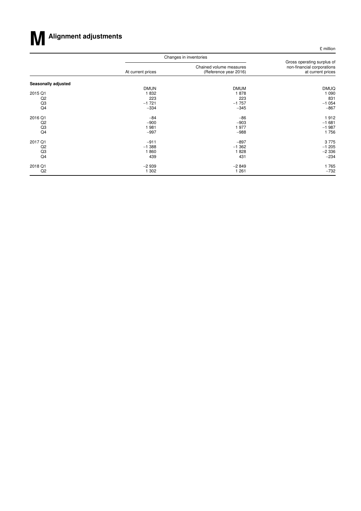# **MAlignment adjustments**

£ million

|                     |                   | Changes in inventories                           |                                                                               |
|---------------------|-------------------|--------------------------------------------------|-------------------------------------------------------------------------------|
|                     | At current prices | Chained volume measures<br>(Reference year 2016) | Gross operating surplus of<br>non-financial corporations<br>at current prices |
| Seasonally adjusted |                   |                                                  |                                                                               |
|                     | <b>DMUN</b>       | <b>DMUM</b>                                      | <b>DMUQ</b>                                                                   |
| 2015 Q1             | 1832              | 1878                                             | 1 0 9 0                                                                       |
| Q2                  | 223               | 223                                              | 831                                                                           |
| Q3                  | $-1721$           | $-1757$                                          | $-1054$                                                                       |
| Q4                  | $-334$            | $-345$                                           | $-867$                                                                        |
| 2016 Q1             | $-84$             | $-86$                                            | 1912                                                                          |
| Q <sub>2</sub>      | $-900$            | $-903$                                           | $-1681$                                                                       |
| Q3                  | 1981              | 1977                                             | $-1987$                                                                       |
| Q <sub>4</sub>      | $-997$            | $-988$                                           | 1756                                                                          |
| 2017 Q1             | $-911$            | $-897$                                           | 3775                                                                          |
| Q <sub>2</sub>      | $-1.388$          | $-1.362$                                         | $-1205$                                                                       |
| Q3                  | 860               | 1828                                             | $-2336$                                                                       |
| Q4                  | 439               | 431                                              | $-234$                                                                        |
| 2018 Q1             | $-2939$           | $-2849$                                          | 1765                                                                          |
| Q2                  | 1 302             | 1 2 6 1                                          | $-732$                                                                        |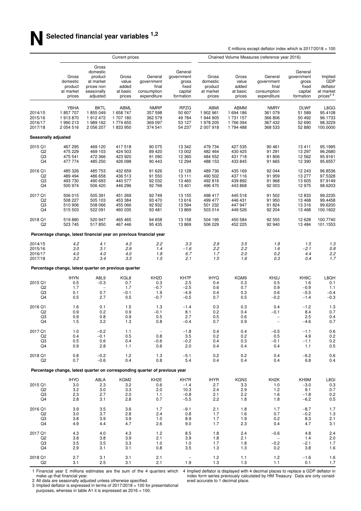|                                                   |                                                        |                                                                                   | Current prices                                     |                                                                             |                                                                 | Chained Volume Measures (reference year 2016)           |                                                       |                                                              |                                                                 |                                                                     |
|---------------------------------------------------|--------------------------------------------------------|-----------------------------------------------------------------------------------|----------------------------------------------------|-----------------------------------------------------------------------------|-----------------------------------------------------------------|---------------------------------------------------------|-------------------------------------------------------|--------------------------------------------------------------|-----------------------------------------------------------------|---------------------------------------------------------------------|
|                                                   | Gross<br>domestic<br>product<br>at market<br>prices    | Gross<br>domestic<br>product<br>at market<br>prices non<br>seasonally<br>adjusted | Gross<br>value<br>added<br>at basic<br>prices      | General<br>government<br>final<br>consumption<br>expenditure                | General<br>government<br>gross<br>fixed<br>capital<br>formation | Gross<br>domestic<br>product<br>at market<br>prices     | Gross<br>value<br>added<br>at basic<br>prices         | General<br>government<br>final<br>consumption<br>expenditure | General<br>government<br>gross<br>fixed<br>capital<br>formation | Implied<br>GDP<br>deflator<br>at market<br>prices <sup>34</sup>     |
| 2014/15<br>2015/16<br>2016/17<br>2017/18          | YBHA<br>1857707<br>1913870<br>1990213<br>2 0 5 4 5 1 6 | <b>BKTL</b><br>1855049<br>1912472<br>1989 162<br>2 056 207                        | ABML<br>1 658 747<br>1707180<br>1774655<br>1833950 | <b>NMRP</b><br>357 598<br>362 579<br>369 097<br>374 541                     | <b>RPZG</b><br>50 607<br>49 784<br>53 127<br>54 237             | ABMI<br>1 902 961<br>1 944 905<br>1978 205<br>2 007 918 | ABMM<br>1 694 186<br>1 731 157<br>1766394<br>1794 488 | <b>NMRY</b><br>361 079<br>366 806<br>367 432<br>368 533      | <b>DLWF</b><br>51 589<br>50 492<br>52 690<br>52 880             | L8GG<br>95.4108<br>96.1733<br>98.3229<br>100.0000                   |
| Seasonally adjusted                               |                                                        |                                                                                   |                                                    |                                                                             |                                                                 |                                                         |                                                       |                                                              |                                                                 |                                                                     |
| 2015 Q1                                           | 467 295                                                | 469 120                                                                           | 417518                                             | 90 075                                                                      | 13 342                                                          | 479 734                                                 | 427 535                                               | 90 461                                                       | 13411                                                           | 95.1995                                                             |
| Q <sub>2</sub>                                    | 475 229                                                | 469 103                                                                           | 424 503                                            | 89 4 20                                                                     | 13 002                                                          | 482 464                                                 | 430 425                                               | 91 291                                                       | 13 297                                                          | 96.2680                                                             |
| Q3                                                | 475 541                                                | 472 366                                                                           | 423 920                                            | 91 090                                                                      | 12 360                                                          | 484 552                                                 | 431 718                                               | 91 806                                                       | 12 5 62                                                         | 95.9161                                                             |
| Q4                                                | 477 774                                                | 485 250                                                                           | 426 098                                            | 90 443                                                                      | 12 294                                                          | 488 153                                                 | 433 845                                               | 91 665                                                       | 12 390                                                          | 95.6557                                                             |
| 2016 Q1                                           | 485 326                                                | 485 753                                                                           | 432 659                                            | 91 626                                                                      | 12 1 28                                                         | 489736                                                  | 435 169                                               | 92 044                                                       | 12 243                                                          | 96.8536                                                             |
| Q <sub>2</sub>                                    | 489 494                                                | 486 658                                                                           | 436 513                                            | 91 550                                                                      | 13 111                                                          | 490 502                                                 | 437 116                                               | 91 959                                                       | 13 277                                                          | 97.5328                                                             |
| Q3                                                | 493 730                                                | 490 693                                                                           | 440 577                                            | 92 032                                                                      | 13 4 60                                                         | 492 816                                                 | 439 892                                               | 91 968                                                       | 13 605                                                          | 97.9149                                                             |
| Q4                                                | 500 974                                                | 506 420                                                                           | 446 296                                            | 92766                                                                       | 13 4 01                                                         | 496 470                                                 | 443 868                                               | 92 003                                                       | 12 975                                                          | 98.6203                                                             |
| 2017 Q1                                           | 506 015                                                | 505 391                                                                           | 451 269                                            | 92749                                                                       | 13 155                                                          | 498 417                                                 | 445 518                                               | 91 502                                                       | 12 833                                                          | 99.2235                                                             |
| Q <sub>2</sub>                                    | 508 227                                                | 505 103                                                                           | 453 384                                            | 93 470                                                                      | 13 616                                                          | 499 477                                                 | 446 431                                               | 91 950                                                       | 13 4 68                                                         | 99.4458                                                             |
| Q3                                                | 510 906                                                | 508 066                                                                           | 455 066                                            | 92 932                                                                      | 13 594                                                          | 501 232                                                 | 447 947                                               | 91 824                                                       | 13 316                                                          | 99.6200                                                             |
| Q4                                                | 515 503                                                | 522 091                                                                           | 460 035                                            | 93 481                                                                      | 13869                                                           | 503 014                                                 | 449 526                                               | 92 204                                                       | 13 4 68                                                         | 100.1602                                                            |
| 2018 Q1                                           | 519880                                                 | 520 947                                                                           | 465 465                                            | 94 658                                                                      | 13 158                                                          | 504 195                                                 | 450 584                                               | 92 555                                                       | 12 6 28                                                         | 100.7740                                                            |
| Q <sub>2</sub>                                    | 523 745                                                | 517850                                                                            | 467 446                                            | 95 435                                                                      | 13869                                                           | 506 029                                                 | 452 225                                               | 92 940                                                       | 13 4 84                                                         | 101.1553                                                            |
|                                                   |                                                        |                                                                                   |                                                    | Percentage change, latest financial year on previous financial year         |                                                                 |                                                         |                                                       |                                                              |                                                                 |                                                                     |
| 2014/15                                           | 4.2                                                    | 4.1                                                                               | 4.3                                                | 2.2                                                                         | 3.3                                                             | 2.9                                                     | 3.5                                                   | 1.9                                                          | 1.5                                                             | 1.3                                                                 |
| 2015/16                                           | 3.0                                                    | 3.1                                                                               | 2.9                                                | 1.4                                                                         | $-1.6$                                                          | 2.2                                                     | 2.2                                                   | 1.6                                                          | $-2.1$                                                          | 0.8                                                                 |
| 2016/17                                           | 4.0                                                    | 4.0                                                                               | 4.0                                                | 1.8                                                                         | 6.7                                                             | 1.7                                                     | 2.0                                                   | 0.2                                                          | 4.4                                                             | 2.2                                                                 |
| 2017/18                                           | 3.2                                                    | 3.4                                                                               | 3.3                                                | 1.5                                                                         | 2.1                                                             | 1.5                                                     | 1.6                                                   | 0.3                                                          | 0.4                                                             | 1.7                                                                 |
|                                                   | Percentage change, latest quarter on previous quarter  |                                                                                   |                                                    |                                                                             |                                                                 |                                                         |                                                       |                                                              |                                                                 |                                                                     |
| 2015 Q1<br>Q <sub>2</sub><br>Q3<br>Q4             | <b>IHYN</b><br>0.5<br>1.7<br>0.1<br>0.5                | A8L9<br>$-0.3$<br>0.7<br>2.7                                                      | KGL8<br>0.7<br>1.7<br>$-0.1$<br>0.5                | KH <sub>2</sub> D<br>0.3<br>$-0.7$<br>1.9<br>$-0.7$                         | KH7P<br>2.5<br>$-2.5$<br>$-4.9$<br>$-0.5$                       | <b>IHYQ</b><br>0.4<br>0.6<br>0.4<br>0.7                 | KGM9<br>0.3<br>0.7<br>0.3<br>0.5                      | KH <sub>2</sub> J<br>0.5<br>0.9<br>0.6<br>$-0.2$             | KH <sub>9</sub> C<br>1.6<br>$-0.9$<br>$-5.5$<br>$-1.4$          | L8GH<br>0.1<br>1.1<br>$-0.4$<br>$-0.3$                              |
| 2016 Q1<br>Q <sub>2</sub><br>Q3<br>Q <sub>4</sub> | 1.6<br>0.9<br>0.9<br>1.5                               | 0.1<br>0.2<br>0.8<br>3.2                                                          | 1.5<br>0.9<br>0.9<br>1.3                           | 1.3<br>$-0.1$<br>0.5<br>0.8                                                 | $-1.4$<br>8.1<br>2.7<br>$-0.4$                                  | 0.3<br>0.2<br>0.5<br>0.7                                | 0.3<br>0.4<br>0.6<br>0.9                              | 0.4<br>$-0.1$<br>$\overline{\phantom{0}}$                    | $-1.2$<br>8.4<br>2.5<br>$-4.6$                                  | 1.3<br>0.7<br>0.4<br>0.7                                            |
| 2017 Q1                                           | 1.0                                                    | $-0.2$                                                                            | 1.1                                                | $\qquad \qquad -$                                                           | $-1.8$                                                          | 0.4                                                     | 0.4                                                   | $-0.5$                                                       | $-1.1$                                                          | 0.6                                                                 |
| Q <sub>2</sub>                                    | 0.4                                                    | $-0.1$                                                                            | 0.5                                                | 0.8                                                                         | 3.5                                                             | 0.2                                                     | 0.2                                                   | 0.5                                                          | 4.9                                                             | 0.2                                                                 |
| Q3                                                | 0.5                                                    | 0.6                                                                               | 0.4                                                | $-0.6$                                                                      | $-0.2$                                                          | 0.4                                                     | 0.3                                                   | $-0.1$                                                       | $-1.1$                                                          | 0.2                                                                 |
| Q4                                                | 0.9                                                    | 2.8                                                                               | 1.1                                                | 0.6                                                                         | 2.0                                                             | 0.4                                                     | 0.4                                                   | 0.4                                                          | 1.1                                                             | 0.5                                                                 |
| 2018 Q1                                           | 0.8                                                    | $-0.2$                                                                            | 1.2                                                | 1.3                                                                         | $-5.1$                                                          | 0.2                                                     | 0.2                                                   | 0.4                                                          | $-6.2$                                                          | 0.6                                                                 |
| Q <sub>2</sub>                                    | 0.7                                                    | $-0.6$                                                                            | 0.4                                                | 0.8                                                                         | 5.4                                                             | 0.4                                                     | 0.4                                                   | 0.4                                                          | 6.8                                                             | 0.4                                                                 |
|                                                   |                                                        |                                                                                   |                                                    | Percentage change, latest quarter on corresponding quarter of previous year |                                                                 |                                                         |                                                       |                                                              |                                                                 |                                                                     |
| 2015 Q1<br>Q <sub>2</sub><br>Q3<br>Q4             | <b>IHYO</b><br>3.0<br>3.2<br>2.3<br>2.8                | A8LA<br>2.3<br>3.0<br>2.7<br>3.1                                                  | KGM2<br>3.2<br>3.3<br>2.0<br>2.8                   | KH <sub>2</sub> E<br>0.6<br>2.0<br>1.1<br>0.7                               | KH7R<br>$-1.4$<br>10.3<br>$-0.8$<br>$-5.5$                      | IHYR<br>2.7<br>2.4<br>2.1<br>2.2                        | KGN3<br>3.3<br>2.9<br>2.2<br>1.8                      | KH <sub>2</sub> K<br>1.0<br>$1.2$<br>1.6<br>1.8              | KH9M<br>$-3.0$<br>9.1<br>$-1.8$<br>$-6.2$                       | L8GI<br>$0.3\,$<br>0.7<br>$\begin{array}{c} 0.2 \\ 0.5 \end{array}$ |
| 2016 Q1                                           | 3.9                                                    | 3.5                                                                               | 3.6                                                | 1.7                                                                         | $-9.1$                                                          | 2.1                                                     | 1.8                                                   | 1.7                                                          | $-8.7$                                                          | 1.7                                                                 |
| Q <sub>2</sub>                                    | 3.0                                                    | 3.7                                                                               | 2.8                                                | 2.4                                                                         | 0.8                                                             | 1.7                                                     | 1.6                                                   | 0.7                                                          | $-0.2$                                                          | $1.3$                                                               |
| Q3                                                | 3.8                                                    | 3.9                                                                               | 3.9                                                | 1.0                                                                         | 8.9                                                             | 1.7                                                     | 1.9                                                   | 0.2                                                          | 8.3                                                             | 2.1                                                                 |
| Q4                                                | 4.9                                                    | 4.4                                                                               | 4.7                                                | 2.6                                                                         | 9.0                                                             | 1.7                                                     | 2.3                                                   | 0.4                                                          | 4.7                                                             | 3.1                                                                 |
| 2017 Q1                                           | 4.3                                                    | 4.0                                                                               | 4.3                                                | 1.2                                                                         | 8.5                                                             | 1.8                                                     | 2.4                                                   | $-0.6$                                                       | 4.8                                                             | 2.4                                                                 |
| Q <sub>2</sub>                                    | 3.8                                                    | 3.8                                                                               | 3.9                                                | 2.1                                                                         | 3.9                                                             | 1.8                                                     | 2.1                                                   | $\overline{\phantom{0}}$                                     | 1.4                                                             | $2.0\,$                                                             |
| Q3                                                | 3.5                                                    | 3.5                                                                               | 3.3                                                | 1.0                                                                         | 1.0                                                             | 1.7                                                     | 1.8                                                   | $-0.2$                                                       | $-2.1$                                                          | 1.7                                                                 |
| Q4                                                | 2.9                                                    | 3.1                                                                               | 3.1                                                | 0.8                                                                         | 3.5                                                             | 1.3                                                     | 1.3                                                   | 0.2                                                          | 3.8                                                             | 1.6                                                                 |
| 2018 Q1                                           | 2.7                                                    | 3.1                                                                               | 3.1                                                | 2.1                                                                         | $\hspace{1.0cm} - \hspace{1.0cm}$                               | $1.2$                                                   | 1.1                                                   | 1.2                                                          | $-1.6$                                                          | 1.6                                                                 |
| Q <sub>2</sub>                                    | 3.1                                                    | 2.5                                                                               | 3.1                                                | 2.1                                                                         | 1.9                                                             | 1.3                                                     | 1.3                                                   | 1.1                                                          | 0.1                                                             | 1.7                                                                 |

1 Financial year £ millions estimates are the sum of the 4 quarters which make up that financial year.

2 All data are seasonally adjusted unless otherwise specified.

3 Implied deflator is expressed in terms of 2017/2018 = 100 for presentational purposes, whereas in table A1 it is expressed as 2016 = 100.

4 Implied deflator is displayed with 4 decimal places to replace a GDP deflator in index form series previously calculated by HM Treasury. Data are only considered accurate to 1 decimal place.

£ millions except deflator index which is  $2017/2018 = 100$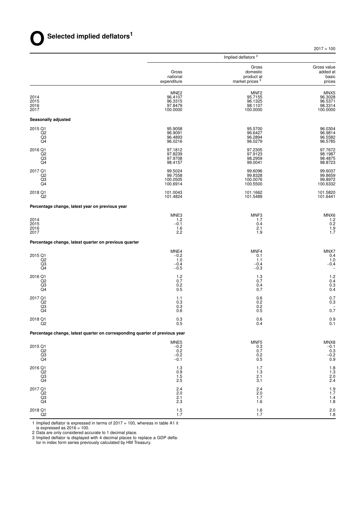$2017 = 100$ 

|                                                                             |                                                               | Implied deflators <sup>2</sup>                                |                                                               |
|-----------------------------------------------------------------------------|---------------------------------------------------------------|---------------------------------------------------------------|---------------------------------------------------------------|
|                                                                             | Gross<br>national<br>expenditure                              | Gross<br>domestic<br>product at<br>market prices <sup>3</sup> | Gross value<br>added at<br>basic<br>prices                    |
| 2014<br>2015<br>2016<br>2017                                                | MNE <sub>2</sub><br>96.4107<br>96.3315<br>97.8479<br>100.0000 | MNF <sub>2</sub><br>95.7155<br>96.1325<br>98.1107<br>100.0000 | MNX <sub>5</sub><br>96.3028<br>96.5371<br>98.3314<br>100.0000 |
| Seasonally adjusted                                                         |                                                               |                                                               |                                                               |
| 2015 Q1<br>Q <sub>2</sub><br>$\overline{Q}3$                                | 95.9058<br>96.9091<br>96.4893<br>96.0216                      | 95.5700<br>96.6427<br>96.2894<br>96.0279                      | 96.0304<br>96.9814<br>96.5582<br>96.5785                      |
| 2016 Q1<br>Q <sub>2</sub><br>Q3<br>Q4                                       | 97.1812<br>97.8239<br>97.9708<br>98.4157                      | 97.2305<br>97.9123<br>98.2959<br>99.0041                      | 97.7672<br>98.1987<br>98.4875<br>98.8723                      |
| 2017 Q1<br>Q2<br>Q3<br>Q4                                                   | 99.5024<br>99.7558<br>100.0505<br>100.6914                    | 99.6096<br>99.8328<br>100.0076<br>100.5500                    | 99.6037<br>99.8659<br>99.8972<br>100.6332                     |
| 2018 Q1<br>Q2                                                               | 101.0043<br>101.4824                                          | 101.1662<br>101.5489                                          | 101.5820<br>101.6441                                          |
| Percentage change, latest year on previous year                             |                                                               |                                                               |                                                               |
| 2014<br>2015<br>2016<br>2017                                                | MNE3<br>1.2<br>$-0.1$<br>1.6<br>2.2                           | MNF3<br>1.7<br>0.4<br>2.1<br>1.9                              | MNX6<br>1.2<br>0.2<br>$\frac{1.9}{1.7}$                       |
| Percentage change, latest quarter on previous quarter                       |                                                               |                                                               |                                                               |
| 2015 Q1<br>Q2<br>Q3<br>Q4                                                   | MNE4<br>$-0.2$<br>1.0<br>$-0.4$<br>$-0.5$                     | MNF4<br>0.1<br>1.1<br>$-0.4$<br>$-0.3$                        | MNX7<br>0.4<br>1.0<br>$-0.4$                                  |
| 2016 Q1<br>Q <sub>2</sub><br>Q3<br>Q4                                       | 1.2<br>0.7<br>0.2<br>0.5                                      | 1.3<br>0.7<br>0.4<br>0.7                                      | 1.2<br>0.4<br>0.3<br>0.4                                      |
| 2017 Q1<br>Q <sub>2</sub><br>Q3<br>Q4                                       | 1.1<br>0.3<br>0.3<br>0.6                                      | 0.6<br>0.2<br>0.2<br>0.5                                      | 0.7<br>0.3<br>0.7                                             |
| 2018 Q1<br>Q2                                                               | 0.3<br>0.5                                                    | 0.6<br>0.4                                                    | 0.9<br>0.1                                                    |
| Percentage change, latest quarter on corresponding quarter of previous year |                                                               |                                                               |                                                               |
| 2015 Q1<br>Q2<br>Q3<br>Q <sub>4</sub>                                       | MNE <sub>5</sub><br>$-0.2$<br>0.2<br>$-0.2$<br>$-0.1$         | MNF <sub>5</sub><br>$0.3\,$<br>0.7<br>0.2<br>$0.5\,$          | $MNX8$<br>$-0.1$<br>$-0.3$<br>$-0.2$<br>0.9                   |
| 2016 Q1<br>Q2<br>Q3<br>Q4                                                   | 1.3<br>0.9<br>1.5<br>2.5                                      | 1.7<br>1.3<br>2.1<br>3.1                                      | $\frac{1.8}{1.3}$<br>$2.0$<br>$2.4$                           |
| 2017 Q1<br>Q <sub>2</sub><br>$\overline{Q3}$<br>Q4                          | 2.4<br>2.0<br>2.1<br>2.3                                      | $^{2.4}_{2.0}$<br>1.7<br>1.6                                  | $1.9$<br>$1.7$<br>1.4<br>1.8                                  |
| 2018 Q1<br>Q2                                                               | 1.5<br>1.7                                                    | $1.6$<br>1.7                                                  | $^{2.0}_{1.8}$                                                |

1 Implied deflator is expressed in terms of 2017 = 100, whereas in table A1 it

is expressed as 2016 = 100. 2 Data are only considered accurate to 1 decimal place. 3 Implied deflator is displayed with 4 decimal places to replace a GDP defla-

tor in index form series previously calculated by HM Treasury.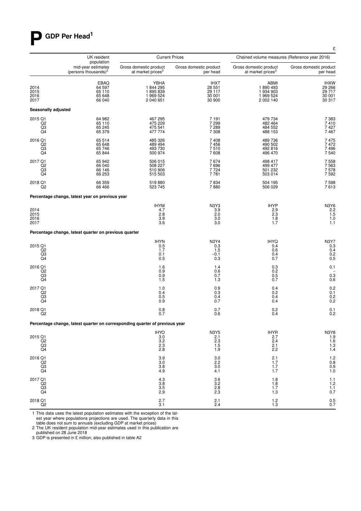# **P GDP Per Head<sup>1</sup>**

|                                                                                                                                                                                                                                                                                                                                                                                                                                                                                                             | UK resident                                                                 |                                                             | <b>Current Prices</b>                               | Chained volume measures (Reference year 2016)                            |                                                         |
|-------------------------------------------------------------------------------------------------------------------------------------------------------------------------------------------------------------------------------------------------------------------------------------------------------------------------------------------------------------------------------------------------------------------------------------------------------------------------------------------------------------|-----------------------------------------------------------------------------|-------------------------------------------------------------|-----------------------------------------------------|--------------------------------------------------------------------------|---------------------------------------------------------|
|                                                                                                                                                                                                                                                                                                                                                                                                                                                                                                             | population<br>mid-year estimates<br>(persons thousands) <sup>2</sup>        | Gross domestic product<br>at market prices <sup>3</sup>     | Gross domestic product<br>per head                  | Gross domestic product<br>at market prices <sup>3</sup>                  | Gross domestic product<br>per head                      |
| 2014<br>2015<br>2016<br>2017                                                                                                                                                                                                                                                                                                                                                                                                                                                                                | EBAQ<br>64 597<br>65 110<br>65 648<br>66 040                                | <b>YBHA</b><br>1844295<br>1895839<br>1 969 524<br>2 040 651 | <b>IHXT</b><br>28 551<br>29 117<br>30 001<br>30 900 | ABMI<br>1890493<br>1 934 903<br>1 969 524<br>2 002 140                   | <b>IHXW</b><br>29 266<br>29 717<br>30 001<br>30 317     |
| Seasonally adjusted                                                                                                                                                                                                                                                                                                                                                                                                                                                                                         |                                                                             |                                                             |                                                     |                                                                          |                                                         |
| 2015 Q1<br>$\overline{Q}2$<br>Q3<br>Q4                                                                                                                                                                                                                                                                                                                                                                                                                                                                      | 64 982<br>65 110<br>65 245<br>65 379                                        | 467 295<br>475 229<br>475 541<br>477 774                    | 7 1 9 1<br>7299<br>7 2 8 9<br>7 3 0 8               | 479 734<br>482 464<br>484 552<br>488 153                                 | 7 3 8 3<br>7410<br>7427<br>7467                         |
| 2016 Q1<br>Q <sub>2</sub><br>Q3<br>Q4                                                                                                                                                                                                                                                                                                                                                                                                                                                                       | 65 514<br>65 648<br>65 746<br>65 844                                        | 485 326<br>489 494<br>493 730<br>500 974                    | 7408<br>7456<br>7510<br>7608                        | 489 736<br>490 502<br>492 816<br>496 470                                 | 7475<br>7472<br>7496<br>7540                            |
| 2017 Q1<br>Q2<br>Q3<br>Q <sub>4</sub>                                                                                                                                                                                                                                                                                                                                                                                                                                                                       | 65 942<br>66 040<br>66 146<br>66 253                                        | 506 015<br>508 227<br>510 906<br>515 503                    | 7674<br>7696<br>7 7 2 4<br>7781                     | 498 417<br>499 477<br>501 232<br>503 014                                 | 7558<br>7563<br>7578<br>7592                            |
| 2018 Q1<br>Q <sub>2</sub>                                                                                                                                                                                                                                                                                                                                                                                                                                                                                   | 66 359<br>66 466                                                            | 519880<br>523 745                                           | 7834<br>7880                                        | 504 195<br>506 029                                                       | 7598<br>7613                                            |
|                                                                                                                                                                                                                                                                                                                                                                                                                                                                                                             | Percentage change, latest year on previous year                             |                                                             |                                                     |                                                                          |                                                         |
| 2014<br>2015<br>2016<br>2017                                                                                                                                                                                                                                                                                                                                                                                                                                                                                |                                                                             | <b>IHYM</b><br>4.7<br>2.8<br>3.9<br>3.6                     | N3Y3<br>3.9<br>2.0<br>3.0<br>3.0                    | <b>IHYP</b><br>2.9<br>$2.\overline{3}$<br>1.8<br>1.7                     | N3Y6<br>$\frac{2.2}{1.5}$<br>1.0<br>1.1                 |
|                                                                                                                                                                                                                                                                                                                                                                                                                                                                                                             | Percentage change, latest quarter on previous quarter                       |                                                             |                                                     |                                                                          |                                                         |
| 2015 Q1<br>$^{Q2}_{Q3}$<br>Q4                                                                                                                                                                                                                                                                                                                                                                                                                                                                               |                                                                             | <b>IHYN</b><br>0.5<br>1.7<br>0.1<br>0.5                     | <b>N3Y4</b><br>0.3<br>1.5<br>$-0.1$<br>0.3          | <b>IHYQ</b><br>0.4<br>0.6<br>0.4<br>0.7                                  | <b>N3Y7</b><br>0.3<br>0.4<br>0.2<br>0.5                 |
| 2016 Q1<br>Q <sub>2</sub><br>Q3<br>Q4                                                                                                                                                                                                                                                                                                                                                                                                                                                                       |                                                                             | 1.6<br>0.9<br>0.9<br>1.5                                    | 1.4<br>0.6<br>0.7<br>1.3                            | 0.3<br>0.2<br>0.5<br>0.7                                                 | 0.1<br>0.3<br>0.6                                       |
| 2017 Q1<br>Q2<br>Q3<br>Q4                                                                                                                                                                                                                                                                                                                                                                                                                                                                                   |                                                                             | 1.0<br>0.4<br>0.5<br>0.9                                    | 0.9<br>0.3<br>0.4<br>0.7                            | 0.4<br>0.2<br>0.4<br>0.4                                                 | 0.2<br>0.1<br>$0.2$<br>$0.2$                            |
| 2018 Q1<br>Q <sub>2</sub>                                                                                                                                                                                                                                                                                                                                                                                                                                                                                   |                                                                             | 0.8<br>0.7                                                  | 0.7<br>0.6                                          | 0.2<br>0.4                                                               | 0.1<br>0.2                                              |
|                                                                                                                                                                                                                                                                                                                                                                                                                                                                                                             | Percentage change, latest quarter on corresponding quarter of previous year |                                                             |                                                     |                                                                          |                                                         |
| 2015 Q1<br>$\begin{array}{c} \stackrel{\frown}{\phantom{}_{\smash{Q^2}}}\stackrel{\frown}{\phantom{}_{\smash{Q^2}}}\stackrel{\frown}{\phantom{}_{\smash{Q^2}}}\stackrel{\frown}{\phantom{}_{\smash{Q^2}}}\stackrel{\frown}{\phantom{}_{\smash{Q^2}}}\stackrel{\frown}{\phantom{}_{\smash{Q^2}}}\stackrel{\frown}{\phantom{}_{\smash{Q^2}}}\stackrel{\frown}{\phantom{}_{\smash{Q^2}}}\stackrel{\frown}{\phantom{}_{\smash{Q^2}}}\stackrel{\frown}{\phantom{}_{\smash{Q^2}}}\stackrel{\frown}{\phantom{}_{\$ |                                                                             | IHYO<br>3.0<br>3.2<br>2.3<br>2.8                            | <b>N3Y5</b><br>$\frac{2.1}{2.3}$<br>1.5<br>1.9      | $\begin{array}{c}\n\text{IHYR} \\ 2.7 \\ 2.4\n\end{array}$<br>2.1<br>2.2 | N3Y8<br>1.9<br>1.6<br>$\frac{1.3}{1.4}$                 |
| 2016 Q1<br>Q2<br>Q3<br>Q4                                                                                                                                                                                                                                                                                                                                                                                                                                                                                   |                                                                             | $\frac{3.9}{3.0}$<br>3.8<br>4.9                             | $\frac{3.0}{2.2}$<br>3.0<br>4.1                     | $^{2.1}_{1.7}$<br>1.7<br>1.7                                             | $\begin{array}{c} 1.2 \\ 0.8 \\ 0.9 \\ 1.0 \end{array}$ |
| 2017 Q1<br>$\frac{02}{03}$                                                                                                                                                                                                                                                                                                                                                                                                                                                                                  |                                                                             | 4.3<br>3.8<br>3.5<br>2.9                                    | 3.6<br>3.2<br>2.8<br>2.3                            | 1.8<br>$1.8$<br>1.7<br>1.3                                               | 1.1<br>1.2<br>1.1<br>0.7                                |
| 2018 Q1<br>Q <sub>2</sub>                                                                                                                                                                                                                                                                                                                                                                                                                                                                                   |                                                                             | 2.7<br>3.1                                                  | $^{2.1}_{2.4}$                                      | $\frac{1.2}{1.3}$                                                        | $0.5$<br>$0.7$                                          |

1 This data uses the latest population estimates with the exception of the latest year where populations projections are used. The quarterly data in this table does not sum to annuals (excluding GDP at market prices)

2 The UK resident population mid-year estimates used in this publication are published on 28 June 2018 3 GDP is presented in £ million; also published in table A2

£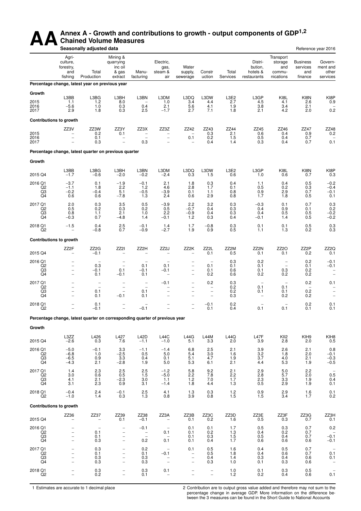# AA<sup>Annex A - Growth and contributions to growth - output components of GDP<sup>1,2</sup><br>Seasonally adjusted data</sup> **Chained Volume Measures**

|                                                   |                                                                           | Seasonally adjusted data                                                    |                                                                                            |                                                                       |                                                                                            |                                                                                                       |                                                                           |                                                          |                                               |                                                    |                                               | Reference year 2016                                                                     |
|---------------------------------------------------|---------------------------------------------------------------------------|-----------------------------------------------------------------------------|--------------------------------------------------------------------------------------------|-----------------------------------------------------------------------|--------------------------------------------------------------------------------------------|-------------------------------------------------------------------------------------------------------|---------------------------------------------------------------------------|----------------------------------------------------------|-----------------------------------------------|----------------------------------------------------|-----------------------------------------------|-----------------------------------------------------------------------------------------|
|                                                   | Agri-<br>culture,<br>forestry,<br>and<br>fishing                          | Total<br>Production                                                         | Mining &<br>quarrying<br>inc oil<br>& gas<br>extract                                       | Manu-<br>facturing                                                    | Electric,<br>gas,<br>steam &<br>air                                                        | Water<br>supply,<br>sewerage                                                                          | Constr<br>uction                                                          | Total<br>Services                                        | Distri-<br>bution,<br>hotels &<br>restaurants | Transport<br>storage<br>and<br>commu-<br>nications | <b>Business</b><br>services<br>and<br>finance | Govern-<br>ment and<br>other<br>services                                                |
|                                                   |                                                                           | Percentage change, latest year on previous year                             |                                                                                            |                                                                       |                                                                                            |                                                                                                       |                                                                           |                                                          |                                               |                                                    |                                               |                                                                                         |
| Growth<br>2015<br>2016<br>2017                    | L3BB<br>1.1<br>$-5.6$<br>2.9                                              | L3BG<br>1.2<br>1.0<br>1.8                                                   | L3BH<br>8.0<br>0.3<br>0.3                                                                  | L3BN<br>0.4<br>2.5                                                    | L3DM<br>1.0<br>2.1<br>$-1.7$                                                               | L3DQ<br>3.4<br>5.6<br>2.7                                                                             | L3DW<br>4.4<br>4.1<br>7.1                                                 | L3E2<br>2.7<br>$\begin{array}{c} 1.9 \\ 1.8 \end{array}$ | L3GP<br>4.5<br>3.8<br>2.1                     | KI8L<br>4.1<br>3.4<br>4.2                          | KI8N<br>2.6<br>$^{2.1}_{2.0}$                 | KI8P<br>0.9<br>0.2                                                                      |
| <b>Contributions to growth</b>                    |                                                                           |                                                                             |                                                                                            |                                                                       |                                                                                            |                                                                                                       |                                                                           |                                                          |                                               |                                                    |                                               |                                                                                         |
| 2015<br>2016<br>2017                              | ZZ3V<br>$\overline{\phantom{a}}$<br>$\bar{\phantom{a}}$                   | ZZ3W<br>0.2<br>0.1<br>0.3                                                   | ZZ3Y<br>0.1<br>$\qquad \qquad -$<br>$\overline{\phantom{0}}$                               | ZZ3X<br>$\overline{\phantom{0}}$<br>0.3                               | ZZ3Z<br>$\qquad \qquad -$<br>$\overline{\phantom{0}}$                                      | ZZ42<br>0.1                                                                                           | ZZ43<br>${}^{0.3}_{0.2}$<br>0.4                                           | ZZ44<br>2.1<br>1.5<br>1.4                                | ZZ45<br>0.6<br>0.5<br>0.3                     | ZZ46<br>0.4<br>0.4<br>0.4                          | ZZ47<br>${}^{0.9}_{0.7}$<br>0.7               | ZZ48<br>0.2<br>0.1                                                                      |
|                                                   |                                                                           | Percentage change, latest quarter on previous quarter                       |                                                                                            |                                                                       |                                                                                            |                                                                                                       |                                                                           |                                                          |                                               |                                                    |                                               |                                                                                         |
| Growth                                            |                                                                           |                                                                             |                                                                                            |                                                                       |                                                                                            |                                                                                                       |                                                                           |                                                          |                                               |                                                    |                                               |                                                                                         |
| 2015 Q4                                           | L3BB<br>$-1.7$                                                            | L3BG<br>$-0.6$                                                              | L3BH<br>$-2.0$                                                                             | L3BN<br>$-0.2$                                                        | L3DM<br>$-2.4$                                                                             | L3DQ<br>0.3                                                                                           | L3DW<br>1.5                                                               | L3E2<br>0.6                                              | L3GP<br>1.0                                   | KI8L<br>0.6                                        | KI8N<br>0.7                                   | KI8P<br>0.3                                                                             |
| 2016 Q1<br>Q <sub>2</sub><br>Q3<br>Q4             | $-3.7$<br>$-1.1$<br>$-0.2$<br>0.6                                         | 0.1<br>1.8<br>$-0.4$<br>0.6                                                 | $-1.9$<br>2.2<br>5.1<br>$-7.8$                                                             | $-0.1$<br>1.2<br>$-0.5$<br>1.3                                        | 2.1<br>4.6<br>$-3.9$<br>2.4                                                                | 1.8<br>2.8<br>0.1<br>0.6                                                                              | 0.3<br>1.7<br>1.1<br>2.9                                                  | 0.4<br>0.1<br>0.8<br>0.8                                 | 1.1<br>0.5<br>0.9<br>1.7                      | 0.4<br>0.2<br>2.9<br>1.8                           | 0.5<br>0.3<br>0.7<br>0.5                      | $-0.2$<br>$-0.4$<br>$-0.1$<br>0.1                                                       |
| 2017 Q1<br>Q2<br>Q3<br>Q4                         | $^{2.0}_{0.5}$<br>0.8<br>$-0.3$                                           | $\substack{0.3 \ 0.2}$<br>1.1<br>0.7                                        | $\begin{array}{c} 3.5 \\ 0.3 \end{array}$<br>2.1<br>$-4.8$                                 | $0.5 \\ 0.2$<br>1.0<br>1.4                                            | $-3.9$<br>0.5<br>2.2<br>$-0.1$                                                             | $^{2.2}_{-0.7}$<br>$-0.9$<br>1.2                                                                      | $\begin{array}{c} 3.2 \\ 0.4 \end{array}$<br>0.4<br>0.3                   | $\begin{array}{c} 0.3 \\ 0.3 \end{array}$<br>0.3<br>0.4  | $-0.3$<br>0.4<br>0.4<br>$-0.1$                | 0.1<br>0.9<br>0.5<br>1.4                           | $0.7 \\ 0.1$<br>0.5<br>0.5                    | 0.3<br>0.2<br>$-0.2$<br>$-0.2$                                                          |
| 2018 Q1<br>Q2                                     | $-1.5$                                                                    | 0.4<br>$-0.8$                                                               | 2.5<br>0.7                                                                                 | $-0.1$<br>$-0.9$                                                      | 1.4<br>$-2.7$                                                                              | 1.7<br>1.9                                                                                            | $-0.8$<br>0.9                                                             | 0.3<br>0.5                                               | 0.1<br>1.1                                    | 0.1<br>1.3                                         | 0.5<br>0.2                                    | 0.3<br>0.3                                                                              |
| <b>Contributions to growth</b>                    |                                                                           |                                                                             |                                                                                            |                                                                       |                                                                                            |                                                                                                       |                                                                           |                                                          |                                               |                                                    |                                               |                                                                                         |
| 2015 Q4                                           | ZZ2F                                                                      | ZZ2G<br>$-0.1$                                                              | ZZ2I                                                                                       | ZZ2H                                                                  | ZZ2J                                                                                       | ZZ2K<br>$\overline{\phantom{0}}$                                                                      | ZZ2L<br>0.1                                                               | ZZ2M<br>0.5                                              | ZZ2N<br>0.1                                   | ZZ <sub>20</sub><br>0.1                            | ZZ2P<br>0.2                                   | ZZ2Q<br>0.1                                                                             |
| 2016 Q1<br>Q2<br>Q3<br>Q4                         | $\qquad \qquad -$<br>$\overline{\phantom{0}}$<br>$\bar{\phantom{a}}$      | 0.3<br>$-0.1$<br>0.1                                                        | $\overline{\phantom{0}}$<br>$\overline{\phantom{a}}$<br>0.1<br>$-0.1$                      | $\overline{\phantom{0}}$<br>0.1<br>$-0.1$<br>0.1                      | $\overline{\phantom{a}}$<br>0.1<br>$-0.1$<br>$\overline{\phantom{0}}$                      | $\overline{\phantom{0}}$<br>$\qquad \qquad -$<br>$\overline{\phantom{0}}$<br>$\overline{\phantom{0}}$ | $\overline{\phantom{a}}$<br>0.1<br>0.1<br>0.2                             | 0.3<br>0.1<br>0.6<br>0.6                                 | 0.2<br>0.1<br>0.1<br>0.2                      | $\overline{\phantom{m}}$<br>0.3<br>0.2             | 0.2<br>0.1<br>0.2<br>0.2                      | $-0.1$<br>$-0.1$<br>-<br>$\overline{\phantom{0}}$                                       |
| 2017 Q1<br>Q <sub>2</sub><br>Q3<br>Q4             | $\overline{\phantom{0}}$<br>$\overline{\phantom{a}}$<br>$\qquad \qquad -$ | $\overline{a}$<br>$\overline{\phantom{a}}$<br>0.1<br>0.1                    | $\overline{\phantom{0}}$<br>$\overline{\phantom{a}}$<br>$\overline{\phantom{a}}$<br>$-0.1$ | $\overline{\phantom{0}}$<br>$\overline{\phantom{a}}$<br>0.1<br>0.1    | $-0.1$<br>$\overline{\phantom{m}}$<br>$\qquad \qquad -$<br>$\overline{\phantom{0}}$        | $\overline{\phantom{0}}$<br>$\overline{a}$<br>$\qquad \qquad -$<br>$\qquad \qquad -$                  | 0.2<br>$\qquad \qquad -$<br>$\qquad \qquad -$<br>$\overline{\phantom{0}}$ | 0.3<br>0.2<br>0.2<br>0.3                                 | $\overline{\phantom{0}}$<br>0.1<br>0.1        | $\overline{\phantom{0}}$<br>0.1<br>0.1<br>0.2      | 0.2<br>-<br>$0.2\,$<br>0.2                    | 0.1<br>$\overline{\phantom{0}}$<br>$\overline{\phantom{0}}$<br>$\overline{\phantom{0}}$ |
| 2018 Q1<br>Q2                                     | $\overline{\phantom{0}}$                                                  | 0.1<br>$-0.1$                                                               | $\overline{\phantom{0}}$<br>$\overline{\phantom{0}}$                                       | $-0.1$                                                                | $\qquad \qquad -$<br>$\overline{\phantom{0}}$                                              | $\qquad \qquad -$<br>$\overline{\phantom{0}}$                                                         | $-0.1$<br>0.1                                                             | 0.2<br>0.4                                               | 0.1                                           | 0.1                                                | 0.2<br>0.1                                    | 0.1<br>0.1                                                                              |
|                                                   |                                                                           | Percentage change, latest quarter on corresponding quarter of previous year |                                                                                            |                                                                       |                                                                                            |                                                                                                       |                                                                           |                                                          |                                               |                                                    |                                               |                                                                                         |
| Growth                                            |                                                                           |                                                                             |                                                                                            |                                                                       |                                                                                            |                                                                                                       |                                                                           |                                                          |                                               |                                                    |                                               |                                                                                         |
| 2015 Q4                                           | L3ZZ<br>$-2.6$                                                            | L426<br>0.3                                                                 | L427<br>7.6                                                                                | <b>L42D</b><br>$-1.1$                                                 | L44C<br>$-1.0$                                                                             | L44G<br>5.1                                                                                           | L44M<br>3.3                                                               | L44Q<br>2.0                                              | L47F<br>3.9                                   | KII <sub>2</sub><br>2.8                            | KIH9<br>2.0                                   | KIH <sub>8</sub><br>0.5                                                                 |
| 2016 Q1<br>Q <sub>2</sub><br>$_{\rm Q4}^{\rm Q3}$ | $-5.0$<br>$-6.8$<br>$-6.5$<br>$-4.3$                                      | $-0.1$<br>1.0<br>0.9<br>2.1                                                 | 3.3<br>$-2.5$<br>3.3<br>$-2.8$                                                             | $-1.1$<br>0.5<br>0.4<br>1.9                                           | $-1.4$<br>5.0<br>0.1<br>5.0                                                                | 6.8<br>5.4<br>5.1<br>5.3                                                                              | 2.5<br>3.0<br>4.7<br>6.1                                                  | 2.1<br>1.6<br>1.9<br>2.1                                 | 3.9<br>3.2<br>3.7<br>4.4                      | 2.6<br>1.8<br>4.0<br>5.3                           | 2.1<br>2.0<br>2.1<br>1.9                      | 0.8<br>$-0.1$<br>$-0.3$<br>$-0.5$                                                       |
| 2017 Q1<br>Q2<br>Q3<br>Q4                         | 1.4<br>3.0<br>4.1<br>3.1                                                  | 2.3<br>$0.\overline{6}$<br>2.1<br>2.3                                       | 2.5<br>0.5<br>$-2.3$<br>0.9                                                                | 2.5<br>$1.\overline{5}$<br>3.0<br>3.1                                 | $-1.2$<br>$-5.0$<br>1.1<br>$-1.4$                                                          | 5.8<br>2.2<br>$1.2$<br>1.8                                                                            | 9.2<br>7.8<br>7.0<br>4.4                                                  | 2.1<br>2.2<br>1.7<br>1.3                                 | 2.9<br>2.8<br>2.3<br>0.5                      | $5.0$<br>5.7<br>3.3<br>2.9                         | $^{2.2}_{2.0}$<br>1.9<br>1.9                  | 0.5<br>$0.4$<br>$0.1$                                                                   |
| 2018 Q1<br>Q2                                     | $-0.4$<br>$-1.0$                                                          | 2.4<br>1.4                                                                  | $-0.1$<br>0.3                                                                              | $\frac{2.5}{1.3}$                                                     | 4.1<br>0.8                                                                                 | 1.3<br>3.9                                                                                            | 0.3<br>0.8                                                                | $\frac{1.2}{1.5}$                                        | 0.9<br>1.5                                    | 2.9<br>3.4                                         | 1.6<br>1.7                                    | $0.1$<br>$0.2$                                                                          |
| <b>Contributions to growth</b>                    |                                                                           |                                                                             |                                                                                            |                                                                       |                                                                                            |                                                                                                       |                                                                           |                                                          |                                               |                                                    |                                               |                                                                                         |
| 2015 Q4                                           | ZZ36                                                                      | ZZ37                                                                        | ZZ39<br>0.1                                                                                | ZZ38<br>$-0.1$                                                        | ZZ3A                                                                                       | ZZ3B<br>0.1                                                                                           | ZZ3C<br>0.2                                                               | ZZ3D<br>1.6                                              | ZZ3E<br>0.5                                   | ZZ3F<br>0.3                                        | ZZ3G<br>0.7                                   | ZZ3H<br>0.1                                                                             |
| 2016 Q1<br>Q2<br>Q3<br>Q4                         | $\overline{\phantom{0}}$<br>$\qquad \qquad -$<br>$\overline{\phantom{a}}$ | $\overline{\phantom{a}}$<br>0.1<br>0.1<br>0.3                               | $\qquad \qquad -$<br>$\overline{\phantom{0}}$<br>$\overline{\phantom{0}}$<br>$\equiv$      | $-0.1$<br>$\overline{\phantom{a}}$<br>$\overline{\phantom{a}}$<br>0.2 | $\hspace{0.1mm}-\hspace{0.1mm}$<br>0.1<br>$\overline{\phantom{a}}$<br>0.1                  | 0.1<br>0.1<br>0.1<br>0.1                                                                              | 0.1<br>0.2<br>0.3<br>0.4                                                  | 1.7<br>$\begin{array}{c} 1.3 \\ 1.5 \\ 1.7 \end{array}$  | 0.5<br>0.4<br>0.5<br>0.6                      | 0.3<br>0.2<br>0.4<br>0.6                           | 0.7<br>0.7<br>0.7<br>0.6                      | 0.2<br>$-0.1$<br>$-0.1$                                                                 |
| 2017 Q1<br>Q2<br>$_{\rm Q4}^{\rm Q3}$             | $\overline{\phantom{0}}$<br>$\equiv$                                      | $0.3\,$<br>0.1<br>0.3<br>0.3                                                | $\qquad \qquad -$<br>$\qquad \qquad -$<br>$\overline{a}$<br>$\qquad \qquad -$              | 0.2<br>0.1<br>0.3<br>0.3                                              | $\overline{\phantom{a}}$<br>$-0.1$<br>$\overline{\phantom{0}}$<br>$\overline{\phantom{a}}$ | 0.1<br>$\qquad \qquad -$<br>$\qquad \qquad -$<br>$\overline{\phantom{0}}$                             | 0.5<br>0.5<br>0.4<br>0.3                                                  | 1.6<br>1.8<br>1.4<br>1.0                                 | 0.4<br>0.4<br>0.3<br>0.1                      | 0.5<br>0.6<br>0.4<br>0.3                           | 0.7<br>0.7<br>0.6<br>0.6                      | 0.1<br>0.1                                                                              |
| 2018 Q1<br>Q <sub>2</sub>                         |                                                                           | $\substack{0.3 \\ 0.2}$                                                     | $\overline{a}$                                                                             | 0.3<br>0.1                                                            | 0.1<br>$\overline{\phantom{a}}$                                                            |                                                                                                       | $\overline{\phantom{a}}$                                                  | $^{1.0}_{1.2}$                                           | 0.1<br>0.2                                    | 0.3<br>0.4                                         | 0.5<br>0.6                                    | 0.1                                                                                     |

1 Estimates are accurate to 1 decimal place 2 Contribution are to output gross value added and therefore may not sum to the percentage change in average GDP. More information on the difference between the 3 measures can be found in the Short Guide to National Accounts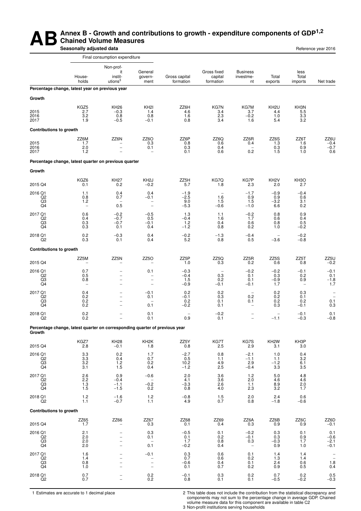#### **AB** Annex B - Growth and contributions to growth - expenditure components of GDP<sup>1,2</sup><br>Seasonally adjusted data **Chained Volume Measures Seasonally adjusted data Reference year 2016 Reference year 2016**

|                                                   |                                                                             | Final consumption expenditure                                   |                                                                |                                   |                                                   |                                                             |                                       |                                                  |                                                                                                         |
|---------------------------------------------------|-----------------------------------------------------------------------------|-----------------------------------------------------------------|----------------------------------------------------------------|-----------------------------------|---------------------------------------------------|-------------------------------------------------------------|---------------------------------------|--------------------------------------------------|---------------------------------------------------------------------------------------------------------|
|                                                   | House-<br>holds                                                             | Non-prof-<br>it<br>instit-<br>utions $3$                        | General<br>govern-<br>ment                                     | Gross capital<br>formation        | Gross fixed<br>capital<br>formation               | <b>Business</b><br>investme-<br>nt                          | Total<br>exports                      | less<br>Total<br>imports                         | Net trade                                                                                               |
|                                                   | Percentage change, latest year on previous year                             |                                                                 |                                                                |                                   |                                                   |                                                             |                                       |                                                  |                                                                                                         |
| Growth                                            |                                                                             |                                                                 |                                                                |                                   |                                                   |                                                             |                                       |                                                  |                                                                                                         |
| 2015<br>2016<br>2017                              | KGZ5<br>2.7<br>3.2<br>1.9                                                   | KH <sub>26</sub><br>$-0.3$<br>0.8<br>$-0.5$                     | KH <sub>2</sub><br>1.4<br>0.8<br>$-0.1$                        | ZZ6H<br>4.6<br>1.6<br>0.8         | KG7N<br>3.4<br>2.3<br>3.4                         | KG7M<br>3.7<br>$-0.2$<br>1.6                                | KH <sub>2U</sub><br>4.4<br>1.0<br>5.4 | KH3N<br>5.5<br>3.3<br>3.2                        |                                                                                                         |
| <b>Contributions to growth</b>                    |                                                                             |                                                                 |                                                                |                                   |                                                   |                                                             |                                       |                                                  |                                                                                                         |
| 2015<br>2016<br>2017                              | ZZ6M<br>1.7<br>2.0<br>1.2                                                   | ZZ6N<br>$\overline{\phantom{0}}$                                | ZZ6O<br>0.3<br>0.1                                             | ZZ6P<br>0.8<br>0.3<br>0.1         | ZZ6Q<br>0.6<br>0.4<br>0.6                         | ZZ6R<br>0.4<br>$\overline{\phantom{0}}$<br>0.2              | ZZ6S<br>1.3<br>0.3<br>1.5             | ZZ6T<br>1.6<br>0.9<br>1.0                        | $ZZ6U$<br>-0.4<br>-0.7<br>0.6                                                                           |
|                                                   | Percentage change, latest quarter on previous quarter                       |                                                                 |                                                                |                                   |                                                   |                                                             |                                       |                                                  |                                                                                                         |
| Growth                                            |                                                                             |                                                                 |                                                                |                                   |                                                   |                                                             |                                       |                                                  |                                                                                                         |
| 2015 Q4                                           | KGZ6<br>0.1                                                                 | <b>KH27</b><br>0.2                                              | KH <sub>2</sub> J<br>$-0.2$                                    | ZZ5H<br>5.7                       | KG7Q<br>1.8                                       | KG7P<br>2.3                                                 | KH <sub>2</sub> V<br>2.0              | KH <sub>3</sub> O<br>2.7                         |                                                                                                         |
| 2016 Q1<br>Q2<br>Q3<br>Q4                         | 1.1<br>0.8<br>1.2<br>$\overline{\phantom{a}}$                               | 0.4<br>0.7<br>$\overline{\phantom{0}}$<br>0.5                   | 0.4<br>$-0.1$<br>$\overline{\phantom{0}}$<br>$\qquad \qquad -$ | $-1.9$<br>$-2.5$<br>9.0<br>$-5.3$ | $\overline{\phantom{m}}$<br>1.6<br>1.5<br>$-0.6$  | $-1.7$<br>0.9<br>1.5<br>$-1.0$                              | $-0.9$<br>0.9<br>$-3.2$<br>6.6        | $-0.4$<br>0.6<br>3.1<br>0.2                      |                                                                                                         |
| 2017 Q1<br>Q2<br>Q3<br>Q4                         | 0.6<br>0.4<br>0.3<br>0.3                                                    | $-0.2$<br>$-0.7$<br>$-0.7$<br>0.1                               | $-0.5$<br>0.5<br>$-0.1$<br>0.4                                 | 1.3<br>$-0.4$<br>1.2<br>$-1.2$    | 1.1<br>1.6<br>0.4<br>0.8                          | $-0.2$<br>1.7<br>0.6<br>0.2                                 | 0.8<br>0.6<br>0.8<br>1.0              | 0.9<br>0.4<br>0.5<br>$-0.2$                      |                                                                                                         |
| 2018 Q1<br>Q2                                     | $\substack{0.2 \\ 0.3}$                                                     | $-0.3$<br>0.1                                                   | 0.4<br>0.4                                                     | $-0.2$<br>5.2                     | -1.3<br>0.8                                       | $-0.4$<br>0.5                                               | $-3.6$                                | $-0.2$<br>$-0.8$                                 |                                                                                                         |
| <b>Contributions to growth</b>                    |                                                                             |                                                                 |                                                                |                                   |                                                   |                                                             |                                       |                                                  |                                                                                                         |
| 2015 Q4                                           | ZZ5M                                                                        | ZZ5N                                                            | ZZ5O                                                           | ZZ5P<br>1.0                       | ZZ5Q<br>0.3                                       | ZZ5R<br>0.2                                                 | ZZ5S<br>0.6                           | ZZ5T<br>0.8                                      | ZZ5U<br>$-0.2$                                                                                          |
| 2016 Q1<br>Q2<br>Q3<br>$\overline{Q4}$            | 0.7<br>0.5<br>0.8<br>$\overline{\phantom{0}}$                               | $\overline{\phantom{0}}$<br>-<br>-<br>$\overline{\phantom{0}}$  | 0.1<br>-<br>$\overline{\phantom{0}}$<br>$\overline{a}$         | $-0.3$<br>$-0.4$<br>1.5<br>$-0.9$ | 0.3<br>0.2<br>$-0.1$                              | $-0.2$<br>0.1<br>0.1<br>$-0.1$                              | $-0.2$<br>0.3<br>$-0.9$<br>1.7        | $-0.1$<br>0.2<br>0.9<br>$\overline{\phantom{0}}$ | $-0.1$<br>0.1<br>$-1.8$<br>1.7                                                                          |
| 2017 Q1<br>Q2<br>Q3<br>Q4                         | 0.4<br>0.2<br>0.2<br>0.2                                                    | L.<br>$\overline{\phantom{0}}$<br>-<br>$\overline{\phantom{0}}$ | $-0.1$<br>0.1<br>0.1                                           | 0.2<br>$-0.1$<br>0.2<br>$-0.2$    | 0.2<br>0.3<br>0.1<br>0.1                          | $\overline{\phantom{m}}$<br>0.2<br>0.1<br>$\qquad \qquad -$ | ${}^{0.2}_{0.2}$<br>0.2<br>0.3        | 0.3<br>0.1<br>0.2<br>$-0.1$                      | $\overline{\phantom{0}}$<br>0.1<br>0.3                                                                  |
| 2018 Q1<br>Q2                                     | 0.2<br>0.2                                                                  |                                                                 | 0.1<br>0.1                                                     | 0.9                               | $-0.2$<br>0.1                                     | $\overline{a}$                                              | $-1.1$                                | $-0.1$<br>$-0.3$                                 | 0.1<br>$-0.8$                                                                                           |
| Growth                                            | Percentage change, latest quarter on corresponding quarter of previous year |                                                                 |                                                                |                                   |                                                   |                                                             |                                       |                                                  |                                                                                                         |
| 2015 Q4                                           | KGZ7<br>2.8                                                                 | <b>KH28</b><br>$-0.1$                                           | KH <sub>2</sub> K<br>1.8                                       | ZZ5Y<br>0.8                       | KG7T<br>2.5                                       | KG7S<br>2.9                                                 | KH <sub>2</sub> W<br>3.1              | KH3P<br>3.0                                      |                                                                                                         |
| 2016 Q1<br>Q <sub>2</sub><br>$_{\rm Q4}^{\rm Q3}$ | $\begin{array}{c} 3.3 \\ 3.3 \end{array}$<br>3.2<br>3.1                     | 0.2<br>0.4<br>$\frac{1.2}{1.5}$                                 | 1.7<br>0.7<br>$0.2\,$<br>0.4                                   | $-2.7$<br>0.5<br>10.2<br>$-1.2$   | 0.8<br>1.1<br>4.9<br>2.5                          | $-2.1$<br>$-1.1$<br>2.9<br>$-0.4$                           | 1.0<br>1.1<br>$-1.2$<br>3.3           | 0.4<br>3.2<br>6.1<br>3.5                         |                                                                                                         |
| 2017 Q1<br>$_{\rm Q3}^{\rm Q2}$<br>Q4             | 2.6<br>$^{2.2}_{1.3}$<br>1.5                                                | 0.9<br>$-0.4$<br>$-1.1$<br>$-1.5$                               | $-0.6$<br>$\overline{a}$<br>$-0.2$<br>0.2                      | 2.0<br>4.1<br>$-3.3$<br>0.8       | 3.6<br>3.6<br>2.6<br>4.0                          | $1.2$<br>2.0<br>1.1<br>2.3                                  | $5.0$<br>4.6<br>8.9<br>3.2            | 4.8<br>4.6<br>2.0<br>1.7                         |                                                                                                         |
| 2018 Q1<br>Q2                                     | 1.2<br>1.1                                                                  | $-1.6$<br>$-0.7$                                                | 1.2<br>1.1                                                     | $-0.8$<br>4.9                     | 1.5<br>0.7                                        | 2.0<br>0.8                                                  | 2.4<br>$-1.8$                         | 0.6<br>$-0.6$                                    |                                                                                                         |
| <b>Contributions to growth</b>                    |                                                                             |                                                                 |                                                                |                                   |                                                   |                                                             |                                       |                                                  |                                                                                                         |
| 2015 Q4                                           | ZZ65<br>1.7                                                                 | ZZ66                                                            | ZZ67<br>0.3                                                    | ZZ68<br>0.1                       | ZZ69<br>0.4                                       | ZZ6A<br>0.3                                                 | ZZ6B<br>0.9                           | ZZ6C<br>0.9                                      | $\substack{\text{ZZ6D}\ -0.1}$                                                                          |
| 2016 Q1<br>Q2<br>$_{\rm Q4}^{\rm Q3}$             | 2.1<br>2.0<br>2.0<br>2.0                                                    |                                                                 | 0.3<br>0.1<br>0.1                                              | $-0.5$<br>0.1<br>1.7<br>$-0.2$    | 0.1<br>0.2<br>0.8<br>0.4                          | $-0.2$<br>$-0.1$<br>0.3<br>$\overline{\phantom{a}}$         | 0.3<br>0.3<br>$-0.3$<br>0.9           | 0.1<br>0.9<br>1.7<br>1.0                         | $0.1 - 0.6$<br>$-2.1$<br>$-0.1$                                                                         |
| 2017 Q1<br>Q2<br>$_{\rm Q4}^{\rm Q3}$             | 1.6<br>1.4<br>0.8<br>1.0                                                    |                                                                 | $-0.1$<br>$\bar{a}$                                            | 0.3<br>0.7<br>$-0.6$<br>0.1       | 0.6<br>0.6<br>0.4<br>0.7                          | 0.1<br>0.2<br>0.1<br>0.2                                    | 1.4<br>1.3<br>2.4<br>0.9              | 1.4<br>1.4<br>0.6<br>0.5                         | $\overline{\phantom{0}}$<br>$\overline{\phantom{m}}$<br>$\!\!\!\begin{array}{c} 1.8 \\ 0.4 \end{array}$ |
| 2018 Q1<br>Q2                                     | $\begin{array}{c} 0.7 \\ 0.7 \end{array}$                                   | -                                                               | $_{0.2}^{0.2}$                                                 | $-0.1$<br>0.8                     | $\begin{smallmatrix} 0.3 \ 0.1 \end{smallmatrix}$ | $_{0.2}^{0.2}$                                              | 0.7<br>$-0.5$                         | $0.2 - 0.2$                                      | $0.5 - 0.3$                                                                                             |

1 Estimates are accurate to 1 decimal place 2 This table does not include the contribution from the statistical discrepancy and components may not sum to the percentage change in average GDP. Chained volume measure data for this component are available in table C2 3 Non-profit institutions serving households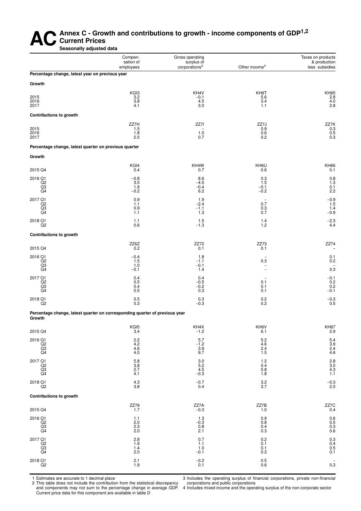#### AC<sup>Annex C - Growth and contributions to growth - income components of GDP<sup>1,2</sup><br>Seasonally adjusted data</sup> **Current Prices Seasonally adjusted data**

Compen-<br>
Gross operating Taxes on products<br>
Surplus of Surplus of Aproduction<br>
Compensation of Surplus of Aproduction sation of surplus of the income of the sation of the sation of the surplus of the corporations<sup>3</sup> Other income of the surpluse of the surplus of the surplus of the surplus of the surplus of the surplus of the surplus of th

less subsidies

| Percentage change, latest year on previous year       |                                               |                                   |                                                  |                                                                |
|-------------------------------------------------------|-----------------------------------------------|-----------------------------------|--------------------------------------------------|----------------------------------------------------------------|
| Growth                                                |                                               |                                   |                                                  |                                                                |
| 2015<br>2016<br>2017                                  | KGI3<br>$3.\overline{2}$<br>$\frac{3.8}{4.1}$ | KH4V<br>$-0.1$<br>4.5<br>3.0      | KH6T<br>5.6<br>$3.4\,$<br>1.1                    | KH65<br>2.8<br>4.0<br>2.8                                      |
| Contributions to growth                               |                                               |                                   |                                                  |                                                                |
| 2015<br>2016<br>2017                                  | ZZ7H<br>1.5<br>1.8<br>2.0                     | ZZ7I<br>$^{1.0}_{0.7}$            | ZZ7J<br>0.9<br>0.6<br>0.2                        | ZZ7K<br>$\begin{matrix} 0.3 \\ 0.5 \\ 0.5 \\ 0.3 \end{matrix}$ |
| Percentage change, latest quarter on previous quarter |                                               |                                   |                                                  |                                                                |
| Growth                                                |                                               |                                   |                                                  |                                                                |
| 2015 Q4                                               | KGI4<br>0.4                                   | KH4W<br>0.7                       | KH6U<br>0.6                                      | KH <sub>66</sub><br>0.1                                        |
| 2016 Q1<br>Q2<br>Q3<br>Q4                             | $-0.8$<br>$3.0$<br>$1.9$<br>$-0.2$            | 8.6<br>$-4.5$<br>$-0.4$<br>6.2    | 0.3<br>1.5<br>$-0.1$<br>$-0.2$                   | 0.8<br>$\frac{1.3}{0.1}$<br>2.2                                |
| 2017 Q1<br>Q2<br>Q3<br>Q4                             | 0.9<br>1.1<br>$0.9$<br>1.1                    | 1.9<br>$-2.4$<br>$^{-1.1}_{-1.3}$ | $\begin{array}{c} 0.7 \\ 0.3 \\ 0.7 \end{array}$ | $-0.9$<br>$\frac{1.5}{1.4}$<br>-0.9                            |
| 2018 Q1<br>Q <sub>2</sub>                             | 1.1<br>0.6                                    | $1.5 - 1.3$                       | $^{1.4}_{1.2}$                                   | $-2.3$<br>4.4                                                  |

**Contributions to growth**

| 2015 Q4        | ZZ6Z<br>0.2 | <b>ZZ72</b><br>0.1 | ZZ73<br>0.1 | ZZ74<br>٠ |
|----------------|-------------|--------------------|-------------|-----------|
|                |             |                    |             |           |
| 2016 Q1        | $-0.4$      | 1.8                |             | 0.1       |
| Q2             | 5.،         | $-1.$              | 0.3         | 0.2       |
| Q3             | 1.0         | $-0.$              |             |           |
| Q <sub>4</sub> | $-0.1$      | 1.4                |             | 0.3       |
| 2017 Q1        | 0.4         | 0.4                |             | $-0.1$    |
| Q <sub>2</sub> | 0.5         | $-0.5$             | 0.1         | 0.2       |
| Q3             | 0.4         | $-0.2$             | 0.1         | 0.2       |
| Q4             | 0.5         | 0.3                | 0.1         | $-0.1$    |
|                |             |                    |             |           |

Percentage change, latest quarter on corresponding quarter of previous year **Growth**

| 2015 Q4                                                                                                                                | KGI5<br>3.4                                | KH4X<br>$-1.2$                     | KH6V<br>6.1                                             | KH67<br>2.9                                              |
|----------------------------------------------------------------------------------------------------------------------------------------|--------------------------------------------|------------------------------------|---------------------------------------------------------|----------------------------------------------------------|
| 2016 Q1<br>Q2<br>Q3<br>Q4                                                                                                              | $2.2$<br>$4.2$<br>$4.6$<br>$4.0$           | 5.7<br>$-1.2$<br>$\frac{3.9}{9.7}$ | 5.2<br>4.6<br>$^{2.4}_{1.5}$                            | $5.4$<br>$3.9$<br>$2.4$<br>$4.6$                         |
| 2017 Q1<br>$\begin{array}{c} \stackrel{\frown}{\text{Q2}} \\ \stackrel{\frown}{\text{Q3}} \\ \stackrel{\frown}{\text{Q4}} \end{array}$ | 5.8<br>3.8<br>2.7<br>4.1                   | $3.0$<br>5.2<br>4.5<br>-0.3        | 1.2<br>0.4<br>0.8<br>1.8                                | $2.8$<br>$3.0$<br>$4.3$<br>$1.1$                         |
| 2018 Q1<br>Q2                                                                                                                          | $\frac{4.3}{3.8}$                          | $-0.7$<br>$0.4\,$                  | $\frac{3.2}{3.7}$                                       | $^{-0.3}_{2.5}$                                          |
| <b>Contributions to growth</b>                                                                                                         |                                            |                                    |                                                         |                                                          |
| 2015 Q4                                                                                                                                | $\begin{array}{c} 77.7 \\ 7.7 \end{array}$ | $ZZ7A$<br>$-0.3$                   | ZZ7B<br>1.0                                             | $\begin{array}{c} \text{ZZ7C} \\ \text{0.4} \end{array}$ |
| 2016 Q1<br>Q2<br>Q3<br>Q4                                                                                                              | 1.1<br>$2.0$<br>$2.3$<br>$2.0$             | 1.3<br>$-0.3$<br>0.8<br>2.1        | $\begin{array}{c} 0.9 \\ 0.8 \end{array}$<br>0.4<br>0.3 | $0.6$<br>$0.5$<br>$0.3$<br>$0.6$                         |
| 2017 Q1<br>$\begin{array}{c} \stackrel{\frown}{\text{Q2}} \\ \stackrel{\frown}{\text{Q3}} \\ \stackrel{\frown}{\text{Q4}} \end{array}$ | 2.8<br>$\frac{1.9}{1.4}$<br>2.0            | 0.7<br>1.1<br>$1.0 -0.1$           | 0.2<br>$0.1$<br>$0.1$<br>0.3                            | $\begin{array}{c} 0.3 \\ 0.4 \\ 0.5 \\ 0.1 \end{array}$  |
| 2018 Q1<br>Q2                                                                                                                          | $^{2.1}_{1.9}$                             | $^{-0.2}_{0.1}$                    | $\begin{array}{c} 0.5 \\ 0.6 \end{array}$               | -<br>0.3                                                 |

 $2018$  Q1 0.3 0.2  $-0.3$  0.3 0.2 0.3  $-0.3$  $\overline{Q}2$  0.3  $\overline{Q}2$  0.2 0.5

1 Estimates are accurate to 1 decimal place

2 This table does not include the contribution from the statistical discrepancy and components may not sum to the percentage change in average GDP. Current price data for this component are available in table D

3 Includes the operating surplus of financial corporations, private non-financial corporations and public corporations

4 Includes mixed income and the operating surplus of the non-corporate sector